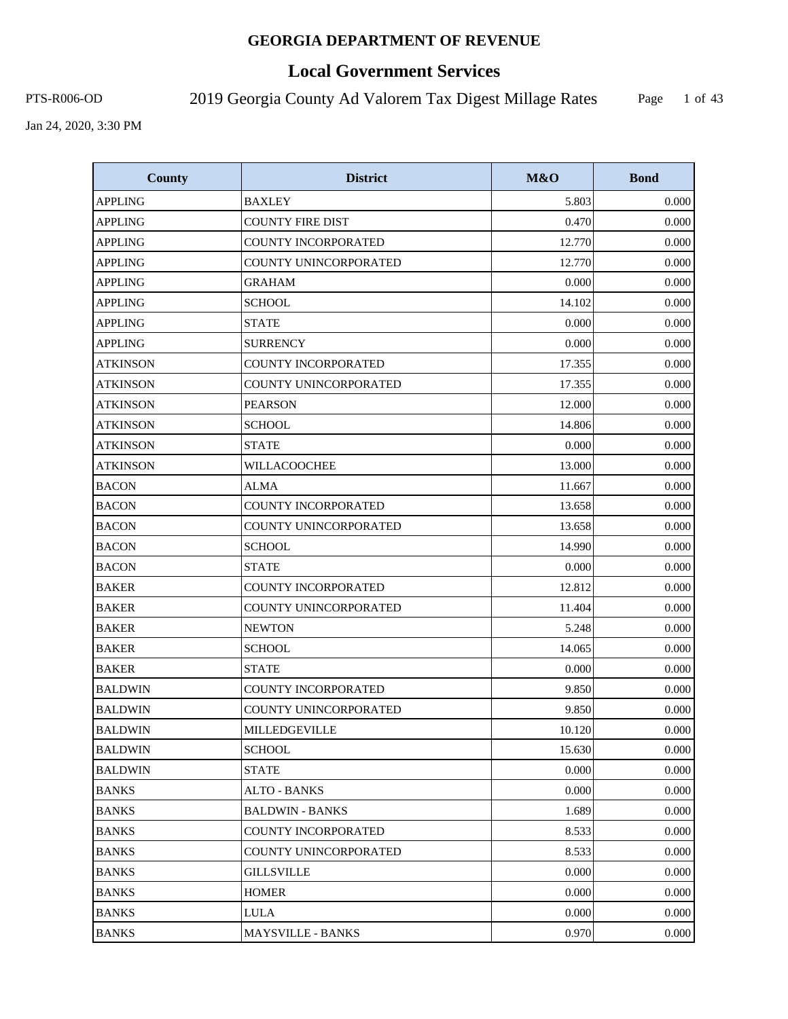# **Local Government Services**

PTS-R006-OD 2019 Georgia County Ad Valorem Tax Digest Millage Rates

Page 1 of 43

| <b>County</b>   | <b>District</b>            | M&O    | <b>Bond</b> |
|-----------------|----------------------------|--------|-------------|
| <b>APPLING</b>  | <b>BAXLEY</b>              | 5.803  | 0.000       |
| <b>APPLING</b>  | <b>COUNTY FIRE DIST</b>    | 0.470  | 0.000       |
| <b>APPLING</b>  | <b>COUNTY INCORPORATED</b> | 12.770 | 0.000       |
| <b>APPLING</b>  | COUNTY UNINCORPORATED      | 12.770 | 0.000       |
| <b>APPLING</b>  | <b>GRAHAM</b>              | 0.000  | 0.000       |
| <b>APPLING</b>  | <b>SCHOOL</b>              | 14.102 | 0.000       |
| <b>APPLING</b>  | <b>STATE</b>               | 0.000  | 0.000       |
| <b>APPLING</b>  | <b>SURRENCY</b>            | 0.000  | 0.000       |
| <b>ATKINSON</b> | COUNTY INCORPORATED        | 17.355 | 0.000       |
| <b>ATKINSON</b> | COUNTY UNINCORPORATED      | 17.355 | 0.000       |
| <b>ATKINSON</b> | <b>PEARSON</b>             | 12.000 | 0.000       |
| <b>ATKINSON</b> | <b>SCHOOL</b>              | 14.806 | 0.000       |
| <b>ATKINSON</b> | <b>STATE</b>               | 0.000  | 0.000       |
| <b>ATKINSON</b> | WILLACOOCHEE               | 13.000 | 0.000       |
| <b>BACON</b>    | <b>ALMA</b>                | 11.667 | 0.000       |
| <b>BACON</b>    | <b>COUNTY INCORPORATED</b> | 13.658 | 0.000       |
| <b>BACON</b>    | COUNTY UNINCORPORATED      | 13.658 | 0.000       |
| <b>BACON</b>    | <b>SCHOOL</b>              | 14.990 | 0.000       |
| <b>BACON</b>    | <b>STATE</b>               | 0.000  | 0.000       |
| <b>BAKER</b>    | <b>COUNTY INCORPORATED</b> | 12.812 | 0.000       |
| <b>BAKER</b>    | COUNTY UNINCORPORATED      | 11.404 | 0.000       |
| <b>BAKER</b>    | <b>NEWTON</b>              | 5.248  | 0.000       |
| <b>BAKER</b>    | <b>SCHOOL</b>              | 14.065 | 0.000       |
| <b>BAKER</b>    | <b>STATE</b>               | 0.000  | 0.000       |
| <b>BALDWIN</b>  | <b>COUNTY INCORPORATED</b> | 9.850  | 0.000       |
| <b>BALDWIN</b>  | COUNTY UNINCORPORATED      | 9.850  | 0.000       |
| <b>BALDWIN</b>  | MILLEDGEVILLE              | 10.120 | 0.000       |
| <b>BALDWIN</b>  | <b>SCHOOL</b>              | 15.630 | 0.000       |
| <b>BALDWIN</b>  | <b>STATE</b>               | 0.000  | 0.000       |
| <b>BANKS</b>    | <b>ALTO - BANKS</b>        | 0.000  | 0.000       |
| <b>BANKS</b>    | <b>BALDWIN - BANKS</b>     | 1.689  | 0.000       |
| <b>BANKS</b>    | <b>COUNTY INCORPORATED</b> | 8.533  | 0.000       |
| <b>BANKS</b>    | COUNTY UNINCORPORATED      | 8.533  | 0.000       |
| <b>BANKS</b>    | <b>GILLSVILLE</b>          | 0.000  | 0.000       |
| <b>BANKS</b>    | <b>HOMER</b>               | 0.000  | 0.000       |
| <b>BANKS</b>    | LULA                       | 0.000  | 0.000       |
| <b>BANKS</b>    | <b>MAYSVILLE - BANKS</b>   | 0.970  | 0.000       |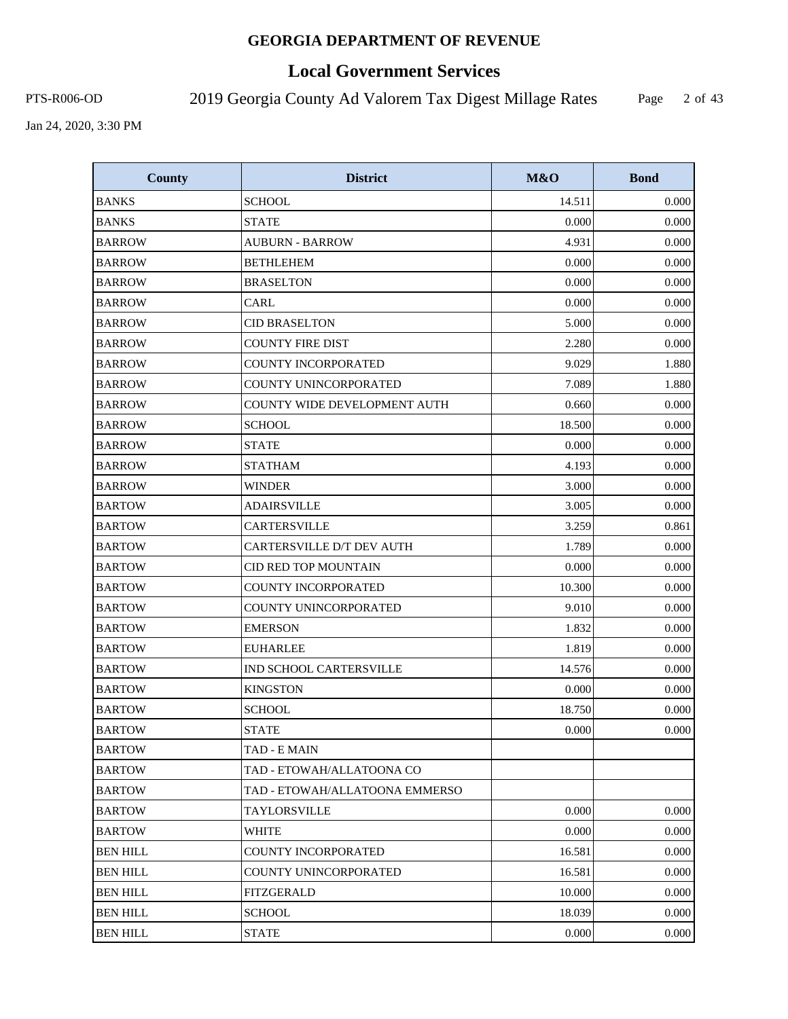# **Local Government Services**

PTS-R006-OD 2019 Georgia County Ad Valorem Tax Digest Millage Rates

Page 2 of 43

| <b>County</b>   | <b>District</b>                     | M&O    | <b>Bond</b> |
|-----------------|-------------------------------------|--------|-------------|
| <b>BANKS</b>    | <b>SCHOOL</b>                       | 14.511 | 0.000       |
| <b>BANKS</b>    | <b>STATE</b>                        | 0.000  | 0.000       |
| <b>BARROW</b>   | <b>AUBURN - BARROW</b>              | 4.931  | 0.000       |
| <b>BARROW</b>   | <b>BETHLEHEM</b>                    | 0.000  | 0.000       |
| <b>BARROW</b>   | <b>BRASELTON</b>                    | 0.000  | 0.000       |
| <b>BARROW</b>   | <b>CARL</b>                         | 0.000  | 0.000       |
| <b>BARROW</b>   | <b>CID BRASELTON</b>                | 5.000  | 0.000       |
| <b>BARROW</b>   | <b>COUNTY FIRE DIST</b>             | 2.280  | 0.000       |
| <b>BARROW</b>   | COUNTY INCORPORATED                 | 9.029  | 1.880       |
| <b>BARROW</b>   | COUNTY UNINCORPORATED               | 7.089  | 1.880       |
| <b>BARROW</b>   | <b>COUNTY WIDE DEVELOPMENT AUTH</b> | 0.660  | 0.000       |
| <b>BARROW</b>   | <b>SCHOOL</b>                       | 18.500 | 0.000       |
| <b>BARROW</b>   | STATE                               | 0.000  | 0.000       |
| <b>BARROW</b>   | <b>STATHAM</b>                      | 4.193  | 0.000       |
| <b>BARROW</b>   | <b>WINDER</b>                       | 3.000  | 0.000       |
| <b>BARTOW</b>   | <b>ADAIRSVILLE</b>                  | 3.005  | 0.000       |
| <b>BARTOW</b>   | CARTERSVILLE                        | 3.259  | 0.861       |
| <b>BARTOW</b>   | CARTERSVILLE D/T DEV AUTH           | 1.789  | 0.000       |
| <b>BARTOW</b>   | CID RED TOP MOUNTAIN                | 0.000  | 0.000       |
| <b>BARTOW</b>   | COUNTY INCORPORATED                 | 10.300 | 0.000       |
| <b>BARTOW</b>   | COUNTY UNINCORPORATED               | 9.010  | 0.000       |
| <b>BARTOW</b>   | <b>EMERSON</b>                      | 1.832  | 0.000       |
| <b>BARTOW</b>   | <b>EUHARLEE</b>                     | 1.819  | 0.000       |
| <b>BARTOW</b>   | IND SCHOOL CARTERSVILLE             | 14.576 | 0.000       |
| <b>BARTOW</b>   | <b>KINGSTON</b>                     | 0.000  | 0.000       |
| <b>BARTOW</b>   | <b>SCHOOL</b>                       | 18.750 | 0.000       |
| <b>BARTOW</b>   | <b>STATE</b>                        | 0.000  | 0.000       |
| <b>BARTOW</b>   | TAD - E MAIN                        |        |             |
| <b>BARTOW</b>   | TAD - ETOWAH/ALLATOONA CO           |        |             |
| <b>BARTOW</b>   | TAD - ETOWAH/ALLATOONA EMMERSO      |        |             |
| <b>BARTOW</b>   | <b>TAYLORSVILLE</b>                 | 0.000  | 0.000       |
| <b>BARTOW</b>   | WHITE                               | 0.000  | 0.000       |
| <b>BEN HILL</b> | <b>COUNTY INCORPORATED</b>          | 16.581 | 0.000       |
| <b>BEN HILL</b> | COUNTY UNINCORPORATED               | 16.581 | 0.000       |
| <b>BEN HILL</b> | FITZGERALD                          | 10.000 | 0.000       |
| <b>BEN HILL</b> | <b>SCHOOL</b>                       | 18.039 | 0.000       |
| <b>BEN HILL</b> | <b>STATE</b>                        | 0.000  | 0.000       |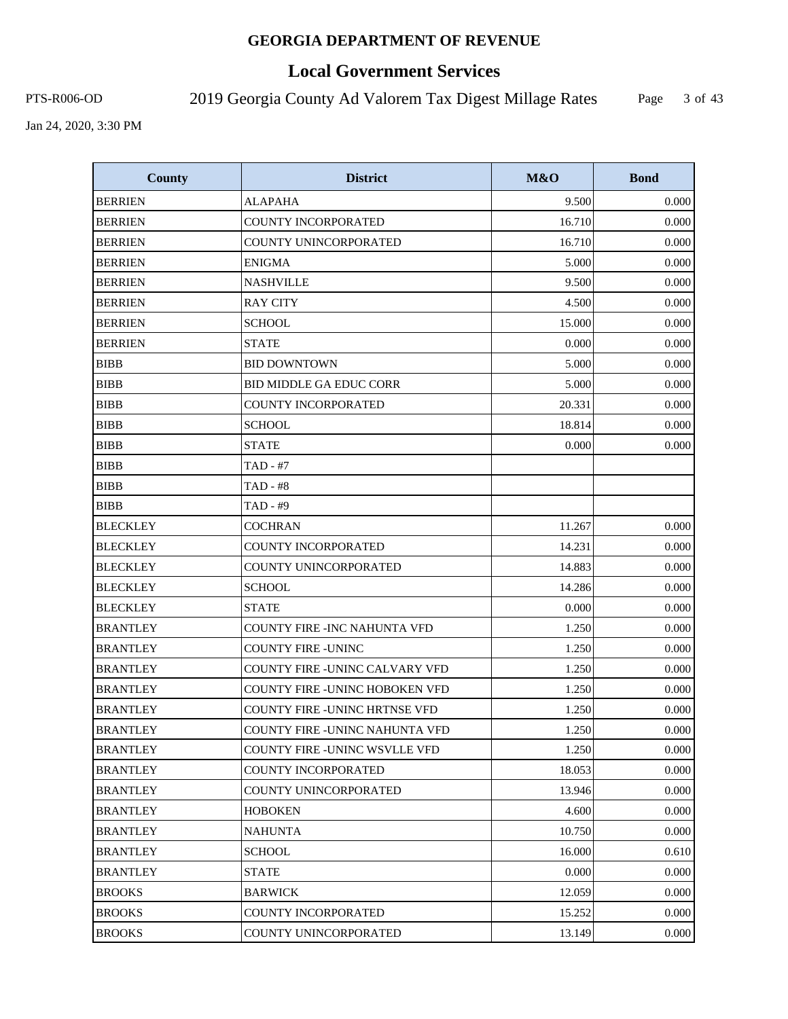# **Local Government Services**

PTS-R006-OD 2019 Georgia County Ad Valorem Tax Digest Millage Rates

Page 3 of 43

| <b>County</b>   | <b>District</b>                       | M&O    | <b>Bond</b> |
|-----------------|---------------------------------------|--------|-------------|
| <b>BERRIEN</b>  | <b>ALAPAHA</b>                        | 9.500  | 0.000       |
| <b>BERRIEN</b>  | <b>COUNTY INCORPORATED</b>            | 16.710 | 0.000       |
| <b>BERRIEN</b>  | COUNTY UNINCORPORATED                 | 16.710 | 0.000       |
| <b>BERRIEN</b>  | <b>ENIGMA</b>                         | 5.000  | 0.000       |
| <b>BERRIEN</b>  | <b>NASHVILLE</b>                      | 9.500  | 0.000       |
| <b>BERRIEN</b>  | <b>RAY CITY</b>                       | 4.500  | 0.000       |
| <b>BERRIEN</b>  | <b>SCHOOL</b>                         | 15.000 | 0.000       |
| <b>BERRIEN</b>  | <b>STATE</b>                          | 0.000  | 0.000       |
| <b>BIBB</b>     | <b>BID DOWNTOWN</b>                   | 5.000  | 0.000       |
| <b>BIBB</b>     | <b>BID MIDDLE GA EDUC CORR</b>        | 5.000  | 0.000       |
| <b>BIBB</b>     | <b>COUNTY INCORPORATED</b>            | 20.331 | 0.000       |
| <b>BIBB</b>     | <b>SCHOOL</b>                         | 18.814 | 0.000       |
| <b>BIBB</b>     | <b>STATE</b>                          | 0.000  | 0.000       |
| <b>BIBB</b>     | TAD - #7                              |        |             |
| <b>BIBB</b>     | <b>TAD - #8</b>                       |        |             |
| <b>BIBB</b>     | TAD - #9                              |        |             |
| <b>BLECKLEY</b> | <b>COCHRAN</b>                        | 11.267 | 0.000       |
| <b>BLECKLEY</b> | <b>COUNTY INCORPORATED</b>            | 14.231 | 0.000       |
| <b>BLECKLEY</b> | COUNTY UNINCORPORATED                 | 14.883 | 0.000       |
| <b>BLECKLEY</b> | <b>SCHOOL</b>                         | 14.286 | 0.000       |
| <b>BLECKLEY</b> | <b>STATE</b>                          | 0.000  | 0.000       |
| <b>BRANTLEY</b> | COUNTY FIRE -INC NAHUNTA VFD          | 1.250  | 0.000       |
| <b>BRANTLEY</b> | <b>COUNTY FIRE -UNINC</b>             | 1.250  | 0.000       |
| <b>BRANTLEY</b> | COUNTY FIRE -UNINC CALVARY VFD        | 1.250  | 0.000       |
| <b>BRANTLEY</b> | <b>COUNTY FIRE -UNINC HOBOKEN VFD</b> | 1.250  | 0.000       |
| <b>BRANTLEY</b> | <b>COUNTY FIRE -UNINC HRTNSE VFD</b>  | 1.250  | 0.000       |
| <b>BRANTLEY</b> | COUNTY FIRE -UNINC NAHUNTA VFD        | 1.250  | 0.000       |
| <b>BRANTLEY</b> | COUNTY FIRE -UNINC WSVLLE VFD         | 1.250  | 0.000       |
| <b>BRANTLEY</b> | <b>COUNTY INCORPORATED</b>            | 18.053 | 0.000       |
| <b>BRANTLEY</b> | COUNTY UNINCORPORATED                 | 13.946 | 0.000       |
| <b>BRANTLEY</b> | <b>HOBOKEN</b>                        | 4.600  | 0.000       |
| <b>BRANTLEY</b> | <b>NAHUNTA</b>                        | 10.750 | 0.000       |
| <b>BRANTLEY</b> | <b>SCHOOL</b>                         | 16.000 | 0.610       |
| <b>BRANTLEY</b> | <b>STATE</b>                          | 0.000  | 0.000       |
| <b>BROOKS</b>   | <b>BARWICK</b>                        | 12.059 | 0.000       |
| <b>BROOKS</b>   | COUNTY INCORPORATED                   | 15.252 | 0.000       |
| <b>BROOKS</b>   | COUNTY UNINCORPORATED                 | 13.149 | 0.000       |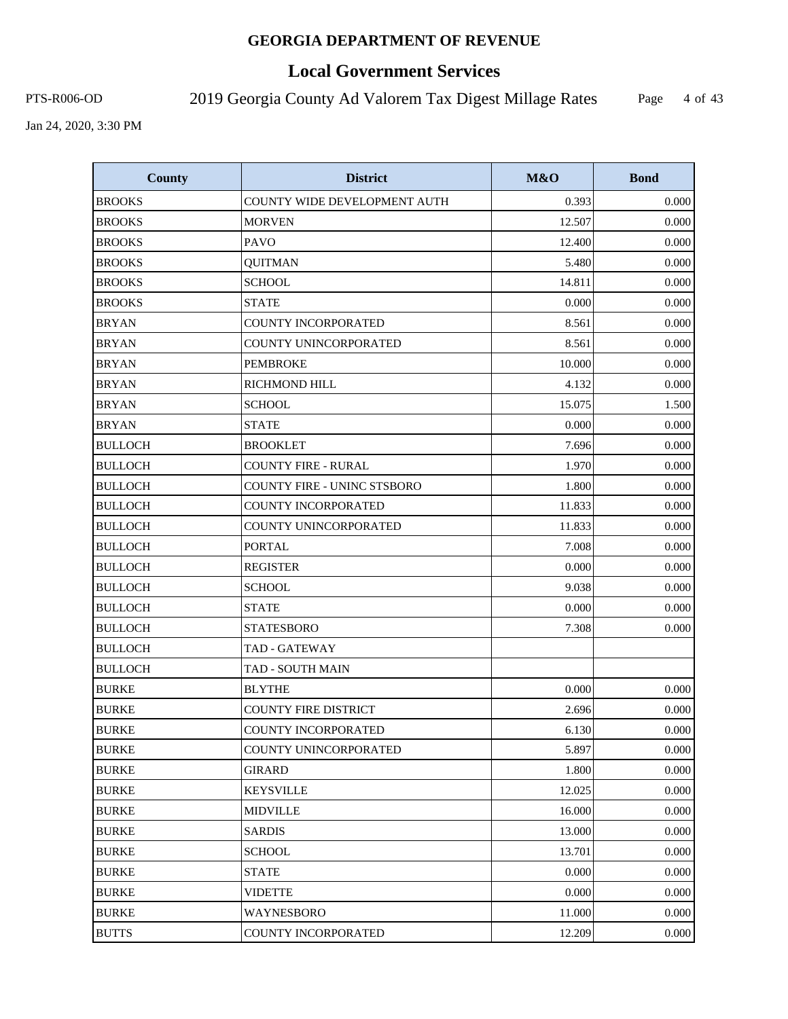# **Local Government Services**

PTS-R006-OD 2019 Georgia County Ad Valorem Tax Digest Millage Rates

Page 4 of 43

| <b>County</b>  | <b>District</b>              | M&O    | <b>Bond</b> |
|----------------|------------------------------|--------|-------------|
| <b>BROOKS</b>  | COUNTY WIDE DEVELOPMENT AUTH | 0.393  | 0.000       |
| <b>BROOKS</b>  | <b>MORVEN</b>                | 12.507 | 0.000       |
| <b>BROOKS</b>  | <b>PAVO</b>                  | 12.400 | 0.000       |
| <b>BROOKS</b>  | <b>QUITMAN</b>               | 5.480  | 0.000       |
| <b>BROOKS</b>  | <b>SCHOOL</b>                | 14.811 | 0.000       |
| <b>BROOKS</b>  | <b>STATE</b>                 | 0.000  | 0.000       |
| <b>BRYAN</b>   | COUNTY INCORPORATED          | 8.561  | 0.000       |
| <b>BRYAN</b>   | COUNTY UNINCORPORATED        | 8.561  | 0.000       |
| <b>BRYAN</b>   | <b>PEMBROKE</b>              | 10.000 | 0.000       |
| <b>BRYAN</b>   | RICHMOND HILL                | 4.132  | 0.000       |
| <b>BRYAN</b>   | <b>SCHOOL</b>                | 15.075 | 1.500       |
| <b>BRYAN</b>   | <b>STATE</b>                 | 0.000  | 0.000       |
| <b>BULLOCH</b> | <b>BROOKLET</b>              | 7.696  | 0.000       |
| <b>BULLOCH</b> | <b>COUNTY FIRE - RURAL</b>   | 1.970  | 0.000       |
| <b>BULLOCH</b> | COUNTY FIRE - UNINC STSBORO  | 1.800  | 0.000       |
| <b>BULLOCH</b> | <b>COUNTY INCORPORATED</b>   | 11.833 | 0.000       |
| <b>BULLOCH</b> | <b>COUNTY UNINCORPORATED</b> | 11.833 | 0.000       |
| <b>BULLOCH</b> | <b>PORTAL</b>                | 7.008  | 0.000       |
| <b>BULLOCH</b> | <b>REGISTER</b>              | 0.000  | 0.000       |
| <b>BULLOCH</b> | <b>SCHOOL</b>                | 9.038  | 0.000       |
| <b>BULLOCH</b> | <b>STATE</b>                 | 0.000  | 0.000       |
| <b>BULLOCH</b> | <b>STATESBORO</b>            | 7.308  | 0.000       |
| <b>BULLOCH</b> | TAD - GATEWAY                |        |             |
| <b>BULLOCH</b> | <b>TAD - SOUTH MAIN</b>      |        |             |
| <b>BURKE</b>   | <b>BLYTHE</b>                | 0.000  | 0.000       |
| <b>BURKE</b>   | <b>COUNTY FIRE DISTRICT</b>  | 2.696  | 0.000       |
| <b>BURKE</b>   | <b>COUNTY INCORPORATED</b>   | 6.130  | 0.000       |
| <b>BURKE</b>   | COUNTY UNINCORPORATED        | 5.897  | 0.000       |
| <b>BURKE</b>   | <b>GIRARD</b>                | 1.800  | 0.000       |
| <b>BURKE</b>   | <b>KEYSVILLE</b>             | 12.025 | 0.000       |
| <b>BURKE</b>   | <b>MIDVILLE</b>              | 16.000 | 0.000       |
| <b>BURKE</b>   | <b>SARDIS</b>                | 13.000 | 0.000       |
| <b>BURKE</b>   | <b>SCHOOL</b>                | 13.701 | 0.000       |
| <b>BURKE</b>   | <b>STATE</b>                 | 0.000  | 0.000       |
| <b>BURKE</b>   | <b>VIDETTE</b>               | 0.000  | 0.000       |
| <b>BURKE</b>   | WAYNESBORO                   | 11.000 | 0.000       |
| <b>BUTTS</b>   | COUNTY INCORPORATED          | 12.209 | 0.000       |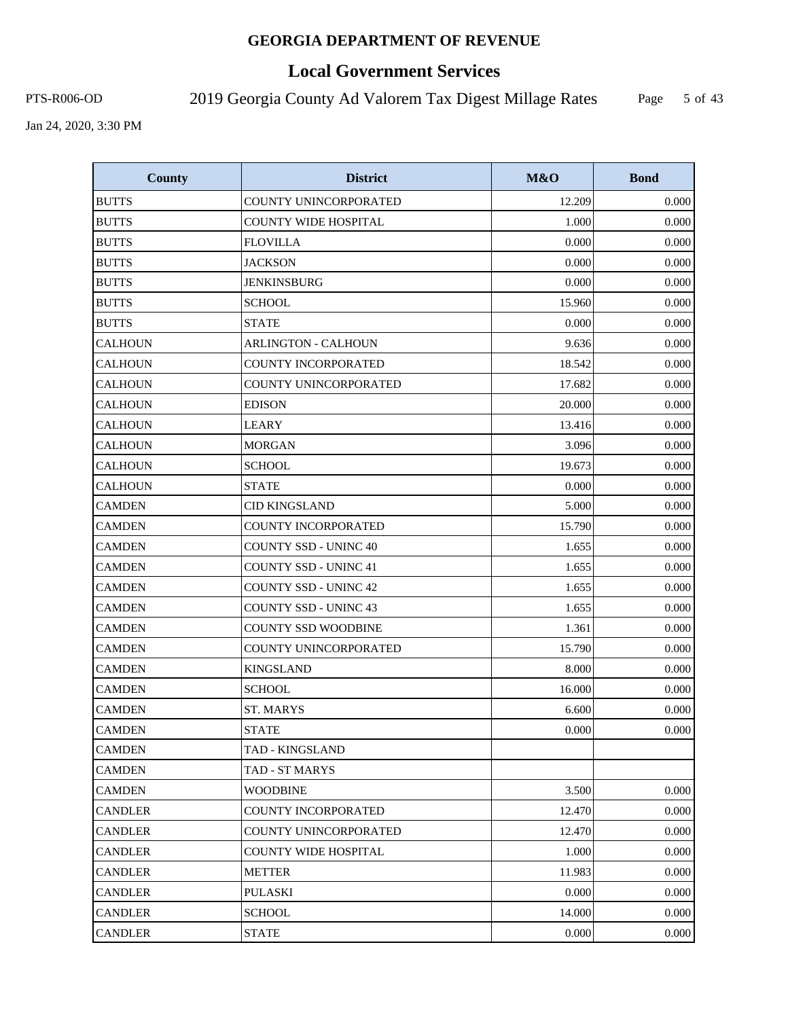# **Local Government Services**

PTS-R006-OD 2019 Georgia County Ad Valorem Tax Digest Millage Rates

Page 5 of 43

| <b>County</b>  | <b>District</b>              | M&O    | <b>Bond</b> |
|----------------|------------------------------|--------|-------------|
| <b>BUTTS</b>   | COUNTY UNINCORPORATED        | 12.209 | 0.000       |
| <b>BUTTS</b>   | <b>COUNTY WIDE HOSPITAL</b>  | 1.000  | 0.000       |
| <b>BUTTS</b>   | <b>FLOVILLA</b>              | 0.000  | 0.000       |
| <b>BUTTS</b>   | <b>JACKSON</b>               | 0.000  | 0.000       |
| <b>BUTTS</b>   | <b>JENKINSBURG</b>           | 0.000  | 0.000       |
| <b>BUTTS</b>   | <b>SCHOOL</b>                | 15.960 | 0.000       |
| <b>BUTTS</b>   | <b>STATE</b>                 | 0.000  | 0.000       |
| <b>CALHOUN</b> | <b>ARLINGTON - CALHOUN</b>   | 9.636  | 0.000       |
| <b>CALHOUN</b> | <b>COUNTY INCORPORATED</b>   | 18.542 | 0.000       |
| <b>CALHOUN</b> | COUNTY UNINCORPORATED        | 17.682 | 0.000       |
| <b>CALHOUN</b> | <b>EDISON</b>                | 20.000 | 0.000       |
| <b>CALHOUN</b> | <b>LEARY</b>                 | 13.416 | 0.000       |
| <b>CALHOUN</b> | <b>MORGAN</b>                | 3.096  | 0.000       |
| <b>CALHOUN</b> | <b>SCHOOL</b>                | 19.673 | 0.000       |
| <b>CALHOUN</b> | <b>STATE</b>                 | 0.000  | 0.000       |
| <b>CAMDEN</b>  | <b>CID KINGSLAND</b>         | 5.000  | 0.000       |
| <b>CAMDEN</b>  | COUNTY INCORPORATED          | 15.790 | 0.000       |
| <b>CAMDEN</b>  | <b>COUNTY SSD - UNINC 40</b> | 1.655  | 0.000       |
| <b>CAMDEN</b>  | <b>COUNTY SSD - UNINC 41</b> | 1.655  | 0.000       |
| <b>CAMDEN</b>  | <b>COUNTY SSD - UNINC 42</b> | 1.655  | 0.000       |
| <b>CAMDEN</b>  | <b>COUNTY SSD - UNINC 43</b> | 1.655  | 0.000       |
| <b>CAMDEN</b>  | <b>COUNTY SSD WOODBINE</b>   | 1.361  | 0.000       |
| <b>CAMDEN</b>  | COUNTY UNINCORPORATED        | 15.790 | 0.000       |
| <b>CAMDEN</b>  | <b>KINGSLAND</b>             | 8.000  | 0.000       |
| <b>CAMDEN</b>  | <b>SCHOOL</b>                | 16.000 | 0.000       |
| <b>CAMDEN</b>  | <b>ST. MARYS</b>             | 6.600  | 0.000       |
| <b>CAMDEN</b>  | <b>STATE</b>                 | 0.000  | 0.000       |
| <b>CAMDEN</b>  | TAD - KINGSLAND              |        |             |
| <b>CAMDEN</b>  | TAD - ST MARYS               |        |             |
| <b>CAMDEN</b>  | <b>WOODBINE</b>              | 3.500  | 0.000       |
| <b>CANDLER</b> | COUNTY INCORPORATED          | 12.470 | 0.000       |
| CANDLER        | COUNTY UNINCORPORATED        | 12.470 | 0.000       |
| <b>CANDLER</b> | COUNTY WIDE HOSPITAL         | 1.000  | 0.000       |
| <b>CANDLER</b> | <b>METTER</b>                | 11.983 | 0.000       |
| CANDLER        | <b>PULASKI</b>               | 0.000  | 0.000       |
| <b>CANDLER</b> | <b>SCHOOL</b>                | 14.000 | 0.000       |
| <b>CANDLER</b> | <b>STATE</b>                 | 0.000  | 0.000       |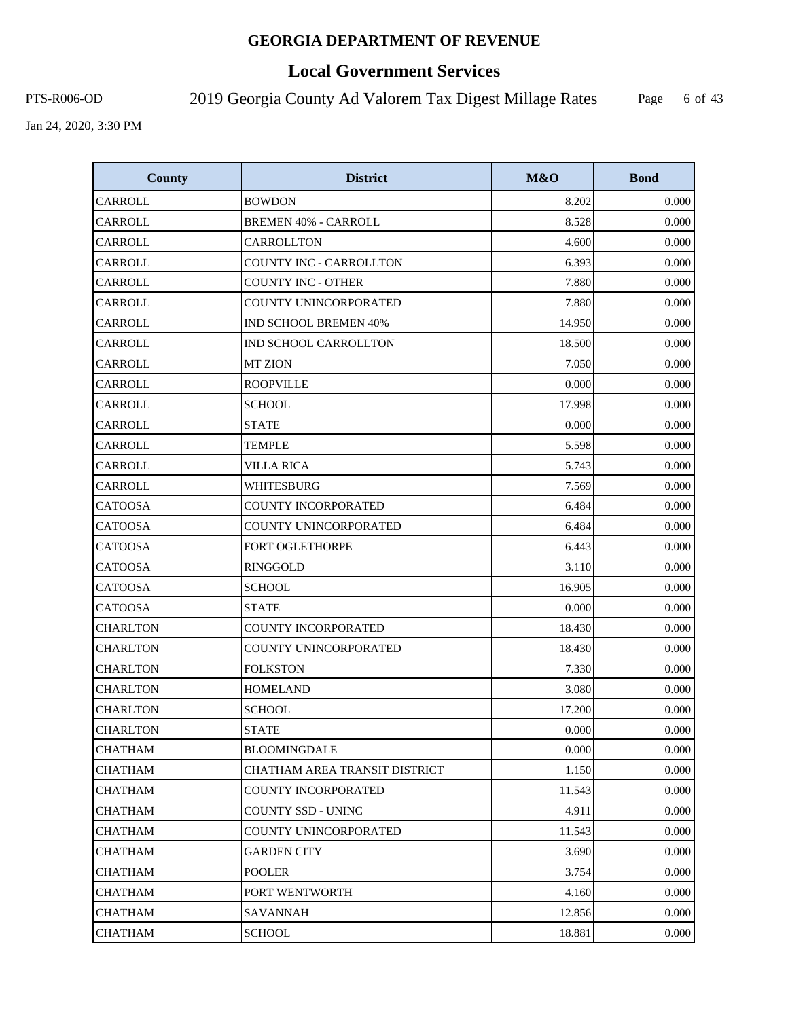# **Local Government Services**

PTS-R006-OD 2019 Georgia County Ad Valorem Tax Digest Millage Rates Page

6 of 43

| <b>County</b>   | <b>District</b>               | M&O    | <b>Bond</b> |
|-----------------|-------------------------------|--------|-------------|
| CARROLL         | <b>BOWDON</b>                 | 8.202  | 0.000       |
| CARROLL         | <b>BREMEN 40% - CARROLL</b>   | 8.528  | 0.000       |
| CARROLL         | CARROLLTON                    | 4.600  | 0.000       |
| CARROLL         | COUNTY INC - CARROLLTON       | 6.393  | 0.000       |
| CARROLL         | <b>COUNTY INC - OTHER</b>     | 7.880  | 0.000       |
| CARROLL         | <b>COUNTY UNINCORPORATED</b>  | 7.880  | 0.000       |
| CARROLL         | IND SCHOOL BREMEN 40%         | 14.950 | 0.000       |
| <b>CARROLL</b>  | IND SCHOOL CARROLLTON         | 18.500 | 0.000       |
| CARROLL         | <b>MT ZION</b>                | 7.050  | 0.000       |
| CARROLL         | <b>ROOPVILLE</b>              | 0.000  | 0.000       |
| CARROLL         | <b>SCHOOL</b>                 | 17.998 | 0.000       |
| CARROLL         | STATE                         | 0.000  | 0.000       |
| CARROLL         | <b>TEMPLE</b>                 | 5.598  | 0.000       |
| CARROLL         | <b>VILLA RICA</b>             | 5.743  | 0.000       |
| CARROLL         | WHITESBURG                    | 7.569  | 0.000       |
| <b>CATOOSA</b>  | <b>COUNTY INCORPORATED</b>    | 6.484  | 0.000       |
| <b>CATOOSA</b>  | <b>COUNTY UNINCORPORATED</b>  | 6.484  | 0.000       |
| <b>CATOOSA</b>  | FORT OGLETHORPE               | 6.443  | 0.000       |
| <b>CATOOSA</b>  | <b>RINGGOLD</b>               | 3.110  | 0.000       |
| <b>CATOOSA</b>  | <b>SCHOOL</b>                 | 16.905 | 0.000       |
| <b>CATOOSA</b>  | <b>STATE</b>                  | 0.000  | 0.000       |
| CHARLTON        | COUNTY INCORPORATED           | 18.430 | 0.000       |
| <b>CHARLTON</b> | COUNTY UNINCORPORATED         | 18.430 | 0.000       |
| <b>CHARLTON</b> | <b>FOLKSTON</b>               | 7.330  | 0.000       |
| <b>CHARLTON</b> | <b>HOMELAND</b>               | 3.080  | 0.000       |
| <b>CHARLTON</b> | <b>SCHOOL</b>                 | 17.200 | 0.000       |
| <b>CHARLTON</b> | <b>STATE</b>                  | 0.000  | 0.000       |
| <b>CHATHAM</b>  | <b>BLOOMINGDALE</b>           | 0.000  | 0.000       |
| <b>CHATHAM</b>  | CHATHAM AREA TRANSIT DISTRICT | 1.150  | 0.000       |
| CHATHAM         | COUNTY INCORPORATED           | 11.543 | 0.000       |
| <b>CHATHAM</b>  | COUNTY SSD - UNINC            | 4.911  | 0.000       |
| <b>CHATHAM</b>  | COUNTY UNINCORPORATED         | 11.543 | 0.000       |
| <b>CHATHAM</b>  | <b>GARDEN CITY</b>            | 3.690  | 0.000       |
| <b>CHATHAM</b>  | <b>POOLER</b>                 | 3.754  | 0.000       |
| <b>CHATHAM</b>  | PORT WENTWORTH                | 4.160  | 0.000       |
| CHATHAM         | SAVANNAH                      | 12.856 | 0.000       |
| <b>CHATHAM</b>  | <b>SCHOOL</b>                 | 18.881 | 0.000       |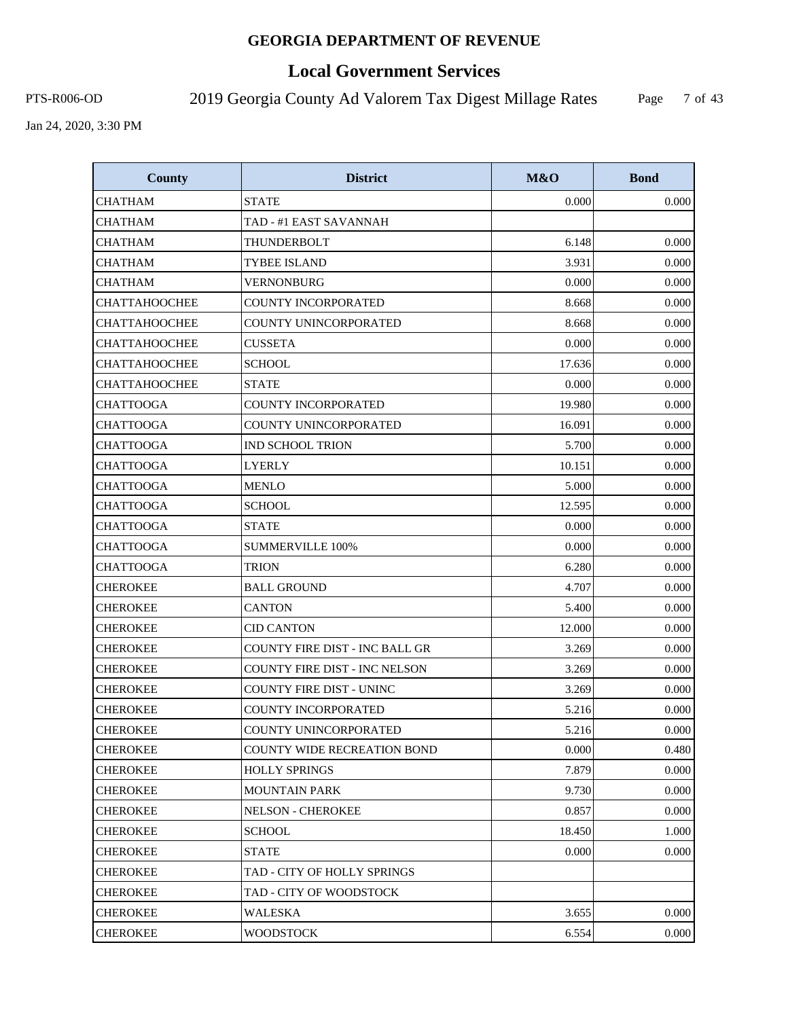# **Local Government Services**

PTS-R006-OD 2019 Georgia County Ad Valorem Tax Digest Millage Rates

Page 7 of 43

| <b>County</b>        | <b>District</b>                       | M&O    | <b>Bond</b> |
|----------------------|---------------------------------------|--------|-------------|
| <b>CHATHAM</b>       | <b>STATE</b>                          | 0.000  | 0.000       |
| CHATHAM              | TAD - #1 EAST SAVANNAH                |        |             |
| <b>CHATHAM</b>       | THUNDERBOLT                           | 6.148  | 0.000       |
| <b>CHATHAM</b>       | <b>TYBEE ISLAND</b>                   | 3.931  | 0.000       |
| <b>CHATHAM</b>       | VERNONBURG                            | 0.000  | 0.000       |
| <b>CHATTAHOOCHEE</b> | <b>COUNTY INCORPORATED</b>            | 8.668  | 0.000       |
| <b>CHATTAHOOCHEE</b> | COUNTY UNINCORPORATED                 | 8.668  | 0.000       |
| <b>CHATTAHOOCHEE</b> | <b>CUSSETA</b>                        | 0.000  | 0.000       |
| <b>CHATTAHOOCHEE</b> | <b>SCHOOL</b>                         | 17.636 | 0.000       |
| <b>CHATTAHOOCHEE</b> | <b>STATE</b>                          | 0.000  | 0.000       |
| <b>CHATTOOGA</b>     | COUNTY INCORPORATED                   | 19.980 | 0.000       |
| <b>CHATTOOGA</b>     | COUNTY UNINCORPORATED                 | 16.091 | 0.000       |
| <b>CHATTOOGA</b>     | <b>IND SCHOOL TRION</b>               | 5.700  | 0.000       |
| <b>CHATTOOGA</b>     | <b>LYERLY</b>                         | 10.151 | 0.000       |
| <b>CHATTOOGA</b>     | <b>MENLO</b>                          | 5.000  | 0.000       |
| <b>CHATTOOGA</b>     | <b>SCHOOL</b>                         | 12.595 | 0.000       |
| <b>CHATTOOGA</b>     | <b>STATE</b>                          | 0.000  | 0.000       |
| <b>CHATTOOGA</b>     | <b>SUMMERVILLE 100%</b>               | 0.000  | 0.000       |
| <b>CHATTOOGA</b>     | TRION                                 | 6.280  | 0.000       |
| <b>CHEROKEE</b>      | <b>BALL GROUND</b>                    | 4.707  | 0.000       |
| <b>CHEROKEE</b>      | <b>CANTON</b>                         | 5.400  | 0.000       |
| <b>CHEROKEE</b>      | CID CANTON                            | 12.000 | 0.000       |
| <b>CHEROKEE</b>      | <b>COUNTY FIRE DIST - INC BALL GR</b> | 3.269  | 0.000       |
| <b>CHEROKEE</b>      | <b>COUNTY FIRE DIST - INC NELSON</b>  | 3.269  | 0.000       |
| <b>CHEROKEE</b>      | <b>COUNTY FIRE DIST - UNINC</b>       | 3.269  | 0.000       |
| <b>CHEROKEE</b>      | <b>COUNTY INCORPORATED</b>            | 5.216  | 0.000       |
| <b>CHEROKEE</b>      | COUNTY UNINCORPORATED                 | 5.216  | 0.000       |
| <b>CHEROKEE</b>      | <b>COUNTY WIDE RECREATION BOND</b>    | 0.000  | 0.480       |
| <b>CHEROKEE</b>      | <b>HOLLY SPRINGS</b>                  | 7.879  | 0.000       |
| CHEROKEE             | MOUNTAIN PARK                         | 9.730  | 0.000       |
| <b>CHEROKEE</b>      | <b>NELSON - CHEROKEE</b>              | 0.857  | 0.000       |
| <b>CHEROKEE</b>      | SCHOOL                                | 18.450 | 1.000       |
| <b>CHEROKEE</b>      | <b>STATE</b>                          | 0.000  | 0.000       |
| <b>CHEROKEE</b>      | TAD - CITY OF HOLLY SPRINGS           |        |             |
| <b>CHEROKEE</b>      | TAD - CITY OF WOODSTOCK               |        |             |
| <b>CHEROKEE</b>      | WALESKA                               | 3.655  | 0.000       |
| <b>CHEROKEE</b>      | <b>WOODSTOCK</b>                      | 6.554  | 0.000       |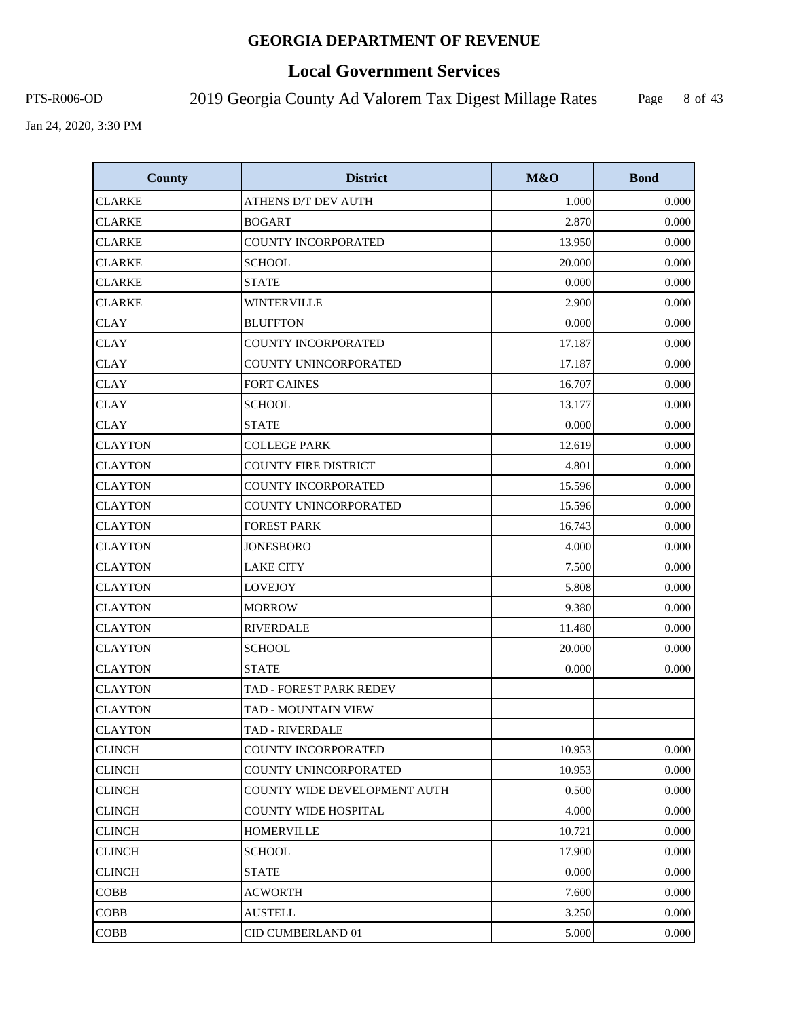# **Local Government Services**

PTS-R006-OD 2019 Georgia County Ad Valorem Tax Digest Millage Rates Page

8 of 43

| <b>County</b>  | <b>District</b>                | M&O    | <b>Bond</b> |
|----------------|--------------------------------|--------|-------------|
| <b>CLARKE</b>  | ATHENS D/T DEV AUTH            | 1.000  | 0.000       |
| <b>CLARKE</b>  | <b>BOGART</b>                  | 2.870  | 0.000       |
| <b>CLARKE</b>  | <b>COUNTY INCORPORATED</b>     | 13.950 | 0.000       |
| <b>CLARKE</b>  | <b>SCHOOL</b>                  | 20.000 | 0.000       |
| <b>CLARKE</b>  | <b>STATE</b>                   | 0.000  | 0.000       |
| <b>CLARKE</b>  | <b>WINTERVILLE</b>             | 2.900  | 0.000       |
| <b>CLAY</b>    | <b>BLUFFTON</b>                | 0.000  | 0.000       |
| <b>CLAY</b>    | <b>COUNTY INCORPORATED</b>     | 17.187 | 0.000       |
| <b>CLAY</b>    | COUNTY UNINCORPORATED          | 17.187 | 0.000       |
| <b>CLAY</b>    | <b>FORT GAINES</b>             | 16.707 | 0.000       |
| <b>CLAY</b>    | <b>SCHOOL</b>                  | 13.177 | 0.000       |
| <b>CLAY</b>    | <b>STATE</b>                   | 0.000  | 0.000       |
| <b>CLAYTON</b> | <b>COLLEGE PARK</b>            | 12.619 | 0.000       |
| <b>CLAYTON</b> | <b>COUNTY FIRE DISTRICT</b>    | 4.801  | 0.000       |
| <b>CLAYTON</b> | COUNTY INCORPORATED            | 15.596 | 0.000       |
| <b>CLAYTON</b> | COUNTY UNINCORPORATED          | 15.596 | 0.000       |
| <b>CLAYTON</b> | <b>FOREST PARK</b>             | 16.743 | 0.000       |
| <b>CLAYTON</b> | <b>JONESBORO</b>               | 4.000  | 0.000       |
| <b>CLAYTON</b> | <b>LAKE CITY</b>               | 7.500  | 0.000       |
| <b>CLAYTON</b> | <b>LOVEJOY</b>                 | 5.808  | 0.000       |
| <b>CLAYTON</b> | <b>MORROW</b>                  | 9.380  | 0.000       |
| <b>CLAYTON</b> | <b>RIVERDALE</b>               | 11.480 | 0.000       |
| <b>CLAYTON</b> | <b>SCHOOL</b>                  | 20.000 | 0.000       |
| <b>CLAYTON</b> | <b>STATE</b>                   | 0.000  | 0.000       |
| <b>CLAYTON</b> | <b>TAD - FOREST PARK REDEV</b> |        |             |
| <b>CLAYTON</b> | TAD - MOUNTAIN VIEW            |        |             |
| <b>CLAYTON</b> | TAD - RIVERDALE                |        |             |
| <b>CLINCH</b>  | COUNTY INCORPORATED            | 10.953 | 0.000       |
| <b>CLINCH</b>  | COUNTY UNINCORPORATED          | 10.953 | 0.000       |
| <b>CLINCH</b>  | COUNTY WIDE DEVELOPMENT AUTH   | 0.500  | 0.000       |
| <b>CLINCH</b>  | COUNTY WIDE HOSPITAL           | 4.000  | 0.000       |
| <b>CLINCH</b>  | <b>HOMERVILLE</b>              | 10.721 | 0.000       |
| <b>CLINCH</b>  | <b>SCHOOL</b>                  | 17.900 | 0.000       |
| <b>CLINCH</b>  | <b>STATE</b>                   | 0.000  | 0.000       |
| COBB           | <b>ACWORTH</b>                 | 7.600  | 0.000       |
| <b>COBB</b>    | <b>AUSTELL</b>                 | 3.250  | 0.000       |
| COBB           | CID CUMBERLAND 01              | 5.000  | 0.000       |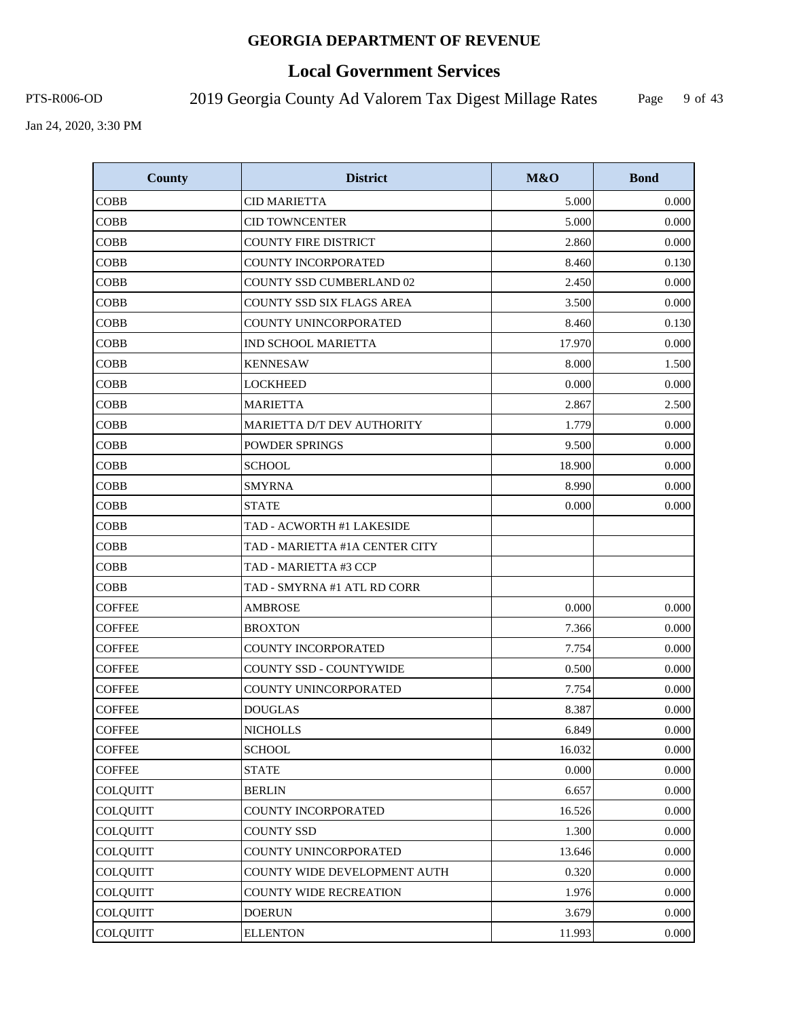# **Local Government Services**

PTS-R006-OD 2019 Georgia County Ad Valorem Tax Digest Millage Rates

Page 9 of 43

| <b>County</b>   | <b>District</b>                | M&O    | <b>Bond</b> |
|-----------------|--------------------------------|--------|-------------|
| <b>COBB</b>     | <b>CID MARIETTA</b>            | 5.000  | 0.000       |
| <b>COBB</b>     | <b>CID TOWNCENTER</b>          | 5.000  | 0.000       |
| <b>COBB</b>     | <b>COUNTY FIRE DISTRICT</b>    | 2.860  | 0.000       |
| <b>COBB</b>     | <b>COUNTY INCORPORATED</b>     | 8.460  | 0.130       |
| <b>COBB</b>     | COUNTY SSD CUMBERLAND 02       | 2.450  | 0.000       |
| <b>COBB</b>     | COUNTY SSD SIX FLAGS AREA      | 3.500  | 0.000       |
| <b>COBB</b>     | COUNTY UNINCORPORATED          | 8.460  | 0.130       |
| <b>COBB</b>     | <b>IND SCHOOL MARIETTA</b>     | 17.970 | 0.000       |
| <b>COBB</b>     | <b>KENNESAW</b>                | 8.000  | 1.500       |
| <b>COBB</b>     | <b>LOCKHEED</b>                | 0.000  | 0.000       |
| <b>COBB</b>     | <b>MARIETTA</b>                | 2.867  | 2.500       |
| <b>COBB</b>     | MARIETTA D/T DEV AUTHORITY     | 1.779  | 0.000       |
| <b>COBB</b>     | <b>POWDER SPRINGS</b>          | 9.500  | 0.000       |
| <b>COBB</b>     | <b>SCHOOL</b>                  | 18.900 | 0.000       |
| <b>COBB</b>     | <b>SMYRNA</b>                  | 8.990  | 0.000       |
| <b>COBB</b>     | <b>STATE</b>                   | 0.000  | 0.000       |
| <b>COBB</b>     | TAD - ACWORTH #1 LAKESIDE      |        |             |
| <b>COBB</b>     | TAD - MARIETTA #1A CENTER CITY |        |             |
| <b>COBB</b>     | TAD - MARIETTA #3 CCP          |        |             |
| <b>COBB</b>     | TAD - SMYRNA #1 ATL RD CORR    |        |             |
| <b>COFFEE</b>   | <b>AMBROSE</b>                 | 0.000  | 0.000       |
| <b>COFFEE</b>   | <b>BROXTON</b>                 | 7.366  | 0.000       |
| <b>COFFEE</b>   | <b>COUNTY INCORPORATED</b>     | 7.754  | 0.000       |
| <b>COFFEE</b>   | COUNTY SSD - COUNTYWIDE        | 0.500  | 0.000       |
| <b>COFFEE</b>   | <b>COUNTY UNINCORPORATED</b>   | 7.754  | 0.000       |
| <b>COFFEE</b>   | <b>DOUGLAS</b>                 | 8.387  | 0.000       |
| <b>COFFEE</b>   | <b>NICHOLLS</b>                | 6.849  | 0.000       |
| <b>COFFEE</b>   | <b>SCHOOL</b>                  | 16.032 | 0.000       |
| <b>COFFEE</b>   | <b>STATE</b>                   | 0.000  | 0.000       |
| COLQUITT        | <b>BERLIN</b>                  | 6.657  | 0.000       |
| <b>COLQUITT</b> | COUNTY INCORPORATED            | 16.526 | 0.000       |
| <b>COLQUITT</b> | <b>COUNTY SSD</b>              | 1.300  | 0.000       |
| <b>COLQUITT</b> | COUNTY UNINCORPORATED          | 13.646 | 0.000       |
| <b>COLQUITT</b> | COUNTY WIDE DEVELOPMENT AUTH   | 0.320  | 0.000       |
| COLQUITT        | COUNTY WIDE RECREATION         | 1.976  | 0.000       |
| <b>COLQUITT</b> | <b>DOERUN</b>                  | 3.679  | 0.000       |
| <b>COLQUITT</b> | <b>ELLENTON</b>                | 11.993 | 0.000       |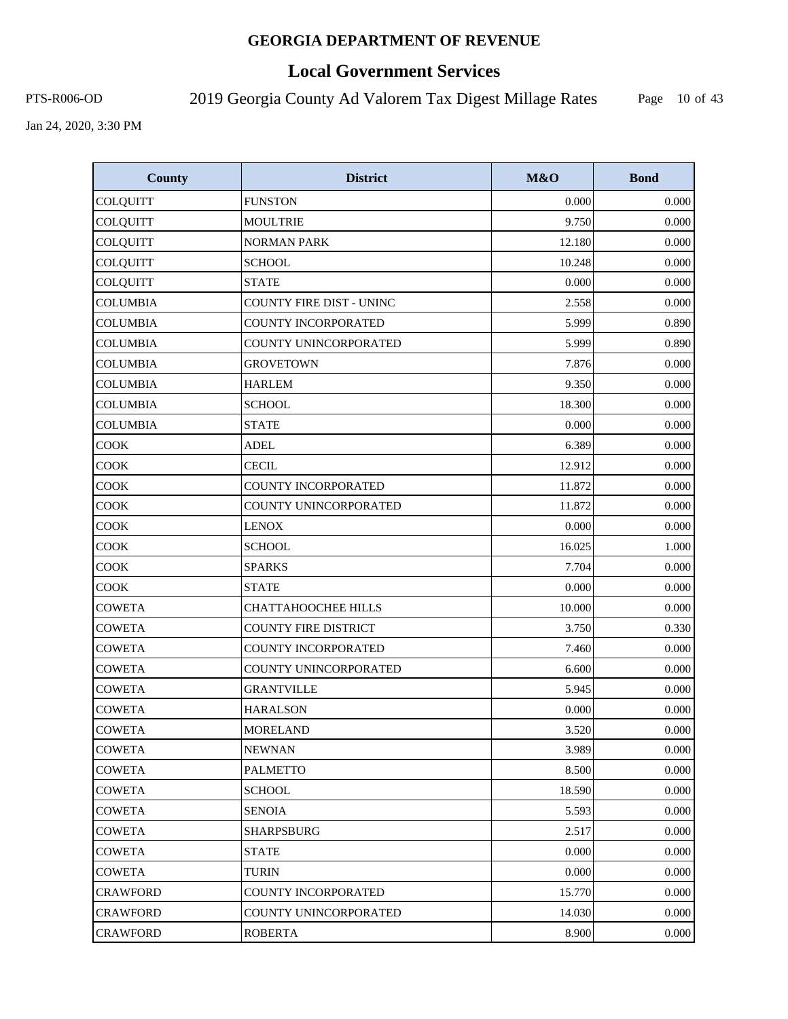# **Local Government Services**

PTS-R006-OD 2019 Georgia County Ad Valorem Tax Digest Millage Rates

Page 10 of 43

| <b>County</b>   | <b>District</b>                 | M&O    | <b>Bond</b> |
|-----------------|---------------------------------|--------|-------------|
| <b>COLQUITT</b> | <b>FUNSTON</b>                  | 0.000  | 0.000       |
| <b>COLQUITT</b> | <b>MOULTRIE</b>                 | 9.750  | 0.000       |
| COLQUITT        | <b>NORMAN PARK</b>              | 12.180 | 0.000       |
| <b>COLQUITT</b> | <b>SCHOOL</b>                   | 10.248 | 0.000       |
| COLQUITT        | <b>STATE</b>                    | 0.000  | 0.000       |
| <b>COLUMBIA</b> | <b>COUNTY FIRE DIST - UNINC</b> | 2.558  | 0.000       |
| <b>COLUMBIA</b> | COUNTY INCORPORATED             | 5.999  | 0.890       |
| <b>COLUMBIA</b> | <b>COUNTY UNINCORPORATED</b>    | 5.999  | 0.890       |
| <b>COLUMBIA</b> | <b>GROVETOWN</b>                | 7.876  | 0.000       |
| <b>COLUMBIA</b> | <b>HARLEM</b>                   | 9.350  | 0.000       |
| <b>COLUMBIA</b> | <b>SCHOOL</b>                   | 18.300 | 0.000       |
| <b>COLUMBIA</b> | <b>STATE</b>                    | 0.000  | 0.000       |
| <b>COOK</b>     | <b>ADEL</b>                     | 6.389  | 0.000       |
| COOK            | <b>CECIL</b>                    | 12.912 | 0.000       |
| COOK            | COUNTY INCORPORATED             | 11.872 | 0.000       |
| <b>COOK</b>     | <b>COUNTY UNINCORPORATED</b>    | 11.872 | 0.000       |
| COOK            | <b>LENOX</b>                    | 0.000  | 0.000       |
| COOK            | <b>SCHOOL</b>                   | 16.025 | 1.000       |
| COOK            | <b>SPARKS</b>                   | 7.704  | 0.000       |
| COOK            | <b>STATE</b>                    | 0.000  | 0.000       |
| <b>COWETA</b>   | CHATTAHOOCHEE HILLS             | 10.000 | 0.000       |
| <b>COWETA</b>   | <b>COUNTY FIRE DISTRICT</b>     | 3.750  | 0.330       |
| <b>COWETA</b>   | COUNTY INCORPORATED             | 7.460  | 0.000       |
| <b>COWETA</b>   | COUNTY UNINCORPORATED           | 6.600  | 0.000       |
| <b>COWETA</b>   | <b>GRANTVILLE</b>               | 5.945  | 0.000       |
| <b>COWETA</b>   | <b>HARALSON</b>                 | 0.000  | 0.000       |
| <b>COWETA</b>   | <b>MORELAND</b>                 | 3.520  | 0.000       |
| <b>COWETA</b>   | <b>NEWNAN</b>                   | 3.989  | 0.000       |
| <b>COWETA</b>   | <b>PALMETTO</b>                 | 8.500  | 0.000       |
| <b>COWETA</b>   | <b>SCHOOL</b>                   | 18.590 | 0.000       |
| <b>COWETA</b>   | <b>SENOIA</b>                   | 5.593  | 0.000       |
| <b>COWETA</b>   | <b>SHARPSBURG</b>               | 2.517  | 0.000       |
| COWETA          | <b>STATE</b>                    | 0.000  | 0.000       |
| <b>COWETA</b>   | <b>TURIN</b>                    | 0.000  | 0.000       |
| <b>CRAWFORD</b> | <b>COUNTY INCORPORATED</b>      | 15.770 | 0.000       |
| <b>CRAWFORD</b> | COUNTY UNINCORPORATED           | 14.030 | 0.000       |
| <b>CRAWFORD</b> | <b>ROBERTA</b>                  | 8.900  | 0.000       |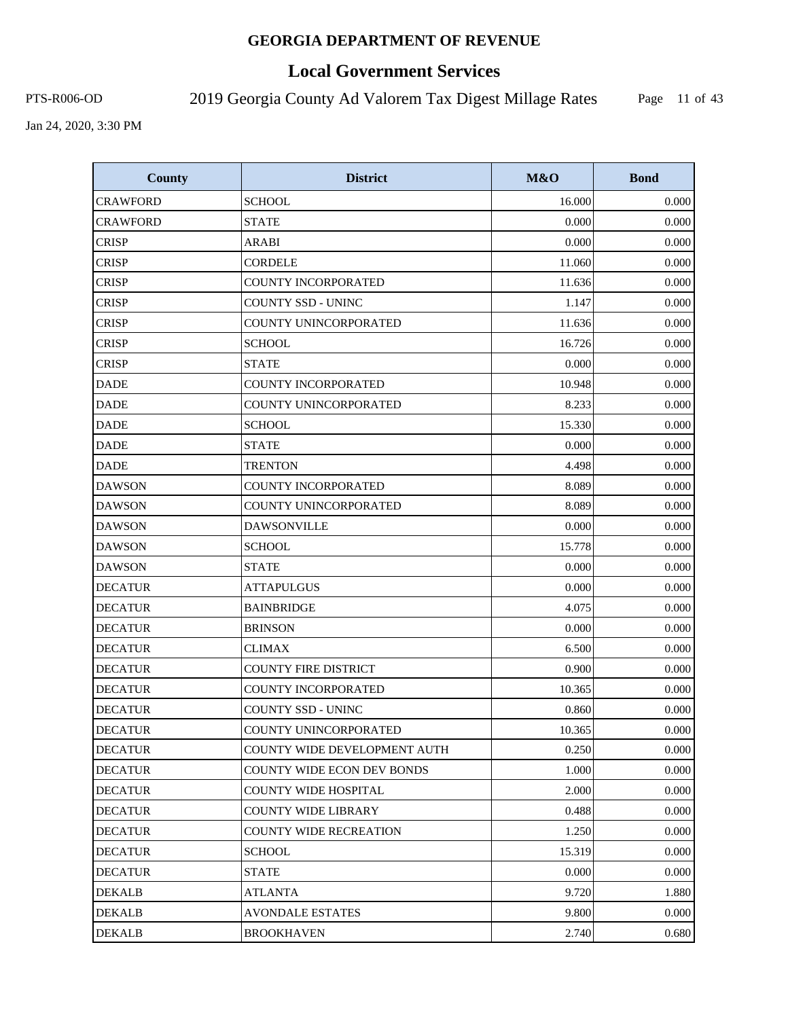# **Local Government Services**

PTS-R006-OD 2019 Georgia County Ad Valorem Tax Digest Millage Rates

Page 11 of 43

| <b>County</b>   | <b>District</b>                   | M&O    | <b>Bond</b> |
|-----------------|-----------------------------------|--------|-------------|
| <b>CRAWFORD</b> | <b>SCHOOL</b>                     | 16.000 | 0.000       |
| <b>CRAWFORD</b> | <b>STATE</b>                      | 0.000  | 0.000       |
| <b>CRISP</b>    | ARABI                             | 0.000  | 0.000       |
| <b>CRISP</b>    | <b>CORDELE</b>                    | 11.060 | 0.000       |
| <b>CRISP</b>    | <b>COUNTY INCORPORATED</b>        | 11.636 | 0.000       |
| <b>CRISP</b>    | <b>COUNTY SSD - UNINC</b>         | 1.147  | 0.000       |
| <b>CRISP</b>    | COUNTY UNINCORPORATED             | 11.636 | 0.000       |
| <b>CRISP</b>    | <b>SCHOOL</b>                     | 16.726 | 0.000       |
| <b>CRISP</b>    | <b>STATE</b>                      | 0.000  | 0.000       |
| <b>DADE</b>     | <b>COUNTY INCORPORATED</b>        | 10.948 | 0.000       |
| <b>DADE</b>     | COUNTY UNINCORPORATED             | 8.233  | 0.000       |
| <b>DADE</b>     | <b>SCHOOL</b>                     | 15.330 | 0.000       |
| <b>DADE</b>     | <b>STATE</b>                      | 0.000  | 0.000       |
| <b>DADE</b>     | <b>TRENTON</b>                    | 4.498  | 0.000       |
| <b>DAWSON</b>   | COUNTY INCORPORATED               | 8.089  | 0.000       |
| <b>DAWSON</b>   | COUNTY UNINCORPORATED             | 8.089  | 0.000       |
| <b>DAWSON</b>   | <b>DAWSONVILLE</b>                | 0.000  | 0.000       |
| <b>DAWSON</b>   | <b>SCHOOL</b>                     | 15.778 | 0.000       |
| <b>DAWSON</b>   | <b>STATE</b>                      | 0.000  | 0.000       |
| <b>DECATUR</b>  | <b>ATTAPULGUS</b>                 | 0.000  | 0.000       |
| <b>DECATUR</b>  | <b>BAINBRIDGE</b>                 | 4.075  | 0.000       |
| <b>DECATUR</b>  | <b>BRINSON</b>                    | 0.000  | 0.000       |
| <b>DECATUR</b>  | <b>CLIMAX</b>                     | 6.500  | 0.000       |
| <b>DECATUR</b>  | <b>COUNTY FIRE DISTRICT</b>       | 0.900  | 0.000       |
| <b>DECATUR</b>  | <b>COUNTY INCORPORATED</b>        | 10.365 | 0.000       |
| <b>DECATUR</b>  | COUNTY SSD - UNINC                | 0.860  | 0.000       |
| <b>DECATUR</b>  | COUNTY UNINCORPORATED             | 10.365 | 0.000       |
| <b>DECATUR</b>  | COUNTY WIDE DEVELOPMENT AUTH      | 0.250  | 0.000       |
| <b>DECATUR</b>  | <b>COUNTY WIDE ECON DEV BONDS</b> | 1.000  | 0.000       |
| <b>DECATUR</b>  | <b>COUNTY WIDE HOSPITAL</b>       | 2.000  | 0.000       |
| <b>DECATUR</b>  | <b>COUNTY WIDE LIBRARY</b>        | 0.488  | 0.000       |
| <b>DECATUR</b>  | <b>COUNTY WIDE RECREATION</b>     | 1.250  | 0.000       |
| <b>DECATUR</b>  | <b>SCHOOL</b>                     | 15.319 | 0.000       |
| <b>DECATUR</b>  | <b>STATE</b>                      | 0.000  | 0.000       |
| DEKALB          | ATLANTA                           | 9.720  | 1.880       |
| <b>DEKALB</b>   | <b>AVONDALE ESTATES</b>           | 9.800  | 0.000       |
| <b>DEKALB</b>   | <b>BROOKHAVEN</b>                 | 2.740  | 0.680       |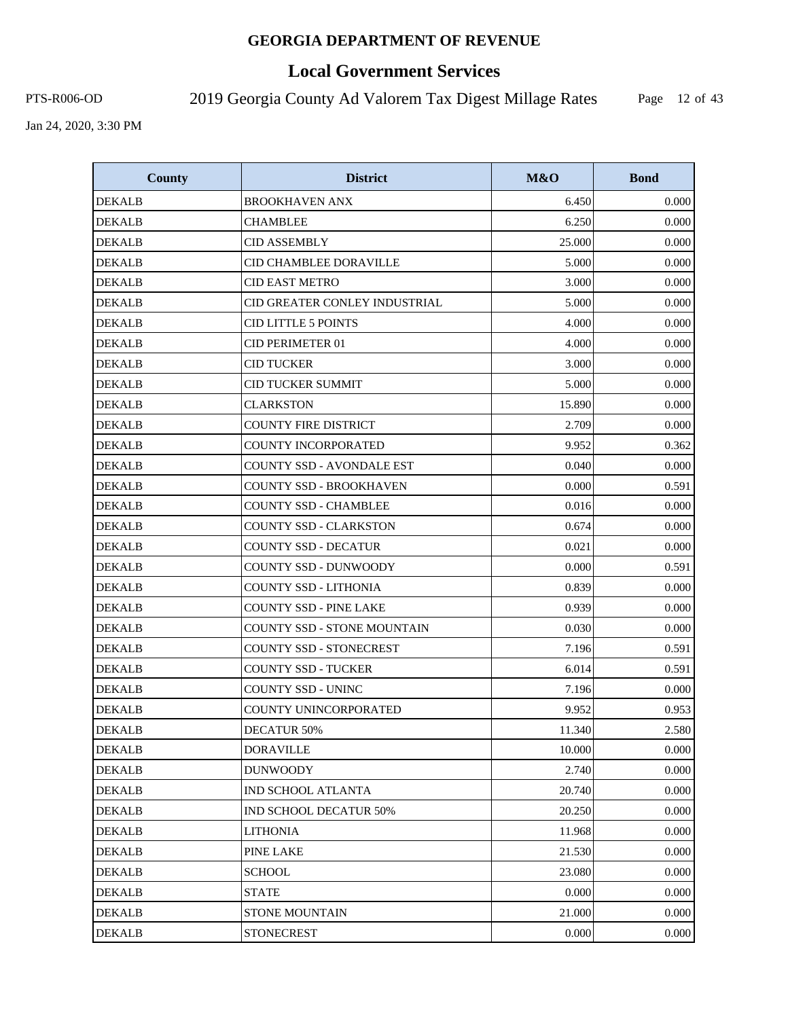# **Local Government Services**

PTS-R006-OD 2019 Georgia County Ad Valorem Tax Digest Millage Rates

Page 12 of 43

| <b>County</b> | <b>District</b>                    | M&O    | <b>Bond</b> |
|---------------|------------------------------------|--------|-------------|
| <b>DEKALB</b> | <b>BROOKHAVEN ANX</b>              | 6.450  | 0.000       |
| <b>DEKALB</b> | <b>CHAMBLEE</b>                    | 6.250  | 0.000       |
| DEKALB        | <b>CID ASSEMBLY</b>                | 25.000 | 0.000       |
| <b>DEKALB</b> | CID CHAMBLEE DORAVILLE             | 5.000  | 0.000       |
| <b>DEKALB</b> | <b>CID EAST METRO</b>              | 3.000  | 0.000       |
| <b>DEKALB</b> | CID GREATER CONLEY INDUSTRIAL      | 5.000  | 0.000       |
| <b>DEKALB</b> | <b>CID LITTLE 5 POINTS</b>         | 4.000  | 0.000       |
| <b>DEKALB</b> | <b>CID PERIMETER 01</b>            | 4.000  | 0.000       |
| <b>DEKALB</b> | <b>CID TUCKER</b>                  | 3.000  | 0.000       |
| <b>DEKALB</b> | <b>CID TUCKER SUMMIT</b>           | 5.000  | 0.000       |
| <b>DEKALB</b> | <b>CLARKSTON</b>                   | 15.890 | 0.000       |
| <b>DEKALB</b> | <b>COUNTY FIRE DISTRICT</b>        | 2.709  | 0.000       |
| <b>DEKALB</b> | <b>COUNTY INCORPORATED</b>         | 9.952  | 0.362       |
| <b>DEKALB</b> | <b>COUNTY SSD - AVONDALE EST</b>   | 0.040  | 0.000       |
| <b>DEKALB</b> | <b>COUNTY SSD - BROOKHAVEN</b>     | 0.000  | 0.591       |
| <b>DEKALB</b> | <b>COUNTY SSD - CHAMBLEE</b>       | 0.016  | 0.000       |
| DEKALB        | <b>COUNTY SSD - CLARKSTON</b>      | 0.674  | 0.000       |
| <b>DEKALB</b> | <b>COUNTY SSD - DECATUR</b>        | 0.021  | 0.000       |
| <b>DEKALB</b> | <b>COUNTY SSD - DUNWOODY</b>       | 0.000  | 0.591       |
| <b>DEKALB</b> | <b>COUNTY SSD - LITHONIA</b>       | 0.839  | 0.000       |
| <b>DEKALB</b> | <b>COUNTY SSD - PINE LAKE</b>      | 0.939  | 0.000       |
| DEKALB        | <b>COUNTY SSD - STONE MOUNTAIN</b> | 0.030  | 0.000       |
| <b>DEKALB</b> | <b>COUNTY SSD - STONECREST</b>     | 7.196  | 0.591       |
| <b>DEKALB</b> | <b>COUNTY SSD - TUCKER</b>         | 6.014  | 0.591       |
| <b>DEKALB</b> | <b>COUNTY SSD - UNINC</b>          | 7.196  | 0.000       |
| <b>DEKALB</b> | COUNTY UNINCORPORATED              | 9.952  | 0.953       |
| <b>DEKALB</b> | DECATUR 50%                        | 11.340 | 2.580       |
| <b>DEKALB</b> | <b>DORAVILLE</b>                   | 10.000 | 0.000       |
| <b>DEKALB</b> | <b>DUNWOODY</b>                    | 2.740  | 0.000       |
| DEKALB        | <b>IND SCHOOL ATLANTA</b>          | 20.740 | 0.000       |
| <b>DEKALB</b> | IND SCHOOL DECATUR 50%             | 20.250 | 0.000       |
| DEKALB        | <b>LITHONIA</b>                    | 11.968 | 0.000       |
| <b>DEKALB</b> | PINE LAKE                          | 21.530 | 0.000       |
| <b>DEKALB</b> | <b>SCHOOL</b>                      | 23.080 | 0.000       |
| <b>DEKALB</b> | <b>STATE</b>                       | 0.000  | 0.000       |
| <b>DEKALB</b> | STONE MOUNTAIN                     | 21.000 | 0.000       |
| <b>DEKALB</b> | <b>STONECREST</b>                  | 0.000  | 0.000       |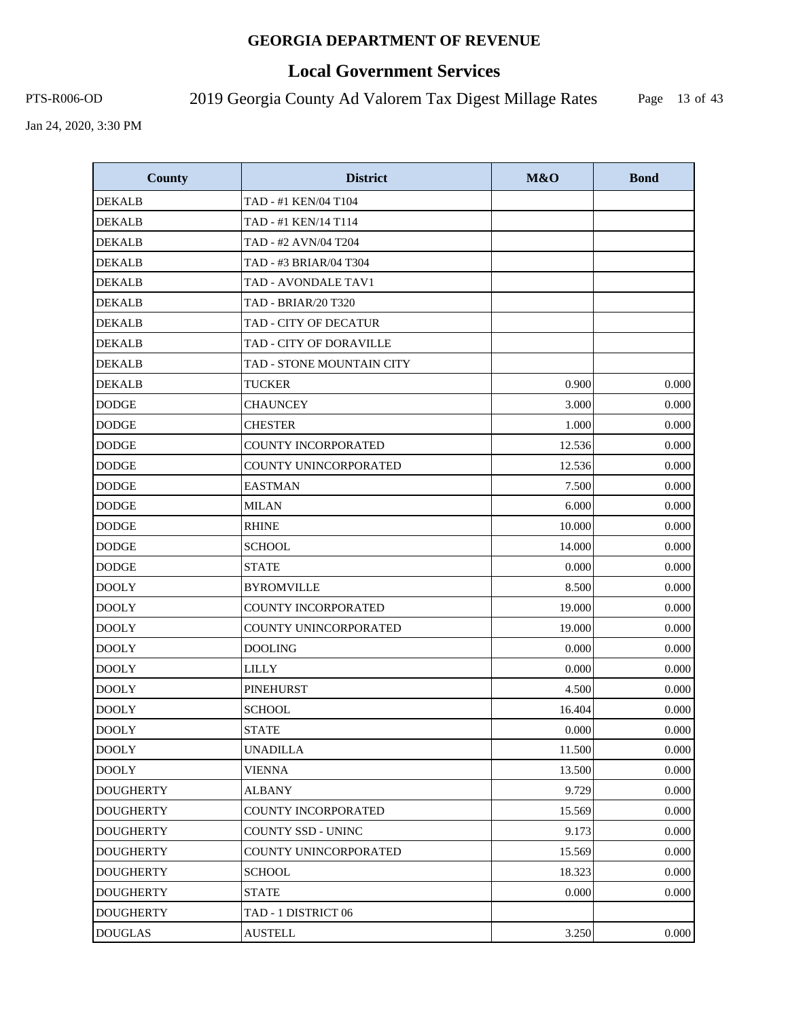# **Local Government Services**

PTS-R006-OD 2019 Georgia County Ad Valorem Tax Digest Millage Rates

Page 13 of 43

| <b>County</b>    | <b>District</b>            | M&O    | <b>Bond</b> |
|------------------|----------------------------|--------|-------------|
| <b>DEKALB</b>    | TAD - #1 KEN/04 T104       |        |             |
| <b>DEKALB</b>    | TAD - #1 KEN/14 T114       |        |             |
| <b>DEKALB</b>    | TAD - #2 AVN/04 T204       |        |             |
| <b>DEKALB</b>    | TAD - #3 BRIAR/04 T304     |        |             |
| <b>DEKALB</b>    | TAD - AVONDALE TAV1        |        |             |
| <b>DEKALB</b>    | <b>TAD - BRIAR/20 T320</b> |        |             |
| <b>DEKALB</b>    | TAD - CITY OF DECATUR      |        |             |
| <b>DEKALB</b>    | TAD - CITY OF DORAVILLE    |        |             |
| <b>DEKALB</b>    | TAD - STONE MOUNTAIN CITY  |        |             |
| <b>DEKALB</b>    | <b>TUCKER</b>              | 0.900  | 0.000       |
| <b>DODGE</b>     | <b>CHAUNCEY</b>            | 3.000  | 0.000       |
| <b>DODGE</b>     | <b>CHESTER</b>             | 1.000  | 0.000       |
| <b>DODGE</b>     | <b>COUNTY INCORPORATED</b> | 12.536 | 0.000       |
| <b>DODGE</b>     | COUNTY UNINCORPORATED      | 12.536 | 0.000       |
| <b>DODGE</b>     | <b>EASTMAN</b>             | 7.500  | 0.000       |
| <b>DODGE</b>     | <b>MILAN</b>               | 6.000  | 0.000       |
| <b>DODGE</b>     | <b>RHINE</b>               | 10.000 | 0.000       |
| <b>DODGE</b>     | <b>SCHOOL</b>              | 14.000 | 0.000       |
| <b>DODGE</b>     | <b>STATE</b>               | 0.000  | 0.000       |
| <b>DOOLY</b>     | <b>BYROMVILLE</b>          | 8.500  | 0.000       |
| <b>DOOLY</b>     | COUNTY INCORPORATED        | 19.000 | 0.000       |
| <b>DOOLY</b>     | COUNTY UNINCORPORATED      | 19.000 | 0.000       |
| <b>DOOLY</b>     | <b>DOOLING</b>             | 0.000  | 0.000       |
| <b>DOOLY</b>     | <b>LILLY</b>               | 0.000  | 0.000       |
| <b>DOOLY</b>     | <b>PINEHURST</b>           | 4.500  | 0.000       |
| <b>DOOLY</b>     | <b>SCHOOL</b>              | 16.404 | 0.000       |
| <b>DOOLY</b>     | <b>STATE</b>               | 0.000  | $0.000\,$   |
| <b>DOOLY</b>     | <b>UNADILLA</b>            | 11.500 | 0.000       |
| <b>DOOLY</b>     | <b>VIENNA</b>              | 13.500 | 0.000       |
| <b>DOUGHERTY</b> | <b>ALBANY</b>              | 9.729  | 0.000       |
| <b>DOUGHERTY</b> | COUNTY INCORPORATED        | 15.569 | 0.000       |
| <b>DOUGHERTY</b> | COUNTY SSD - UNINC         | 9.173  | 0.000       |
| <b>DOUGHERTY</b> | COUNTY UNINCORPORATED      | 15.569 | 0.000       |
| <b>DOUGHERTY</b> | <b>SCHOOL</b>              | 18.323 | 0.000       |
| <b>DOUGHERTY</b> | <b>STATE</b>               | 0.000  | 0.000       |
| <b>DOUGHERTY</b> | TAD - 1 DISTRICT 06        |        |             |
| <b>DOUGLAS</b>   | <b>AUSTELL</b>             | 3.250  | 0.000       |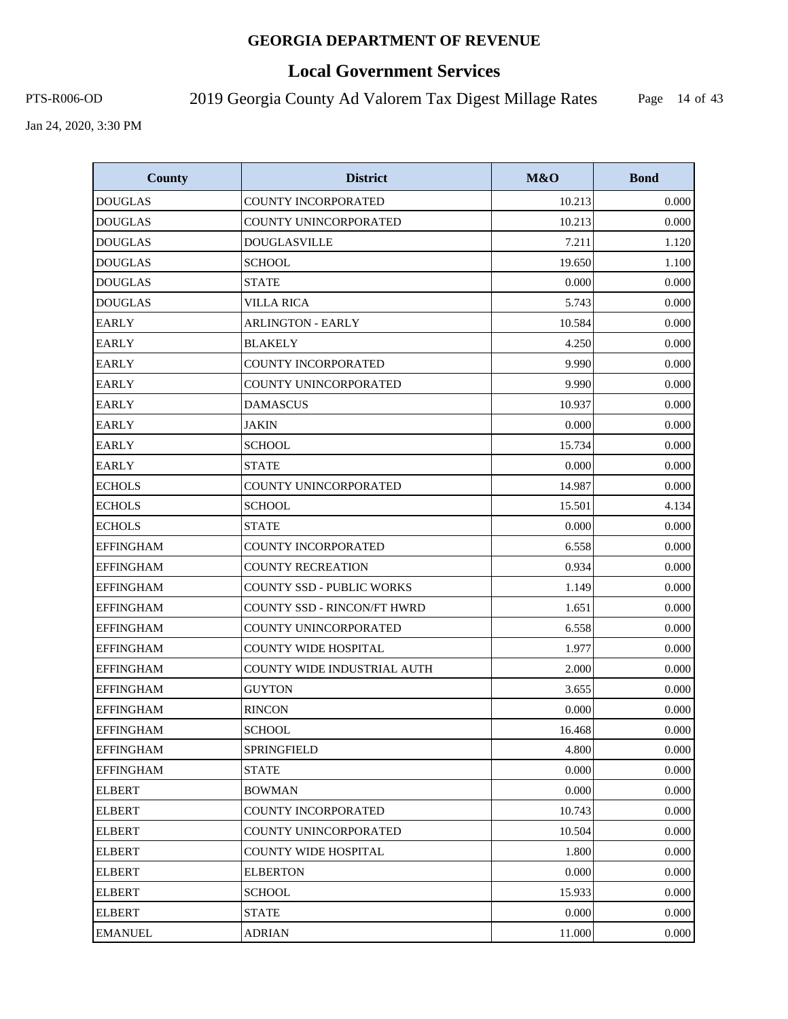# **Local Government Services**

PTS-R006-OD 2019 Georgia County Ad Valorem Tax Digest Millage Rates

Page 14 of 43

| <b>County</b>    | <b>District</b>                    | M&O    | <b>Bond</b> |
|------------------|------------------------------------|--------|-------------|
| <b>DOUGLAS</b>   | COUNTY INCORPORATED                | 10.213 | 0.000       |
| <b>DOUGLAS</b>   | COUNTY UNINCORPORATED              | 10.213 | 0.000       |
| <b>DOUGLAS</b>   | <b>DOUGLASVILLE</b>                | 7.211  | 1.120       |
| <b>DOUGLAS</b>   | <b>SCHOOL</b>                      | 19.650 | 1.100       |
| <b>DOUGLAS</b>   | <b>STATE</b>                       | 0.000  | 0.000       |
| <b>DOUGLAS</b>   | <b>VILLA RICA</b>                  | 5.743  | 0.000       |
| <b>EARLY</b>     | <b>ARLINGTON - EARLY</b>           | 10.584 | 0.000       |
| <b>EARLY</b>     | <b>BLAKELY</b>                     | 4.250  | 0.000       |
| <b>EARLY</b>     | <b>COUNTY INCORPORATED</b>         | 9.990  | 0.000       |
| <b>EARLY</b>     | COUNTY UNINCORPORATED              | 9.990  | 0.000       |
| <b>EARLY</b>     | <b>DAMASCUS</b>                    | 10.937 | 0.000       |
| <b>EARLY</b>     | <b>JAKIN</b>                       | 0.000  | 0.000       |
| <b>EARLY</b>     | <b>SCHOOL</b>                      | 15.734 | 0.000       |
| <b>EARLY</b>     | <b>STATE</b>                       | 0.000  | 0.000       |
| <b>ECHOLS</b>    | <b>COUNTY UNINCORPORATED</b>       | 14.987 | 0.000       |
| <b>ECHOLS</b>    | <b>SCHOOL</b>                      | 15.501 | 4.134       |
| <b>ECHOLS</b>    | <b>STATE</b>                       | 0.000  | 0.000       |
| <b>EFFINGHAM</b> | COUNTY INCORPORATED                | 6.558  | 0.000       |
| <b>EFFINGHAM</b> | <b>COUNTY RECREATION</b>           | 0.934  | 0.000       |
| <b>EFFINGHAM</b> | <b>COUNTY SSD - PUBLIC WORKS</b>   | 1.149  | 0.000       |
| <b>EFFINGHAM</b> | <b>COUNTY SSD - RINCON/FT HWRD</b> | 1.651  | 0.000       |
| <b>EFFINGHAM</b> | COUNTY UNINCORPORATED              | 6.558  | 0.000       |
| <b>EFFINGHAM</b> | <b>COUNTY WIDE HOSPITAL</b>        | 1.977  | 0.000       |
| <b>EFFINGHAM</b> | <b>COUNTY WIDE INDUSTRIAL AUTH</b> | 2.000  | 0.000       |
| <b>EFFINGHAM</b> | <b>GUYTON</b>                      | 3.655  | 0.000       |
| <b>EFFINGHAM</b> | <b>RINCON</b>                      | 0.000  | 0.000       |
| <b>EFFINGHAM</b> | <b>SCHOOL</b>                      | 16.468 | 0.000       |
| <b>EFFINGHAM</b> | SPRINGFIELD                        | 4.800  | 0.000       |
| <b>EFFINGHAM</b> | <b>STATE</b>                       | 0.000  | 0.000       |
| <b>ELBERT</b>    | BOWMAN                             | 0.000  | 0.000       |
| <b>ELBERT</b>    | <b>COUNTY INCORPORATED</b>         | 10.743 | 0.000       |
| <b>ELBERT</b>    | COUNTY UNINCORPORATED              | 10.504 | 0.000       |
| <b>ELBERT</b>    | COUNTY WIDE HOSPITAL               | 1.800  | 0.000       |
| <b>ELBERT</b>    | <b>ELBERTON</b>                    | 0.000  | 0.000       |
| <b>ELBERT</b>    | <b>SCHOOL</b>                      | 15.933 | 0.000       |
| <b>ELBERT</b>    | <b>STATE</b>                       | 0.000  | 0.000       |
| <b>EMANUEL</b>   | <b>ADRIAN</b>                      | 11.000 | 0.000       |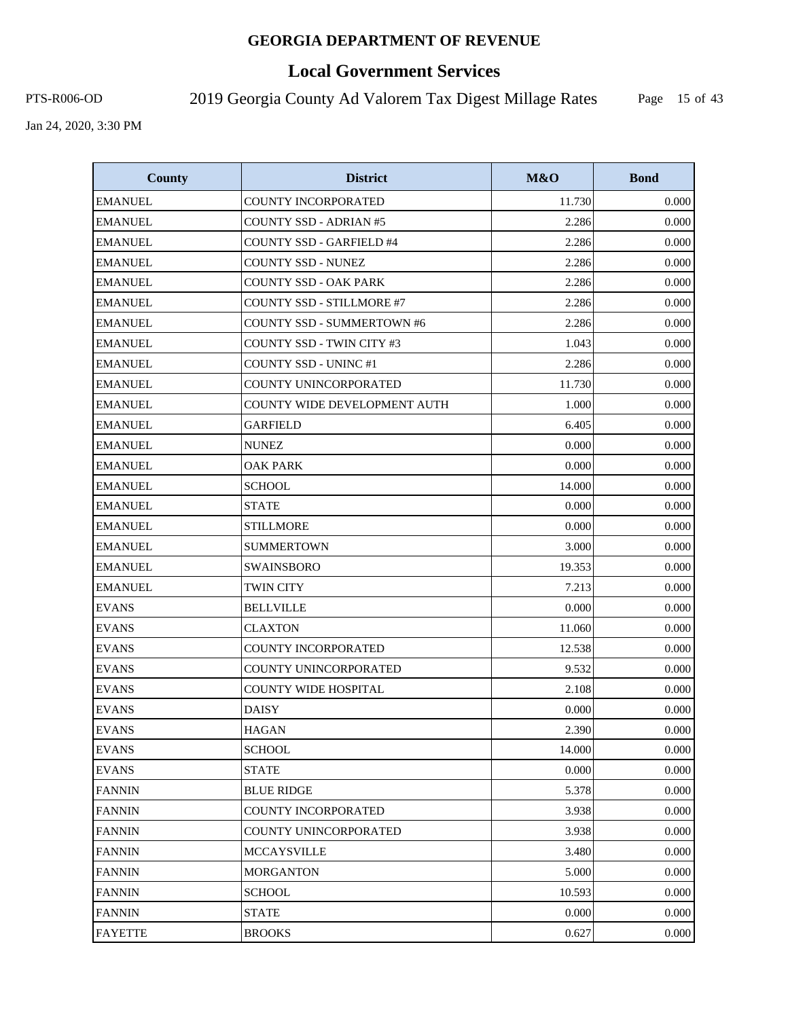# **Local Government Services**

PTS-R006-OD 2019 Georgia County Ad Valorem Tax Digest Millage Rates

Page 15 of 43

| <b>County</b>  | <b>District</b>                   | M&O    | <b>Bond</b> |
|----------------|-----------------------------------|--------|-------------|
| <b>EMANUEL</b> | <b>COUNTY INCORPORATED</b>        | 11.730 | 0.000       |
| <b>EMANUEL</b> | <b>COUNTY SSD - ADRIAN #5</b>     | 2.286  | 0.000       |
| <b>EMANUEL</b> | <b>COUNTY SSD - GARFIELD #4</b>   | 2.286  | 0.000       |
| <b>EMANUEL</b> | COUNTY SSD - NUNEZ                | 2.286  | 0.000       |
| <b>EMANUEL</b> | COUNTY SSD - OAK PARK             | 2.286  | 0.000       |
| <b>EMANUEL</b> | <b>COUNTY SSD - STILLMORE #7</b>  | 2.286  | 0.000       |
| <b>EMANUEL</b> | <b>COUNTY SSD - SUMMERTOWN #6</b> | 2.286  | 0.000       |
| <b>EMANUEL</b> | COUNTY SSD - TWIN CITY #3         | 1.043  | 0.000       |
| <b>EMANUEL</b> | <b>COUNTY SSD - UNINC #1</b>      | 2.286  | 0.000       |
| <b>EMANUEL</b> | COUNTY UNINCORPORATED             | 11.730 | 0.000       |
| <b>EMANUEL</b> | COUNTY WIDE DEVELOPMENT AUTH      | 1.000  | 0.000       |
| <b>EMANUEL</b> | <b>GARFIELD</b>                   | 6.405  | 0.000       |
| <b>EMANUEL</b> | <b>NUNEZ</b>                      | 0.000  | 0.000       |
| <b>EMANUEL</b> | <b>OAK PARK</b>                   | 0.000  | 0.000       |
| <b>EMANUEL</b> | <b>SCHOOL</b>                     | 14.000 | 0.000       |
| <b>EMANUEL</b> | <b>STATE</b>                      | 0.000  | 0.000       |
| <b>EMANUEL</b> | <b>STILLMORE</b>                  | 0.000  | 0.000       |
| <b>EMANUEL</b> | <b>SUMMERTOWN</b>                 | 3.000  | 0.000       |
| <b>EMANUEL</b> | <b>SWAINSBORO</b>                 | 19.353 | 0.000       |
| <b>EMANUEL</b> | <b>TWIN CITY</b>                  | 7.213  | 0.000       |
| <b>EVANS</b>   | <b>BELLVILLE</b>                  | 0.000  | 0.000       |
| <b>EVANS</b>   | <b>CLAXTON</b>                    | 11.060 | 0.000       |
| <b>EVANS</b>   | COUNTY INCORPORATED               | 12.538 | 0.000       |
| <b>EVANS</b>   | COUNTY UNINCORPORATED             | 9.532  | 0.000       |
| <b>EVANS</b>   | <b>COUNTY WIDE HOSPITAL</b>       | 2.108  | 0.000       |
| <b>EVANS</b>   | <b>DAISY</b>                      | 0.000  | 0.000       |
| <b>EVANS</b>   | <b>HAGAN</b>                      | 2.390  | 0.000       |
| <b>EVANS</b>   | <b>SCHOOL</b>                     | 14.000 | 0.000       |
| <b>EVANS</b>   | <b>STATE</b>                      | 0.000  | 0.000       |
| <b>FANNIN</b>  | <b>BLUE RIDGE</b>                 | 5.378  | 0.000       |
| <b>FANNIN</b>  | COUNTY INCORPORATED               | 3.938  | 0.000       |
| <b>FANNIN</b>  | COUNTY UNINCORPORATED             | 3.938  | 0.000       |
| <b>FANNIN</b>  | <b>MCCAYSVILLE</b>                | 3.480  | 0.000       |
| <b>FANNIN</b>  | <b>MORGANTON</b>                  | 5.000  | 0.000       |
| <b>FANNIN</b>  | <b>SCHOOL</b>                     | 10.593 | 0.000       |
| <b>FANNIN</b>  | <b>STATE</b>                      | 0.000  | 0.000       |
| <b>FAYETTE</b> | <b>BROOKS</b>                     | 0.627  | 0.000       |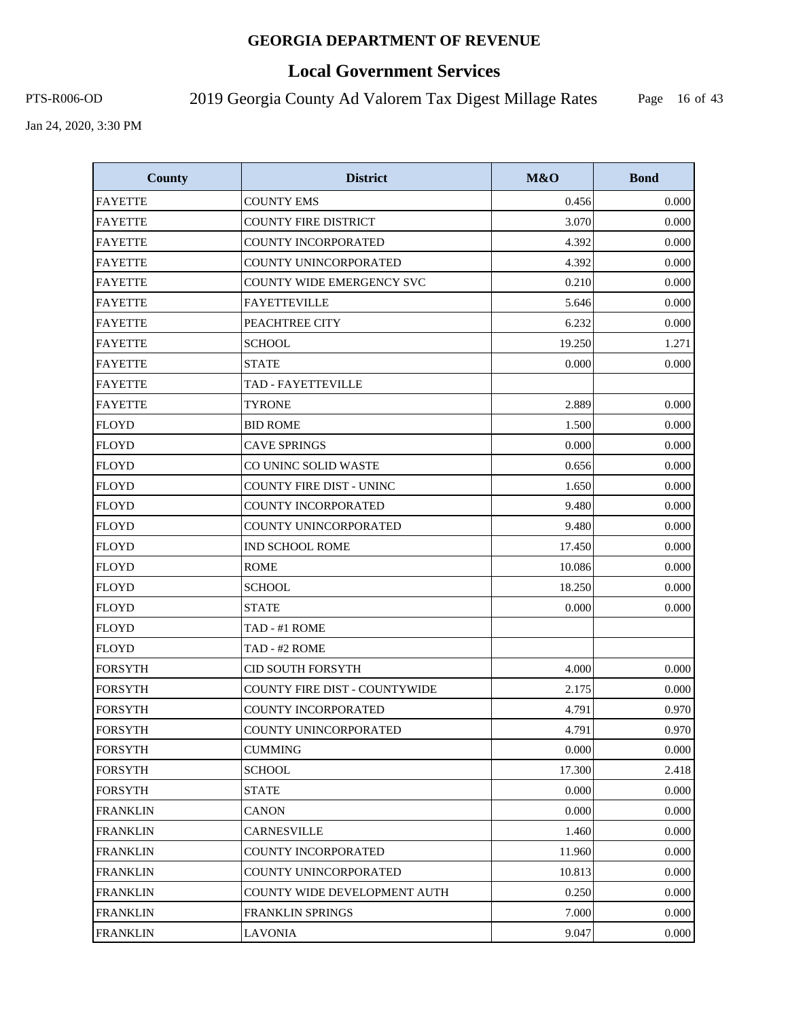# **Local Government Services**

PTS-R006-OD 2019 Georgia County Ad Valorem Tax Digest Millage Rates

Page 16 of 43

| <b>County</b>   | <b>District</b>                      | M&O    | <b>Bond</b> |
|-----------------|--------------------------------------|--------|-------------|
| <b>FAYETTE</b>  | <b>COUNTY EMS</b>                    | 0.456  | 0.000       |
| <b>FAYETTE</b>  | <b>COUNTY FIRE DISTRICT</b>          | 3.070  | 0.000       |
| <b>FAYETTE</b>  | <b>COUNTY INCORPORATED</b>           | 4.392  | 0.000       |
| <b>FAYETTE</b>  | COUNTY UNINCORPORATED                | 4.392  | 0.000       |
| <b>FAYETTE</b>  | COUNTY WIDE EMERGENCY SVC            | 0.210  | 0.000       |
| <b>FAYETTE</b>  | <b>FAYETTEVILLE</b>                  | 5.646  | 0.000       |
| <b>FAYETTE</b>  | PEACHTREE CITY                       | 6.232  | 0.000       |
| <b>FAYETTE</b>  | <b>SCHOOL</b>                        | 19.250 | 1.271       |
| <b>FAYETTE</b>  | <b>STATE</b>                         | 0.000  | 0.000       |
| <b>FAYETTE</b>  | TAD - FAYETTEVILLE                   |        |             |
| <b>FAYETTE</b>  | <b>TYRONE</b>                        | 2.889  | 0.000       |
| <b>FLOYD</b>    | <b>BID ROME</b>                      | 1.500  | 0.000       |
| <b>FLOYD</b>    | <b>CAVE SPRINGS</b>                  | 0.000  | 0.000       |
| <b>FLOYD</b>    | CO UNINC SOLID WASTE                 | 0.656  | 0.000       |
| <b>FLOYD</b>    | COUNTY FIRE DIST - UNINC             | 1.650  | 0.000       |
| <b>FLOYD</b>    | <b>COUNTY INCORPORATED</b>           | 9.480  | 0.000       |
| <b>FLOYD</b>    | COUNTY UNINCORPORATED                | 9.480  | 0.000       |
| <b>FLOYD</b>    | <b>IND SCHOOL ROME</b>               | 17.450 | 0.000       |
| <b>FLOYD</b>    | <b>ROME</b>                          | 10.086 | 0.000       |
| <b>FLOYD</b>    | <b>SCHOOL</b>                        | 18.250 | 0.000       |
| <b>FLOYD</b>    | <b>STATE</b>                         | 0.000  | 0.000       |
| <b>FLOYD</b>    | TAD - #1 ROME                        |        |             |
| <b>FLOYD</b>    | TAD - #2 ROME                        |        |             |
| <b>FORSYTH</b>  | <b>CID SOUTH FORSYTH</b>             | 4.000  | 0.000       |
| <b>FORSYTH</b>  | <b>COUNTY FIRE DIST - COUNTYWIDE</b> | 2.175  | 0.000       |
| <b>FORSYTH</b>  | <b>COUNTY INCORPORATED</b>           | 4.791  | 0.970       |
| <b>FORSYTH</b>  | COUNTY UNINCORPORATED                | 4.791  | 0.970       |
| <b>FORSYTH</b>  | <b>CUMMING</b>                       | 0.000  | 0.000       |
| <b>FORSYTH</b>  | <b>SCHOOL</b>                        | 17.300 | 2.418       |
| <b>FORSYTH</b>  | <b>STATE</b>                         | 0.000  | 0.000       |
| <b>FRANKLIN</b> | <b>CANON</b>                         | 0.000  | 0.000       |
| <b>FRANKLIN</b> | <b>CARNESVILLE</b>                   | 1.460  | 0.000       |
| <b>FRANKLIN</b> | COUNTY INCORPORATED                  | 11.960 | 0.000       |
| <b>FRANKLIN</b> | COUNTY UNINCORPORATED                | 10.813 | 0.000       |
| <b>FRANKLIN</b> | COUNTY WIDE DEVELOPMENT AUTH         | 0.250  | 0.000       |
| <b>FRANKLIN</b> | FRANKLIN SPRINGS                     | 7.000  | 0.000       |
| <b>FRANKLIN</b> | <b>LAVONIA</b>                       | 9.047  | 0.000       |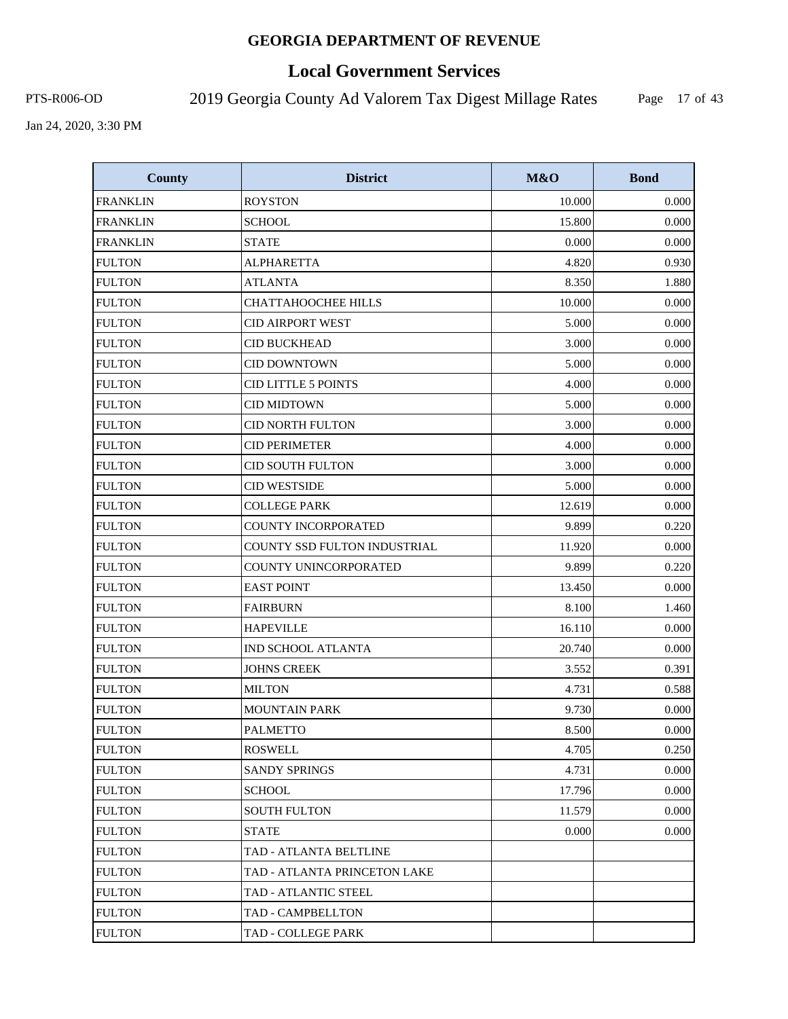# **Local Government Services**

PTS-R006-OD 2019 Georgia County Ad Valorem Tax Digest Millage Rates

Page 17 of 43

| <b>County</b>   | <b>District</b>              | M&O    | <b>Bond</b> |
|-----------------|------------------------------|--------|-------------|
| <b>FRANKLIN</b> | <b>ROYSTON</b>               | 10.000 | 0.000       |
| <b>FRANKLIN</b> | <b>SCHOOL</b>                | 15.800 | 0.000       |
| <b>FRANKLIN</b> | <b>STATE</b>                 | 0.000  | 0.000       |
| <b>FULTON</b>   | <b>ALPHARETTA</b>            | 4.820  | 0.930       |
| <b>FULTON</b>   | <b>ATLANTA</b>               | 8.350  | 1.880       |
| <b>FULTON</b>   | <b>CHATTAHOOCHEE HILLS</b>   | 10.000 | 0.000       |
| <b>FULTON</b>   | <b>CID AIRPORT WEST</b>      | 5.000  | 0.000       |
| <b>FULTON</b>   | <b>CID BUCKHEAD</b>          | 3.000  | 0.000       |
| <b>FULTON</b>   | <b>CID DOWNTOWN</b>          | 5.000  | 0.000       |
| <b>FULTON</b>   | <b>CID LITTLE 5 POINTS</b>   | 4.000  | 0.000       |
| <b>FULTON</b>   | <b>CID MIDTOWN</b>           | 5.000  | 0.000       |
| <b>FULTON</b>   | <b>CID NORTH FULTON</b>      | 3.000  | 0.000       |
| <b>FULTON</b>   | <b>CID PERIMETER</b>         | 4.000  | 0.000       |
| <b>FULTON</b>   | <b>CID SOUTH FULTON</b>      | 3.000  | 0.000       |
| <b>FULTON</b>   | <b>CID WESTSIDE</b>          | 5.000  | 0.000       |
| <b>FULTON</b>   | <b>COLLEGE PARK</b>          | 12.619 | 0.000       |
| <b>FULTON</b>   | <b>COUNTY INCORPORATED</b>   | 9.899  | 0.220       |
| <b>FULTON</b>   | COUNTY SSD FULTON INDUSTRIAL | 11.920 | 0.000       |
| <b>FULTON</b>   | COUNTY UNINCORPORATED        | 9.899  | 0.220       |
| <b>FULTON</b>   | <b>EAST POINT</b>            | 13.450 | 0.000       |
| <b>FULTON</b>   | <b>FAIRBURN</b>              | 8.100  | 1.460       |
| <b>FULTON</b>   | <b>HAPEVILLE</b>             | 16.110 | 0.000       |
| <b>FULTON</b>   | IND SCHOOL ATLANTA           | 20.740 | 0.000       |
| <b>FULTON</b>   | <b>JOHNS CREEK</b>           | 3.552  | 0.391       |
| <b>FULTON</b>   | <b>MILTON</b>                | 4.731  | 0.588       |
| <b>FULTON</b>   | <b>MOUNTAIN PARK</b>         | 9.730  | 0.000       |
| <b>FULTON</b>   | <b>PALMETTO</b>              | 8.500  | 0.000       |
| <b>FULTON</b>   | ROSWELL                      | 4.705  | 0.250       |
| <b>FULTON</b>   | <b>SANDY SPRINGS</b>         | 4.731  | 0.000       |
| <b>FULTON</b>   | SCHOOL                       | 17.796 | 0.000       |
| <b>FULTON</b>   | <b>SOUTH FULTON</b>          | 11.579 | 0.000       |
| <b>FULTON</b>   | STATE                        | 0.000  | 0.000       |
| <b>FULTON</b>   | TAD - ATLANTA BELTLINE       |        |             |
| <b>FULTON</b>   | TAD - ATLANTA PRINCETON LAKE |        |             |
| <b>FULTON</b>   | TAD - ATLANTIC STEEL         |        |             |
| <b>FULTON</b>   | TAD - CAMPBELLTON            |        |             |
| <b>FULTON</b>   | TAD - COLLEGE PARK           |        |             |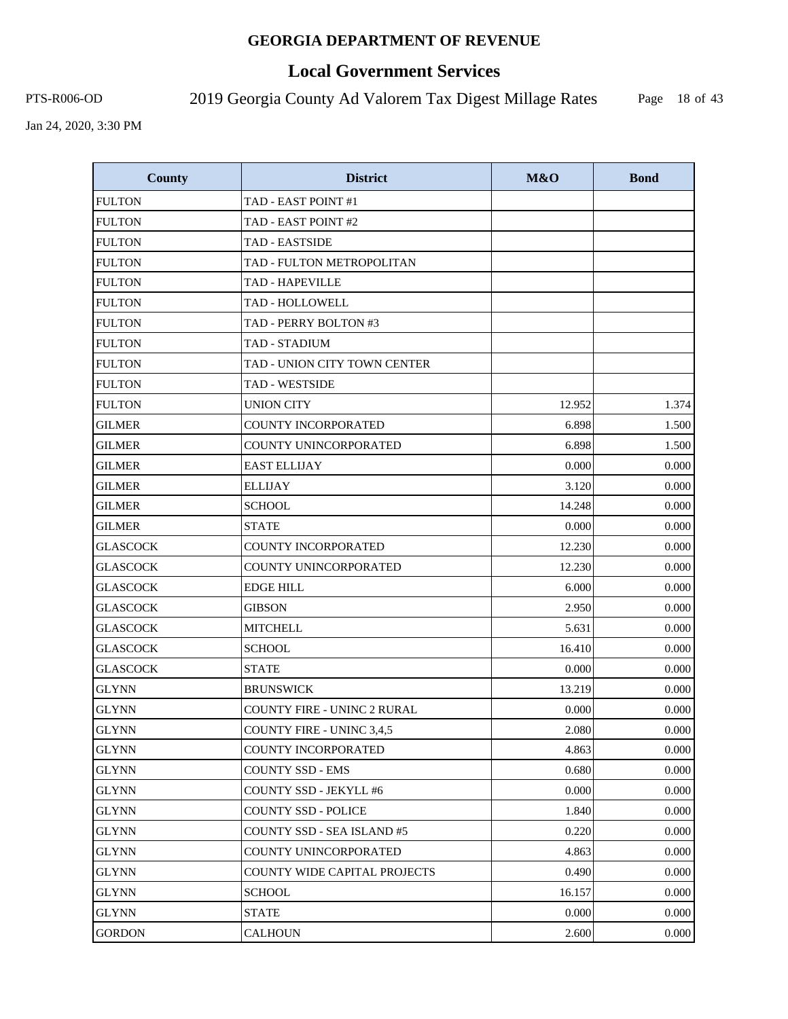# **Local Government Services**

PTS-R006-OD 2019 Georgia County Ad Valorem Tax Digest Millage Rates

Page 18 of 43

| <b>County</b>   | <b>District</b>                     | M&O    | <b>Bond</b> |
|-----------------|-------------------------------------|--------|-------------|
| <b>FULTON</b>   | TAD - EAST POINT #1                 |        |             |
| <b>FULTON</b>   | TAD - EAST POINT #2                 |        |             |
| <b>FULTON</b>   | <b>TAD - EASTSIDE</b>               |        |             |
| <b>FULTON</b>   | TAD - FULTON METROPOLITAN           |        |             |
| <b>FULTON</b>   | <b>TAD - HAPEVILLE</b>              |        |             |
| <b>FULTON</b>   | TAD - HOLLOWELL                     |        |             |
| <b>FULTON</b>   | TAD - PERRY BOLTON #3               |        |             |
| <b>FULTON</b>   | <b>TAD - STADIUM</b>                |        |             |
| <b>FULTON</b>   | TAD - UNION CITY TOWN CENTER        |        |             |
| <b>FULTON</b>   | TAD - WESTSIDE                      |        |             |
| <b>FULTON</b>   | <b>UNION CITY</b>                   | 12.952 | 1.374       |
| GILMER          | <b>COUNTY INCORPORATED</b>          | 6.898  | 1.500       |
| <b>GILMER</b>   | COUNTY UNINCORPORATED               | 6.898  | 1.500       |
| <b>GILMER</b>   | <b>EAST ELLIJAY</b>                 | 0.000  | 0.000       |
| GILMER          | <b>ELLIJAY</b>                      | 3.120  | 0.000       |
| <b>GILMER</b>   | <b>SCHOOL</b>                       | 14.248 | 0.000       |
| <b>GILMER</b>   | <b>STATE</b>                        | 0.000  | 0.000       |
| <b>GLASCOCK</b> | <b>COUNTY INCORPORATED</b>          | 12.230 | 0.000       |
| <b>GLASCOCK</b> | COUNTY UNINCORPORATED               | 12.230 | 0.000       |
| <b>GLASCOCK</b> | <b>EDGE HILL</b>                    | 6.000  | 0.000       |
| <b>GLASCOCK</b> | <b>GIBSON</b>                       | 2.950  | 0.000       |
| <b>GLASCOCK</b> | <b>MITCHELL</b>                     | 5.631  | 0.000       |
| <b>GLASCOCK</b> | <b>SCHOOL</b>                       | 16.410 | 0.000       |
| <b>GLASCOCK</b> | <b>STATE</b>                        | 0.000  | 0.000       |
| <b>GLYNN</b>    | <b>BRUNSWICK</b>                    | 13.219 | 0.000       |
| <b>GLYNN</b>    | <b>COUNTY FIRE - UNINC 2 RURAL</b>  | 0.000  | 0.000       |
| <b>GLYNN</b>    | COUNTY FIRE - UNINC 3,4,5           | 2.080  | 0.000       |
| <b>GLYNN</b>    | <b>COUNTY INCORPORATED</b>          | 4.863  | 0.000       |
| <b>GLYNN</b>    | <b>COUNTY SSD - EMS</b>             | 0.680  | 0.000       |
| <b>GLYNN</b>    | <b>COUNTY SSD - JEKYLL #6</b>       | 0.000  | 0.000       |
| <b>GLYNN</b>    | <b>COUNTY SSD - POLICE</b>          | 1.840  | 0.000       |
| <b>GLYNN</b>    | COUNTY SSD - SEA ISLAND #5          | 0.220  | 0.000       |
| GLYNN           | COUNTY UNINCORPORATED               | 4.863  | 0.000       |
| <b>GLYNN</b>    | <b>COUNTY WIDE CAPITAL PROJECTS</b> | 0.490  | 0.000       |
| <b>GLYNN</b>    | SCHOOL                              | 16.157 | 0.000       |
| <b>GLYNN</b>    | <b>STATE</b>                        | 0.000  | 0.000       |
| <b>GORDON</b>   | <b>CALHOUN</b>                      | 2.600  | 0.000       |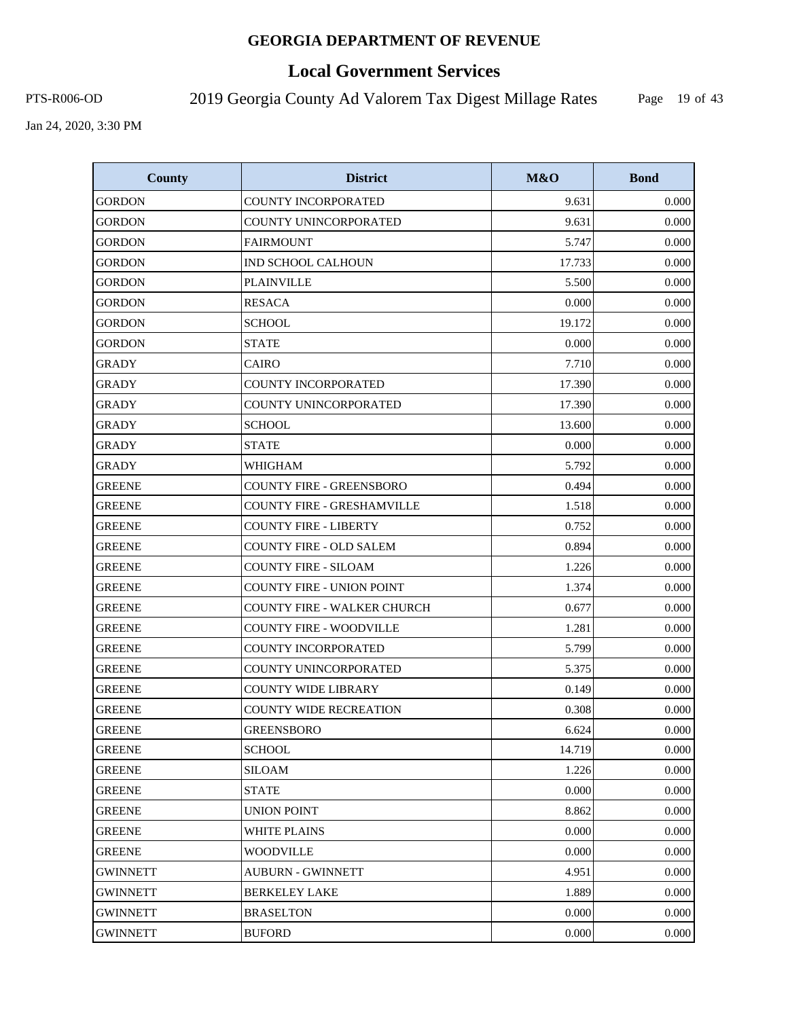# **Local Government Services**

PTS-R006-OD 2019 Georgia County Ad Valorem Tax Digest Millage Rates

Page 19 of 43

| <b>County</b>   | <b>District</b>                   | M&O    | <b>Bond</b> |
|-----------------|-----------------------------------|--------|-------------|
| <b>GORDON</b>   | COUNTY INCORPORATED               | 9.631  | 0.000       |
| <b>GORDON</b>   | COUNTY UNINCORPORATED             | 9.631  | 0.000       |
| <b>GORDON</b>   | <b>FAIRMOUNT</b>                  | 5.747  | 0.000       |
| <b>GORDON</b>   | IND SCHOOL CALHOUN                | 17.733 | 0.000       |
| <b>GORDON</b>   | <b>PLAINVILLE</b>                 | 5.500  | 0.000       |
| GORDON          | <b>RESACA</b>                     | 0.000  | 0.000       |
| <b>GORDON</b>   | <b>SCHOOL</b>                     | 19.172 | 0.000       |
| GORDON          | <b>STATE</b>                      | 0.000  | 0.000       |
| <b>GRADY</b>    | <b>CAIRO</b>                      | 7.710  | 0.000       |
| <b>GRADY</b>    | <b>COUNTY INCORPORATED</b>        | 17.390 | 0.000       |
| <b>GRADY</b>    | COUNTY UNINCORPORATED             | 17.390 | 0.000       |
| <b>GRADY</b>    | <b>SCHOOL</b>                     | 13.600 | 0.000       |
| <b>GRADY</b>    | <b>STATE</b>                      | 0.000  | 0.000       |
| <b>GRADY</b>    | WHIGHAM                           | 5.792  | 0.000       |
| <b>GREENE</b>   | <b>COUNTY FIRE - GREENSBORO</b>   | 0.494  | 0.000       |
| <b>GREENE</b>   | <b>COUNTY FIRE - GRESHAMVILLE</b> | 1.518  | 0.000       |
| <b>GREENE</b>   | <b>COUNTY FIRE - LIBERTY</b>      | 0.752  | 0.000       |
| <b>GREENE</b>   | <b>COUNTY FIRE - OLD SALEM</b>    | 0.894  | 0.000       |
| <b>GREENE</b>   | <b>COUNTY FIRE - SILOAM</b>       | 1.226  | 0.000       |
| <b>GREENE</b>   | <b>COUNTY FIRE - UNION POINT</b>  | 1.374  | 0.000       |
| <b>GREENE</b>   | COUNTY FIRE - WALKER CHURCH       | 0.677  | 0.000       |
| <b>GREENE</b>   | <b>COUNTY FIRE - WOODVILLE</b>    | 1.281  | 0.000       |
| <b>GREENE</b>   | <b>COUNTY INCORPORATED</b>        | 5.799  | 0.000       |
| <b>GREENE</b>   | COUNTY UNINCORPORATED             | 5.375  | 0.000       |
| GREENE          | <b>COUNTY WIDE LIBRARY</b>        | 0.149  | 0.000       |
| <b>GREENE</b>   | <b>COUNTY WIDE RECREATION</b>     | 0.308  | 0.000       |
| <b>GREENE</b>   | <b>GREENSBORO</b>                 | 6.624  | 0.000       |
| <b>GREENE</b>   | <b>SCHOOL</b>                     | 14.719 | 0.000       |
| <b>GREENE</b>   | <b>SILOAM</b>                     | 1.226  | 0.000       |
| <b>GREENE</b>   | <b>STATE</b>                      | 0.000  | 0.000       |
| <b>GREENE</b>   | <b>UNION POINT</b>                | 8.862  | 0.000       |
| <b>GREENE</b>   | <b>WHITE PLAINS</b>               | 0.000  | 0.000       |
| <b>GREENE</b>   | <b>WOODVILLE</b>                  | 0.000  | 0.000       |
| <b>GWINNETT</b> | <b>AUBURN - GWINNETT</b>          | 4.951  | 0.000       |
| <b>GWINNETT</b> | <b>BERKELEY LAKE</b>              | 1.889  | 0.000       |
| <b>GWINNETT</b> | <b>BRASELTON</b>                  | 0.000  | 0.000       |
| <b>GWINNETT</b> | <b>BUFORD</b>                     | 0.000  | 0.000       |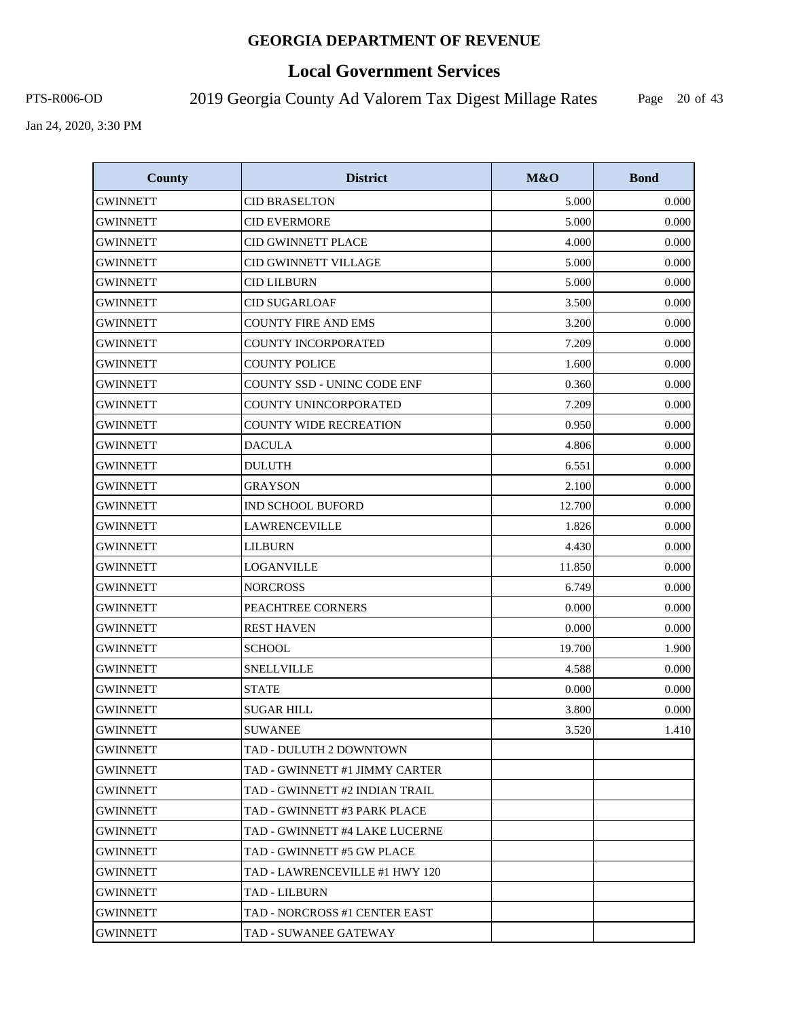# **Local Government Services**

PTS-R006-OD 2019 Georgia County Ad Valorem Tax Digest Millage Rates

Page 20 of 43

| <b>County</b>   | <b>District</b>                | M&O    | <b>Bond</b> |
|-----------------|--------------------------------|--------|-------------|
| <b>GWINNETT</b> | <b>CID BRASELTON</b>           | 5.000  | 0.000       |
| <b>GWINNETT</b> | <b>CID EVERMORE</b>            | 5.000  | 0.000       |
| <b>GWINNETT</b> | <b>CID GWINNETT PLACE</b>      | 4.000  | 0.000       |
| <b>GWINNETT</b> | CID GWINNETT VILLAGE           | 5.000  | 0.000       |
| <b>GWINNETT</b> | <b>CID LILBURN</b>             | 5.000  | 0.000       |
| <b>GWINNETT</b> | <b>CID SUGARLOAF</b>           | 3.500  | 0.000       |
| <b>GWINNETT</b> | <b>COUNTY FIRE AND EMS</b>     | 3.200  | 0.000       |
| <b>GWINNETT</b> | COUNTY INCORPORATED            | 7.209  | 0.000       |
| <b>GWINNETT</b> | <b>COUNTY POLICE</b>           | 1.600  | 0.000       |
| <b>GWINNETT</b> | COUNTY SSD - UNINC CODE ENF    | 0.360  | 0.000       |
| <b>GWINNETT</b> | COUNTY UNINCORPORATED          | 7.209  | 0.000       |
| <b>GWINNETT</b> | <b>COUNTY WIDE RECREATION</b>  | 0.950  | 0.000       |
| <b>GWINNETT</b> | <b>DACULA</b>                  | 4.806  | 0.000       |
| <b>GWINNETT</b> | <b>DULUTH</b>                  | 6.551  | 0.000       |
| <b>GWINNETT</b> | <b>GRAYSON</b>                 | 2.100  | 0.000       |
| <b>GWINNETT</b> | <b>IND SCHOOL BUFORD</b>       | 12.700 | 0.000       |
| <b>GWINNETT</b> | <b>LAWRENCEVILLE</b>           | 1.826  | 0.000       |
| <b>GWINNETT</b> | <b>LILBURN</b>                 | 4.430  | 0.000       |
| <b>GWINNETT</b> | <b>LOGANVILLE</b>              | 11.850 | 0.000       |
| <b>GWINNETT</b> | <b>NORCROSS</b>                | 6.749  | 0.000       |
| <b>GWINNETT</b> | PEACHTREE CORNERS              | 0.000  | 0.000       |
| <b>GWINNETT</b> | <b>REST HAVEN</b>              | 0.000  | 0.000       |
| <b>GWINNETT</b> | <b>SCHOOL</b>                  | 19.700 | 1.900       |
| <b>GWINNETT</b> | <b>SNELLVILLE</b>              | 4.588  | 0.000       |
| GWINNETT        | <b>STATE</b>                   | 0.000  | 0.000       |
| <b>GWINNETT</b> | <b>SUGAR HILL</b>              | 3.800  | 0.000       |
| <b>GWINNETT</b> | <b>SUWANEE</b>                 | 3.520  | 1.410       |
| GWINNETT        | TAD - DULUTH 2 DOWNTOWN        |        |             |
| GWINNETT        | TAD - GWINNETT #1 JIMMY CARTER |        |             |
| GWINNETT        | TAD - GWINNETT #2 INDIAN TRAIL |        |             |
| GWINNETT        | TAD - GWINNETT #3 PARK PLACE   |        |             |
| GWINNETT        | TAD - GWINNETT #4 LAKE LUCERNE |        |             |
| GWINNETT        | TAD - GWINNETT #5 GW PLACE     |        |             |
| GWINNETT        | TAD - LAWRENCEVILLE #1 HWY 120 |        |             |
| <b>GWINNETT</b> | TAD - LILBURN                  |        |             |
| GWINNETT        | TAD - NORCROSS #1 CENTER EAST  |        |             |
| GWINNETT        | TAD - SUWANEE GATEWAY          |        |             |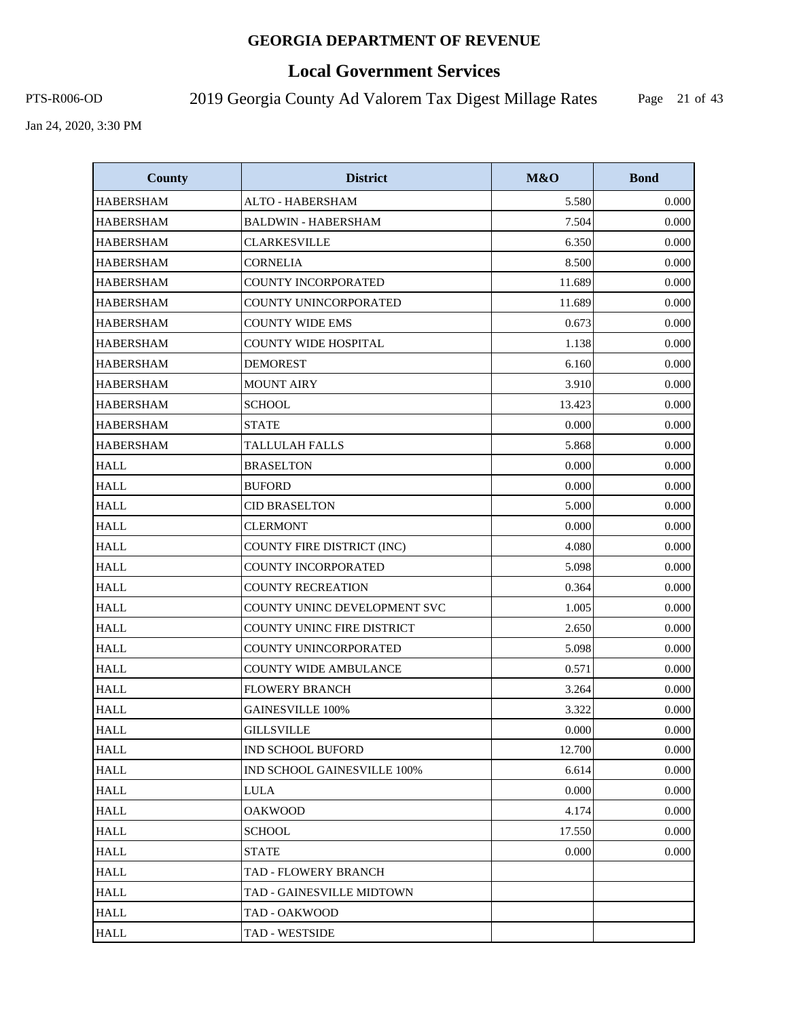# **Local Government Services**

PTS-R006-OD 2019 Georgia County Ad Valorem Tax Digest Millage Rates

Page 21 of 43

| <b>County</b>    | <b>District</b>                   | M&O    | <b>Bond</b> |
|------------------|-----------------------------------|--------|-------------|
| <b>HABERSHAM</b> | ALTO - HABERSHAM                  | 5.580  | 0.000       |
| <b>HABERSHAM</b> | <b>BALDWIN - HABERSHAM</b>        | 7.504  | 0.000       |
| <b>HABERSHAM</b> | <b>CLARKESVILLE</b>               | 6.350  | 0.000       |
| <b>HABERSHAM</b> | <b>CORNELIA</b>                   | 8.500  | 0.000       |
| <b>HABERSHAM</b> | <b>COUNTY INCORPORATED</b>        | 11.689 | 0.000       |
| <b>HABERSHAM</b> | COUNTY UNINCORPORATED             | 11.689 | 0.000       |
| <b>HABERSHAM</b> | <b>COUNTY WIDE EMS</b>            | 0.673  | 0.000       |
| <b>HABERSHAM</b> | COUNTY WIDE HOSPITAL              | 1.138  | 0.000       |
| <b>HABERSHAM</b> | <b>DEMOREST</b>                   | 6.160  | 0.000       |
| <b>HABERSHAM</b> | <b>MOUNT AIRY</b>                 | 3.910  | 0.000       |
| <b>HABERSHAM</b> | <b>SCHOOL</b>                     | 13.423 | 0.000       |
| <b>HABERSHAM</b> | <b>STATE</b>                      | 0.000  | 0.000       |
| <b>HABERSHAM</b> | <b>TALLULAH FALLS</b>             | 5.868  | 0.000       |
| <b>HALL</b>      | <b>BRASELTON</b>                  | 0.000  | 0.000       |
| <b>HALL</b>      | <b>BUFORD</b>                     | 0.000  | 0.000       |
| <b>HALL</b>      | <b>CID BRASELTON</b>              | 5.000  | 0.000       |
| <b>HALL</b>      | <b>CLERMONT</b>                   | 0.000  | 0.000       |
| <b>HALL</b>      | COUNTY FIRE DISTRICT (INC)        | 4.080  | 0.000       |
| <b>HALL</b>      | COUNTY INCORPORATED               | 5.098  | 0.000       |
| <b>HALL</b>      | <b>COUNTY RECREATION</b>          | 0.364  | 0.000       |
| <b>HALL</b>      | COUNTY UNINC DEVELOPMENT SVC      | 1.005  | 0.000       |
| <b>HALL</b>      | <b>COUNTY UNINC FIRE DISTRICT</b> | 2.650  | 0.000       |
| <b>HALL</b>      | COUNTY UNINCORPORATED             | 5.098  | 0.000       |
| <b>HALL</b>      | <b>COUNTY WIDE AMBULANCE</b>      | 0.571  | 0.000       |
| <b>HALL</b>      | <b>FLOWERY BRANCH</b>             | 3.264  | 0.000       |
| <b>HALL</b>      | <b>GAINESVILLE 100%</b>           | 3.322  | 0.000       |
| <b>HALL</b>      | GILLSVILLE                        | 0.000  | 0.000       |
| <b>HALL</b>      | <b>IND SCHOOL BUFORD</b>          | 12.700 | 0.000       |
| <b>HALL</b>      | IND SCHOOL GAINESVILLE 100%       | 6.614  | 0.000       |
| <b>HALL</b>      | LULA                              | 0.000  | 0.000       |
| <b>HALL</b>      | <b>OAKWOOD</b>                    | 4.174  | 0.000       |
| HALL             | <b>SCHOOL</b>                     | 17.550 | 0.000       |
| HALL             | <b>STATE</b>                      | 0.000  | 0.000       |
| <b>HALL</b>      | TAD - FLOWERY BRANCH              |        |             |
| <b>HALL</b>      | TAD - GAINESVILLE MIDTOWN         |        |             |
| HALL             | TAD - OAKWOOD                     |        |             |
| <b>HALL</b>      | TAD - WESTSIDE                    |        |             |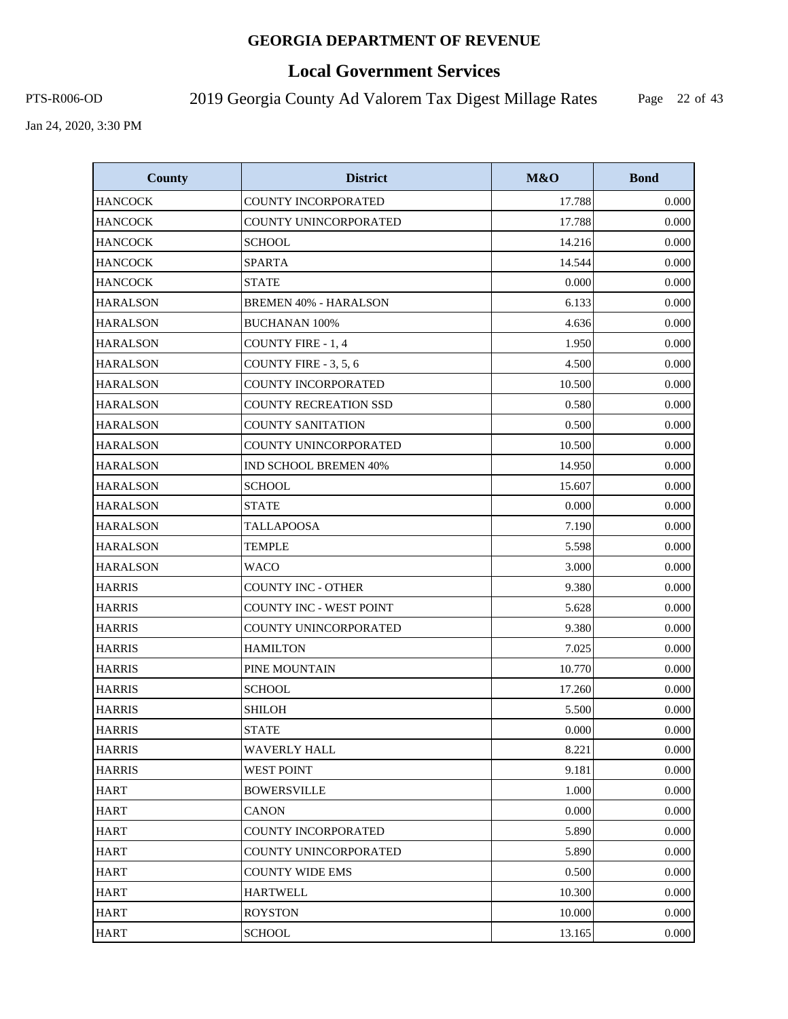# **Local Government Services**

PTS-R006-OD 2019 Georgia County Ad Valorem Tax Digest Millage Rates

Page 22 of 43

| <b>County</b>   | <b>District</b>                | M&O    | <b>Bond</b> |
|-----------------|--------------------------------|--------|-------------|
| <b>HANCOCK</b>  | COUNTY INCORPORATED            | 17.788 | 0.000       |
| <b>HANCOCK</b>  | COUNTY UNINCORPORATED          | 17.788 | 0.000       |
| <b>HANCOCK</b>  | <b>SCHOOL</b>                  | 14.216 | 0.000       |
| <b>HANCOCK</b>  | <b>SPARTA</b>                  | 14.544 | 0.000       |
| <b>HANCOCK</b>  | <b>STATE</b>                   | 0.000  | 0.000       |
| <b>HARALSON</b> | <b>BREMEN 40% - HARALSON</b>   | 6.133  | 0.000       |
| <b>HARALSON</b> | <b>BUCHANAN 100%</b>           | 4.636  | 0.000       |
| <b>HARALSON</b> | <b>COUNTY FIRE - 1, 4</b>      | 1.950  | 0.000       |
| <b>HARALSON</b> | COUNTY FIRE - 3, 5, 6          | 4.500  | 0.000       |
| <b>HARALSON</b> | COUNTY INCORPORATED            | 10.500 | 0.000       |
| <b>HARALSON</b> | <b>COUNTY RECREATION SSD</b>   | 0.580  | 0.000       |
| <b>HARALSON</b> | <b>COUNTY SANITATION</b>       | 0.500  | 0.000       |
| <b>HARALSON</b> | COUNTY UNINCORPORATED          | 10.500 | 0.000       |
| <b>HARALSON</b> | <b>IND SCHOOL BREMEN 40%</b>   | 14.950 | 0.000       |
| <b>HARALSON</b> | <b>SCHOOL</b>                  | 15.607 | 0.000       |
| <b>HARALSON</b> | <b>STATE</b>                   | 0.000  | 0.000       |
| <b>HARALSON</b> | <b>TALLAPOOSA</b>              | 7.190  | 0.000       |
| <b>HARALSON</b> | <b>TEMPLE</b>                  | 5.598  | 0.000       |
| <b>HARALSON</b> | <b>WACO</b>                    | 3.000  | 0.000       |
| <b>HARRIS</b>   | <b>COUNTY INC - OTHER</b>      | 9.380  | 0.000       |
| <b>HARRIS</b>   | <b>COUNTY INC - WEST POINT</b> | 5.628  | 0.000       |
| <b>HARRIS</b>   | COUNTY UNINCORPORATED          | 9.380  | 0.000       |
| <b>HARRIS</b>   | <b>HAMILTON</b>                | 7.025  | 0.000       |
| <b>HARRIS</b>   | PINE MOUNTAIN                  | 10.770 | 0.000       |
| <b>HARRIS</b>   | <b>SCHOOL</b>                  | 17.260 | 0.000       |
| <b>HARRIS</b>   | <b>SHILOH</b>                  | 5.500  | 0.000       |
| <b>HARRIS</b>   | <b>STATE</b>                   | 0.000  | 0.000       |
| <b>HARRIS</b>   | WAVERLY HALL                   | 8.221  | 0.000       |
| <b>HARRIS</b>   | <b>WEST POINT</b>              | 9.181  | 0.000       |
| <b>HART</b>     | <b>BOWERSVILLE</b>             | 1.000  | 0.000       |
| <b>HART</b>     | <b>CANON</b>                   | 0.000  | 0.000       |
| <b>HART</b>     | <b>COUNTY INCORPORATED</b>     | 5.890  | 0.000       |
| <b>HART</b>     | COUNTY UNINCORPORATED          | 5.890  | 0.000       |
| <b>HART</b>     | <b>COUNTY WIDE EMS</b>         | 0.500  | 0.000       |
| <b>HART</b>     | <b>HARTWELL</b>                | 10.300 | 0.000       |
| <b>HART</b>     | ROYSTON                        | 10.000 | 0.000       |
| <b>HART</b>     | <b>SCHOOL</b>                  | 13.165 | 0.000       |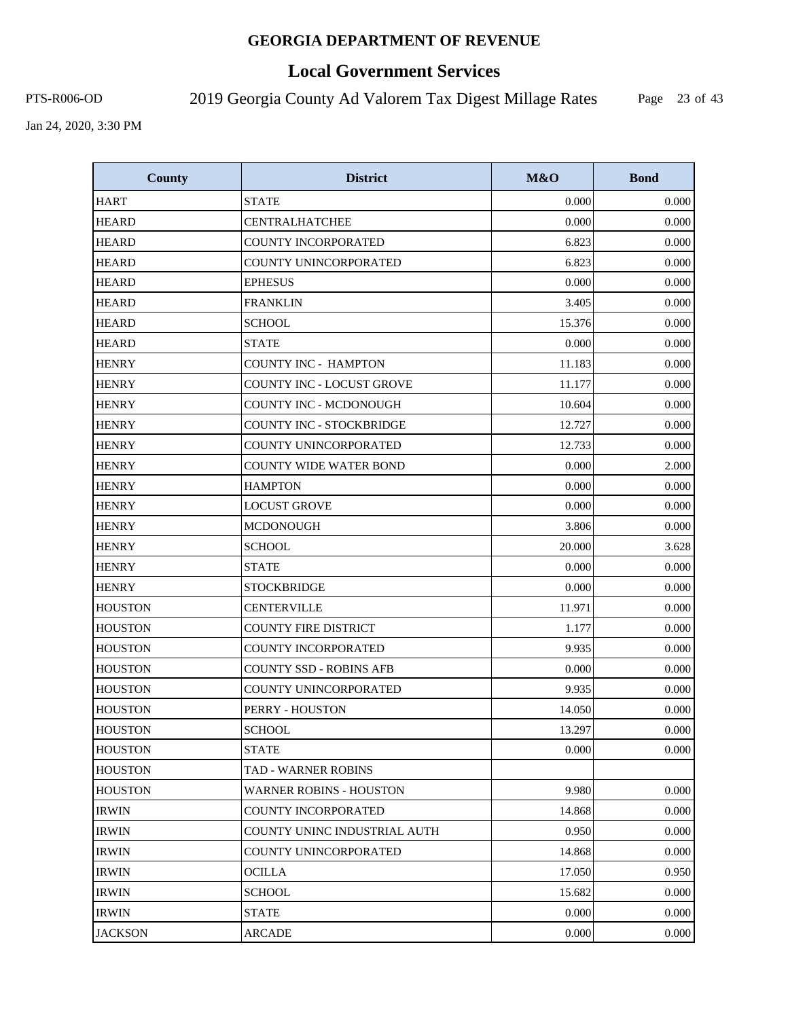# **Local Government Services**

PTS-R006-OD 2019 Georgia County Ad Valorem Tax Digest Millage Rates

Page 23 of 43

| <b>County</b>  | <b>District</b>                | M&O    | <b>Bond</b> |
|----------------|--------------------------------|--------|-------------|
| <b>HART</b>    | <b>STATE</b>                   | 0.000  | 0.000       |
| <b>HEARD</b>   | <b>CENTRALHATCHEE</b>          | 0.000  | 0.000       |
| <b>HEARD</b>   | <b>COUNTY INCORPORATED</b>     | 6.823  | 0.000       |
| <b>HEARD</b>   | COUNTY UNINCORPORATED          | 6.823  | 0.000       |
| <b>HEARD</b>   | <b>EPHESUS</b>                 | 0.000  | 0.000       |
| <b>HEARD</b>   | <b>FRANKLIN</b>                | 3.405  | 0.000       |
| <b>HEARD</b>   | <b>SCHOOL</b>                  | 15.376 | 0.000       |
| <b>HEARD</b>   | <b>STATE</b>                   | 0.000  | 0.000       |
| <b>HENRY</b>   | <b>COUNTY INC - HAMPTON</b>    | 11.183 | 0.000       |
| <b>HENRY</b>   | COUNTY INC - LOCUST GROVE      | 11.177 | 0.000       |
| <b>HENRY</b>   | COUNTY INC - MCDONOUGH         | 10.604 | 0.000       |
| <b>HENRY</b>   | COUNTY INC - STOCKBRIDGE       | 12.727 | 0.000       |
| <b>HENRY</b>   | <b>COUNTY UNINCORPORATED</b>   | 12.733 | 0.000       |
| <b>HENRY</b>   | <b>COUNTY WIDE WATER BOND</b>  | 0.000  | 2.000       |
| <b>HENRY</b>   | <b>HAMPTON</b>                 | 0.000  | 0.000       |
| <b>HENRY</b>   | <b>LOCUST GROVE</b>            | 0.000  | 0.000       |
| <b>HENRY</b>   | <b>MCDONOUGH</b>               | 3.806  | 0.000       |
| <b>HENRY</b>   | <b>SCHOOL</b>                  | 20.000 | 3.628       |
| <b>HENRY</b>   | <b>STATE</b>                   | 0.000  | 0.000       |
| <b>HENRY</b>   | <b>STOCKBRIDGE</b>             | 0.000  | 0.000       |
| <b>HOUSTON</b> | <b>CENTERVILLE</b>             | 11.971 | 0.000       |
| HOUSTON        | <b>COUNTY FIRE DISTRICT</b>    | 1.177  | 0.000       |
| <b>HOUSTON</b> | COUNTY INCORPORATED            | 9.935  | 0.000       |
| <b>HOUSTON</b> | COUNTY SSD - ROBINS AFB        | 0.000  | 0.000       |
| <b>HOUSTON</b> | COUNTY UNINCORPORATED          | 9.935  | 0.000       |
| <b>HOUSTON</b> | PERRY - HOUSTON                | 14.050 | 0.000       |
| <b>HOUSTON</b> | <b>SCHOOL</b>                  | 13.297 | 0.000       |
| <b>HOUSTON</b> | <b>STATE</b>                   | 0.000  | 0.000       |
| <b>HOUSTON</b> | TAD - WARNER ROBINS            |        |             |
| <b>HOUSTON</b> | <b>WARNER ROBINS - HOUSTON</b> | 9.980  | 0.000       |
| <b>IRWIN</b>   | <b>COUNTY INCORPORATED</b>     | 14.868 | 0.000       |
| <b>IRWIN</b>   | COUNTY UNINC INDUSTRIAL AUTH   | 0.950  | 0.000       |
| <b>IRWIN</b>   | COUNTY UNINCORPORATED          | 14.868 | 0.000       |
| <b>IRWIN</b>   | <b>OCILLA</b>                  | 17.050 | 0.950       |
| <b>IRWIN</b>   | SCHOOL                         | 15.682 | 0.000       |
| <b>IRWIN</b>   | <b>STATE</b>                   | 0.000  | 0.000       |
| <b>JACKSON</b> | ARCADE                         | 0.000  | 0.000       |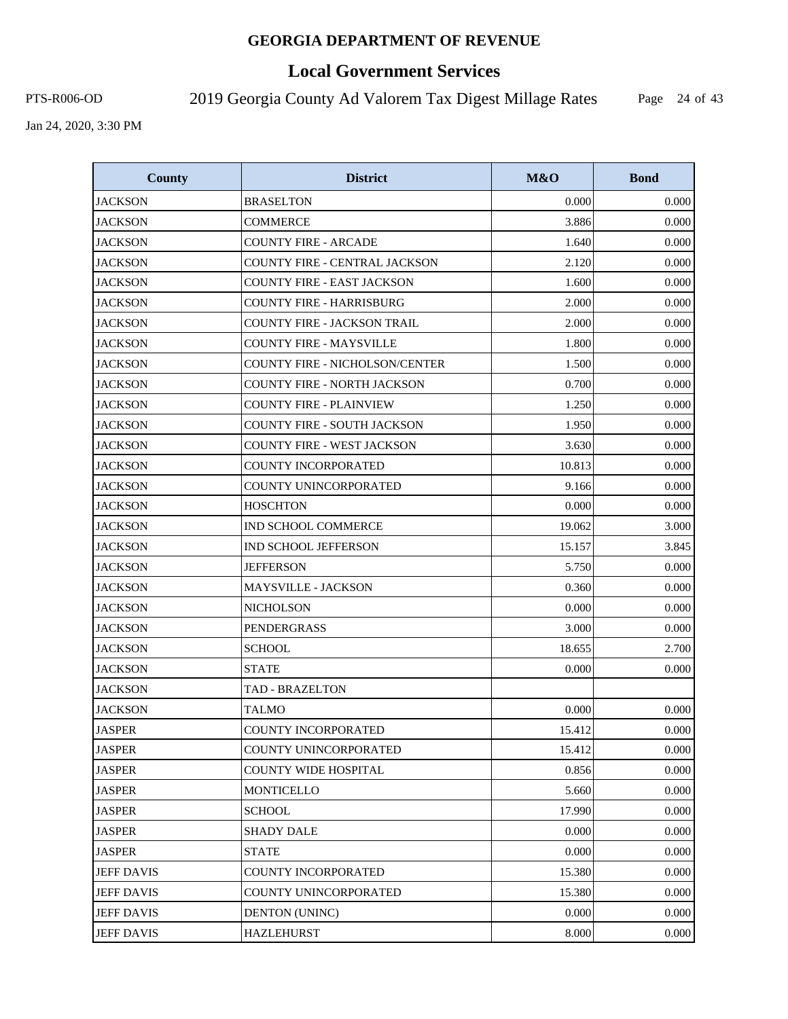# **Local Government Services**

PTS-R006-OD 2019 Georgia County Ad Valorem Tax Digest Millage Rates

Page 24 of 43

| <b>County</b>     | <b>District</b>                       | M&O    | <b>Bond</b> |
|-------------------|---------------------------------------|--------|-------------|
| <b>JACKSON</b>    | <b>BRASELTON</b>                      | 0.000  | 0.000       |
| <b>JACKSON</b>    | <b>COMMERCE</b>                       | 3.886  | 0.000       |
| <b>JACKSON</b>    | <b>COUNTY FIRE - ARCADE</b>           | 1.640  | 0.000       |
| <b>JACKSON</b>    | <b>COUNTY FIRE - CENTRAL JACKSON</b>  | 2.120  | 0.000       |
| <b>JACKSON</b>    | <b>COUNTY FIRE - EAST JACKSON</b>     | 1.600  | 0.000       |
| <b>JACKSON</b>    | <b>COUNTY FIRE - HARRISBURG</b>       | 2.000  | 0.000       |
| <b>JACKSON</b>    | <b>COUNTY FIRE - JACKSON TRAIL</b>    | 2.000  | 0.000       |
| <b>JACKSON</b>    | <b>COUNTY FIRE - MAYSVILLE</b>        | 1.800  | 0.000       |
| <b>JACKSON</b>    | <b>COUNTY FIRE - NICHOLSON/CENTER</b> | 1.500  | 0.000       |
| <b>JACKSON</b>    | <b>COUNTY FIRE - NORTH JACKSON</b>    | 0.700  | 0.000       |
| <b>JACKSON</b>    | <b>COUNTY FIRE - PLAINVIEW</b>        | 1.250  | 0.000       |
| <b>JACKSON</b>    | COUNTY FIRE - SOUTH JACKSON           | 1.950  | 0.000       |
| <b>JACKSON</b>    | COUNTY FIRE - WEST JACKSON            | 3.630  | 0.000       |
| <b>JACKSON</b>    | <b>COUNTY INCORPORATED</b>            | 10.813 | 0.000       |
| <b>JACKSON</b>    | COUNTY UNINCORPORATED                 | 9.166  | 0.000       |
| <b>JACKSON</b>    | <b>HOSCHTON</b>                       | 0.000  | 0.000       |
| <b>JACKSON</b>    | IND SCHOOL COMMERCE                   | 19.062 | 3.000       |
| <b>JACKSON</b>    | <b>IND SCHOOL JEFFERSON</b>           | 15.157 | 3.845       |
| <b>JACKSON</b>    | <b>JEFFERSON</b>                      | 5.750  | 0.000       |
| <b>JACKSON</b>    | MAYSVILLE - JACKSON                   | 0.360  | 0.000       |
| <b>JACKSON</b>    | <b>NICHOLSON</b>                      | 0.000  | 0.000       |
| <b>JACKSON</b>    | PENDERGRASS                           | 3.000  | 0.000       |
| <b>JACKSON</b>    | <b>SCHOOL</b>                         | 18.655 | 2.700       |
| <b>JACKSON</b>    | <b>STATE</b>                          | 0.000  | 0.000       |
| <b>JACKSON</b>    | <b>TAD - BRAZELTON</b>                |        |             |
| <b>JACKSON</b>    | <b>TALMO</b>                          | 0.000  | 0.000       |
| <b>JASPER</b>     | <b>COUNTY INCORPORATED</b>            | 15.412 | 0.000       |
| <b>JASPER</b>     | COUNTY UNINCORPORATED                 | 15.412 | 0.000       |
| <b>JASPER</b>     | <b>COUNTY WIDE HOSPITAL</b>           | 0.856  | 0.000       |
| <b>JASPER</b>     | <b>MONTICELLO</b>                     | 5.660  | 0.000       |
| <b>JASPER</b>     | <b>SCHOOL</b>                         | 17.990 | 0.000       |
| <b>JASPER</b>     | SHADY DALE                            | 0.000  | 0.000       |
| <b>JASPER</b>     | <b>STATE</b>                          | 0.000  | 0.000       |
| <b>JEFF DAVIS</b> | <b>COUNTY INCORPORATED</b>            | 15.380 | 0.000       |
| <b>JEFF DAVIS</b> | COUNTY UNINCORPORATED                 | 15.380 | 0.000       |
| <b>JEFF DAVIS</b> | <b>DENTON (UNINC)</b>                 | 0.000  | 0.000       |
| <b>JEFF DAVIS</b> | <b>HAZLEHURST</b>                     | 8.000  | 0.000       |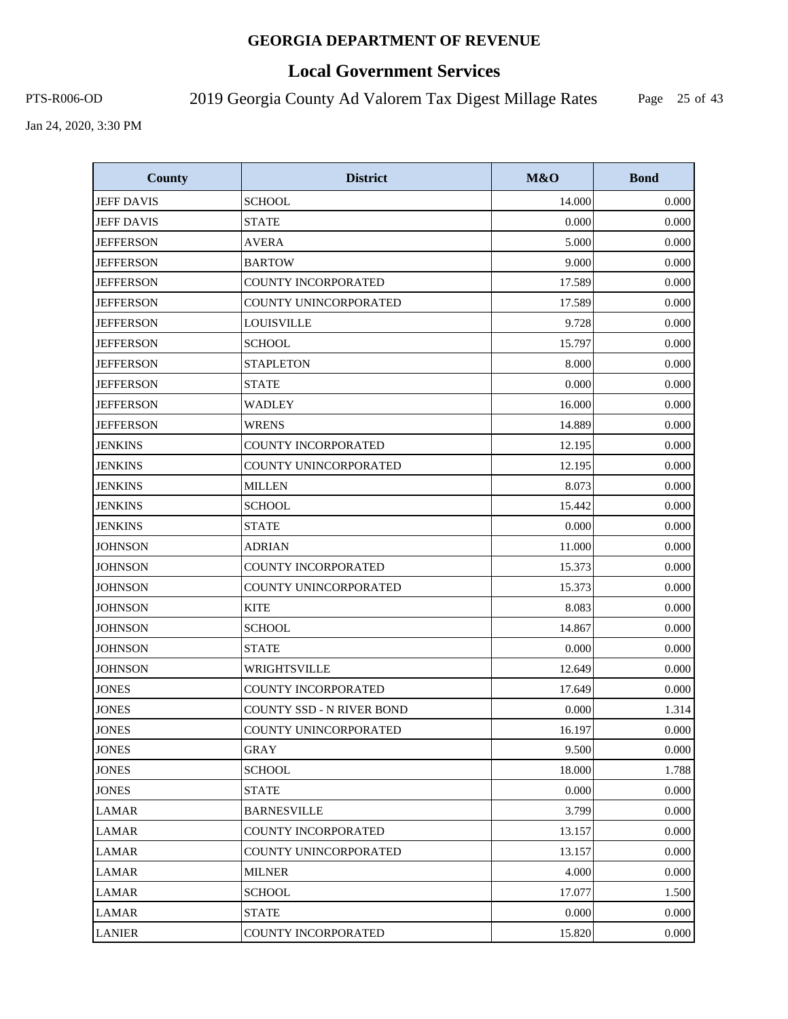# **Local Government Services**

PTS-R006-OD 2019 Georgia County Ad Valorem Tax Digest Millage Rates

Page 25 of 43

| <b>County</b>     | <b>District</b>            | M&O    | <b>Bond</b> |
|-------------------|----------------------------|--------|-------------|
| <b>JEFF DAVIS</b> | <b>SCHOOL</b>              | 14.000 | 0.000       |
| <b>JEFF DAVIS</b> | <b>STATE</b>               | 0.000  | 0.000       |
| <b>JEFFERSON</b>  | <b>AVERA</b>               | 5.000  | 0.000       |
| <b>JEFFERSON</b>  | <b>BARTOW</b>              | 9.000  | 0.000       |
| <b>JEFFERSON</b>  | <b>COUNTY INCORPORATED</b> | 17.589 | 0.000       |
| <b>JEFFERSON</b>  | COUNTY UNINCORPORATED      | 17.589 | 0.000       |
| <b>JEFFERSON</b>  | <b>LOUISVILLE</b>          | 9.728  | 0.000       |
| <b>JEFFERSON</b>  | <b>SCHOOL</b>              | 15.797 | 0.000       |
| <b>JEFFERSON</b>  | <b>STAPLETON</b>           | 8.000  | 0.000       |
| <b>JEFFERSON</b>  | <b>STATE</b>               | 0.000  | 0.000       |
| <b>JEFFERSON</b>  | <b>WADLEY</b>              | 16.000 | 0.000       |
| <b>JEFFERSON</b>  | <b>WRENS</b>               | 14.889 | 0.000       |
| <b>JENKINS</b>    | <b>COUNTY INCORPORATED</b> | 12.195 | 0.000       |
| <b>JENKINS</b>    | COUNTY UNINCORPORATED      | 12.195 | 0.000       |
| <b>JENKINS</b>    | <b>MILLEN</b>              | 8.073  | 0.000       |
| <b>JENKINS</b>    | <b>SCHOOL</b>              | 15.442 | 0.000       |
| <b>JENKINS</b>    | <b>STATE</b>               | 0.000  | 0.000       |
| <b>JOHNSON</b>    | <b>ADRIAN</b>              | 11.000 | 0.000       |
| <b>JOHNSON</b>    | <b>COUNTY INCORPORATED</b> | 15.373 | 0.000       |
| <b>JOHNSON</b>    | COUNTY UNINCORPORATED      | 15.373 | 0.000       |
| <b>JOHNSON</b>    | <b>KITE</b>                | 8.083  | 0.000       |
| <b>JOHNSON</b>    | <b>SCHOOL</b>              | 14.867 | 0.000       |
| <b>JOHNSON</b>    | <b>STATE</b>               | 0.000  | 0.000       |
| <b>JOHNSON</b>    | WRIGHTSVILLE               | 12.649 | 0.000       |
| <b>JONES</b>      | <b>COUNTY INCORPORATED</b> | 17.649 | 0.000       |
| <b>JONES</b>      | COUNTY SSD - N RIVER BOND  | 0.000  | 1.314       |
| <b>JONES</b>      | COUNTY UNINCORPORATED      | 16.197 | 0.000       |
| <b>JONES</b>      | <b>GRAY</b>                | 9.500  | 0.000       |
| <b>JONES</b>      | <b>SCHOOL</b>              | 18.000 | 1.788       |
| <b>JONES</b>      | <b>STATE</b>               | 0.000  | 0.000       |
| <b>LAMAR</b>      | <b>BARNESVILLE</b>         | 3.799  | 0.000       |
| <b>LAMAR</b>      | <b>COUNTY INCORPORATED</b> | 13.157 | 0.000       |
| <b>LAMAR</b>      | COUNTY UNINCORPORATED      | 13.157 | 0.000       |
| <b>LAMAR</b>      | <b>MILNER</b>              | 4.000  | 0.000       |
| <b>LAMAR</b>      | <b>SCHOOL</b>              | 17.077 | 1.500       |
| <b>LAMAR</b>      | <b>STATE</b>               | 0.000  | 0.000       |
| <b>LANIER</b>     | COUNTY INCORPORATED        | 15.820 | 0.000       |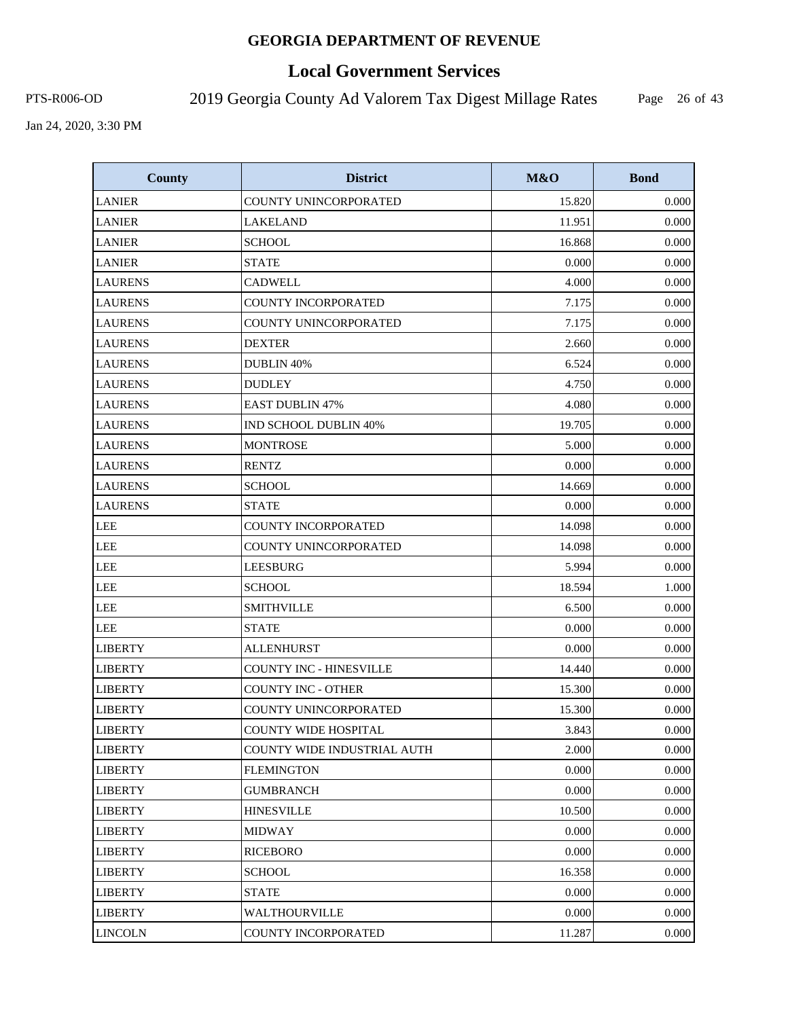# **Local Government Services**

PTS-R006-OD 2019 Georgia County Ad Valorem Tax Digest Millage Rates

Page 26 of 43

| <b>County</b>  | <b>District</b>                | M&O    | <b>Bond</b> |
|----------------|--------------------------------|--------|-------------|
| <b>LANIER</b>  | COUNTY UNINCORPORATED          | 15.820 | 0.000       |
| <b>LANIER</b>  | <b>LAKELAND</b>                | 11.951 | 0.000       |
| <b>LANIER</b>  | <b>SCHOOL</b>                  | 16.868 | 0.000       |
| <b>LANIER</b>  | <b>STATE</b>                   | 0.000  | 0.000       |
| <b>LAURENS</b> | <b>CADWELL</b>                 | 4.000  | 0.000       |
| <b>LAURENS</b> | <b>COUNTY INCORPORATED</b>     | 7.175  | 0.000       |
| <b>LAURENS</b> | COUNTY UNINCORPORATED          | 7.175  | 0.000       |
| <b>LAURENS</b> | <b>DEXTER</b>                  | 2.660  | 0.000       |
| <b>LAURENS</b> | DUBLIN 40%                     | 6.524  | 0.000       |
| <b>LAURENS</b> | <b>DUDLEY</b>                  | 4.750  | 0.000       |
| <b>LAURENS</b> | <b>EAST DUBLIN 47%</b>         | 4.080  | 0.000       |
| <b>LAURENS</b> | <b>IND SCHOOL DUBLIN 40%</b>   | 19.705 | 0.000       |
| <b>LAURENS</b> | <b>MONTROSE</b>                | 5.000  | 0.000       |
| <b>LAURENS</b> | <b>RENTZ</b>                   | 0.000  | 0.000       |
| <b>LAURENS</b> | <b>SCHOOL</b>                  | 14.669 | 0.000       |
| <b>LAURENS</b> | <b>STATE</b>                   | 0.000  | 0.000       |
| <b>LEE</b>     | <b>COUNTY INCORPORATED</b>     | 14.098 | 0.000       |
| <b>LEE</b>     | COUNTY UNINCORPORATED          | 14.098 | 0.000       |
| <b>LEE</b>     | <b>LEESBURG</b>                | 5.994  | 0.000       |
| LEE            | <b>SCHOOL</b>                  | 18.594 | 1.000       |
| <b>LEE</b>     | <b>SMITHVILLE</b>              | 6.500  | 0.000       |
| <b>LEE</b>     | <b>STATE</b>                   | 0.000  | 0.000       |
| <b>LIBERTY</b> | <b>ALLENHURST</b>              | 0.000  | 0.000       |
| <b>LIBERTY</b> | <b>COUNTY INC - HINESVILLE</b> | 14.440 | 0.000       |
| <b>LIBERTY</b> | <b>COUNTY INC - OTHER</b>      | 15.300 | 0.000       |
| <b>LIBERTY</b> | COUNTY UNINCORPORATED          | 15.300 | 0.000       |
| <b>LIBERTY</b> | <b>COUNTY WIDE HOSPITAL</b>    | 3.843  | 0.000       |
| <b>LIBERTY</b> | COUNTY WIDE INDUSTRIAL AUTH    | 2.000  | 0.000       |
| <b>LIBERTY</b> | <b>FLEMINGTON</b>              | 0.000  | 0.000       |
| <b>LIBERTY</b> | <b>GUMBRANCH</b>               | 0.000  | 0.000       |
| <b>LIBERTY</b> | <b>HINESVILLE</b>              | 10.500 | 0.000       |
| <b>LIBERTY</b> | <b>MIDWAY</b>                  | 0.000  | 0.000       |
| <b>LIBERTY</b> | <b>RICEBORO</b>                | 0.000  | 0.000       |
| <b>LIBERTY</b> | <b>SCHOOL</b>                  | 16.358 | 0.000       |
| <b>LIBERTY</b> | <b>STATE</b>                   | 0.000  | 0.000       |
| <b>LIBERTY</b> | WALTHOURVILLE                  | 0.000  | 0.000       |
| <b>LINCOLN</b> | COUNTY INCORPORATED            | 11.287 | 0.000       |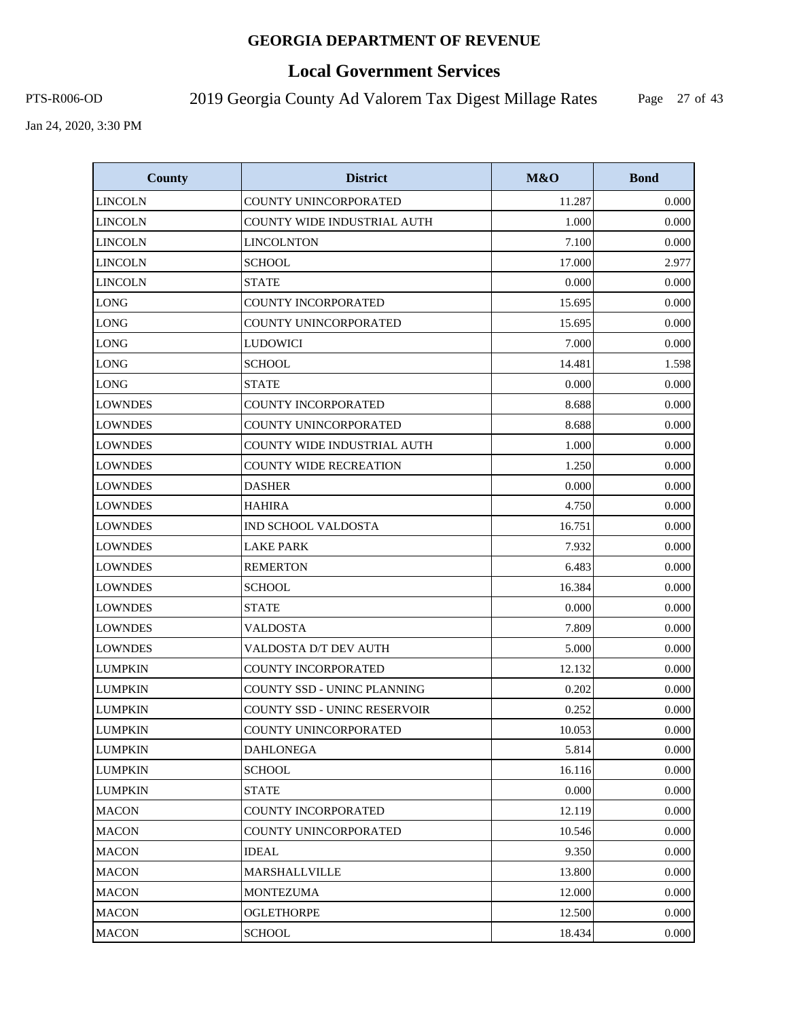# **Local Government Services**

PTS-R006-OD 2019 Georgia County Ad Valorem Tax Digest Millage Rates

Page 27 of 43

| <b>County</b>  | <b>District</b>                     | M&O    | <b>Bond</b> |
|----------------|-------------------------------------|--------|-------------|
| <b>LINCOLN</b> | COUNTY UNINCORPORATED               | 11.287 | 0.000       |
| LINCOLN        | COUNTY WIDE INDUSTRIAL AUTH         | 1.000  | 0.000       |
| <b>LINCOLN</b> | <b>LINCOLNTON</b>                   | 7.100  | 0.000       |
| <b>LINCOLN</b> | <b>SCHOOL</b>                       | 17.000 | 2.977       |
| <b>LINCOLN</b> | <b>STATE</b>                        | 0.000  | 0.000       |
| <b>LONG</b>    | <b>COUNTY INCORPORATED</b>          | 15.695 | 0.000       |
| <b>LONG</b>    | COUNTY UNINCORPORATED               | 15.695 | 0.000       |
| <b>LONG</b>    | <b>LUDOWICI</b>                     | 7.000  | 0.000       |
| <b>LONG</b>    | <b>SCHOOL</b>                       | 14.481 | 1.598       |
| <b>LONG</b>    | <b>STATE</b>                        | 0.000  | 0.000       |
| <b>LOWNDES</b> | COUNTY INCORPORATED                 | 8.688  | 0.000       |
| <b>LOWNDES</b> | COUNTY UNINCORPORATED               | 8.688  | 0.000       |
| <b>LOWNDES</b> | COUNTY WIDE INDUSTRIAL AUTH         | 1.000  | 0.000       |
| <b>LOWNDES</b> | <b>COUNTY WIDE RECREATION</b>       | 1.250  | 0.000       |
| <b>LOWNDES</b> | <b>DASHER</b>                       | 0.000  | 0.000       |
| <b>LOWNDES</b> | <b>HAHIRA</b>                       | 4.750  | 0.000       |
| <b>LOWNDES</b> | <b>IND SCHOOL VALDOSTA</b>          | 16.751 | 0.000       |
| <b>LOWNDES</b> | <b>LAKE PARK</b>                    | 7.932  | 0.000       |
| <b>LOWNDES</b> | <b>REMERTON</b>                     | 6.483  | 0.000       |
| <b>LOWNDES</b> | <b>SCHOOL</b>                       | 16.384 | 0.000       |
| <b>LOWNDES</b> | <b>STATE</b>                        | 0.000  | 0.000       |
| <b>LOWNDES</b> | <b>VALDOSTA</b>                     | 7.809  | 0.000       |
| <b>LOWNDES</b> | VALDOSTA D/T DEV AUTH               | 5.000  | 0.000       |
| <b>LUMPKIN</b> | <b>COUNTY INCORPORATED</b>          | 12.132 | 0.000       |
| <b>LUMPKIN</b> | COUNTY SSD - UNINC PLANNING         | 0.202  | 0.000       |
| <b>LUMPKIN</b> | <b>COUNTY SSD - UNINC RESERVOIR</b> | 0.252  | 0.000       |
| <b>LUMPKIN</b> | COUNTY UNINCORPORATED               | 10.053 | 0.000       |
| <b>LUMPKIN</b> | <b>DAHLONEGA</b>                    | 5.814  | 0.000       |
| <b>LUMPKIN</b> | <b>SCHOOL</b>                       | 16.116 | 0.000       |
| LUMPKIN        | STATE                               | 0.000  | 0.000       |
| <b>MACON</b>   | COUNTY INCORPORATED                 | 12.119 | 0.000       |
| <b>MACON</b>   | COUNTY UNINCORPORATED               | 10.546 | 0.000       |
| MACON          | IDEAL                               | 9.350  | 0.000       |
| <b>MACON</b>   | MARSHALLVILLE                       | 13.800 | 0.000       |
| <b>MACON</b>   | MONTEZUMA                           | 12.000 | 0.000       |
| <b>MACON</b>   | OGLETHORPE                          | 12.500 | 0.000       |
| <b>MACON</b>   | <b>SCHOOL</b>                       | 18.434 | 0.000       |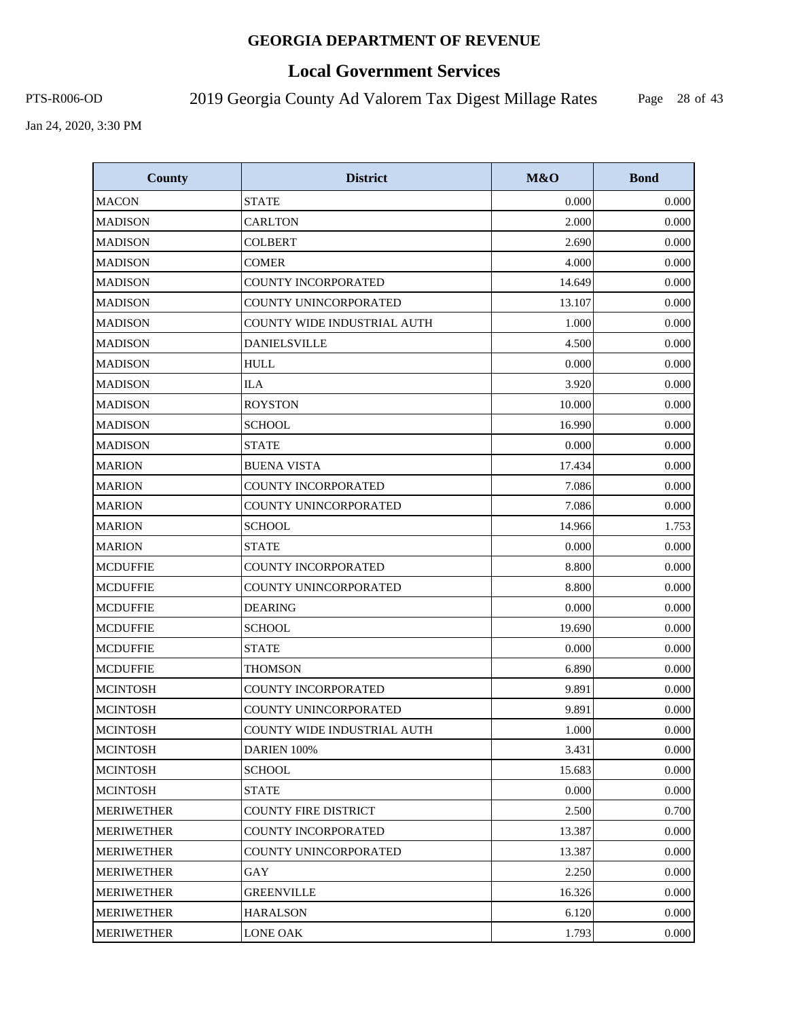# **Local Government Services**

PTS-R006-OD 2019 Georgia County Ad Valorem Tax Digest Millage Rates

Page 28 of 43

| <b>County</b>     | <b>District</b>             | M&O    | <b>Bond</b> |
|-------------------|-----------------------------|--------|-------------|
| <b>MACON</b>      | <b>STATE</b>                | 0.000  | 0.000       |
| <b>MADISON</b>    | <b>CARLTON</b>              | 2.000  | 0.000       |
| <b>MADISON</b>    | <b>COLBERT</b>              | 2.690  | 0.000       |
| <b>MADISON</b>    | <b>COMER</b>                | 4.000  | 0.000       |
| <b>MADISON</b>    | <b>COUNTY INCORPORATED</b>  | 14.649 | 0.000       |
| <b>MADISON</b>    | COUNTY UNINCORPORATED       | 13.107 | 0.000       |
| <b>MADISON</b>    | COUNTY WIDE INDUSTRIAL AUTH | 1.000  | 0.000       |
| <b>MADISON</b>    | <b>DANIELSVILLE</b>         | 4.500  | 0.000       |
| <b>MADISON</b>    | <b>HULL</b>                 | 0.000  | 0.000       |
| <b>MADISON</b>    | <b>ILA</b>                  | 3.920  | 0.000       |
| <b>MADISON</b>    | <b>ROYSTON</b>              | 10.000 | 0.000       |
| <b>MADISON</b>    | <b>SCHOOL</b>               | 16.990 | 0.000       |
| <b>MADISON</b>    | <b>STATE</b>                | 0.000  | 0.000       |
| <b>MARION</b>     | <b>BUENA VISTA</b>          | 17.434 | 0.000       |
| <b>MARION</b>     | COUNTY INCORPORATED         | 7.086  | 0.000       |
| <b>MARION</b>     | COUNTY UNINCORPORATED       | 7.086  | 0.000       |
| <b>MARION</b>     | <b>SCHOOL</b>               | 14.966 | 1.753       |
| <b>MARION</b>     | STATE                       | 0.000  | 0.000       |
| <b>MCDUFFIE</b>   | <b>COUNTY INCORPORATED</b>  | 8.800  | 0.000       |
| <b>MCDUFFIE</b>   | COUNTY UNINCORPORATED       | 8.800  | 0.000       |
| <b>MCDUFFIE</b>   | <b>DEARING</b>              | 0.000  | 0.000       |
| <b>MCDUFFIE</b>   | <b>SCHOOL</b>               | 19.690 | 0.000       |
| <b>MCDUFFIE</b>   | <b>STATE</b>                | 0.000  | 0.000       |
| <b>MCDUFFIE</b>   | <b>THOMSON</b>              | 6.890  | 0.000       |
| <b>MCINTOSH</b>   | <b>COUNTY INCORPORATED</b>  | 9.891  | 0.000       |
| <b>MCINTOSH</b>   | COUNTY UNINCORPORATED       | 9.891  | 0.000       |
| <b>MCINTOSH</b>   | COUNTY WIDE INDUSTRIAL AUTH | 1.000  | 0.000       |
| <b>MCINTOSH</b>   | DARIEN 100%                 | 3.431  | 0.000       |
| <b>MCINTOSH</b>   | <b>SCHOOL</b>               | 15.683 | 0.000       |
| <b>MCINTOSH</b>   | <b>STATE</b>                | 0.000  | 0.000       |
| <b>MERIWETHER</b> | <b>COUNTY FIRE DISTRICT</b> | 2.500  | 0.700       |
| <b>MERIWETHER</b> | <b>COUNTY INCORPORATED</b>  | 13.387 | 0.000       |
| <b>MERIWETHER</b> | COUNTY UNINCORPORATED       | 13.387 | 0.000       |
| <b>MERIWETHER</b> | GAY                         | 2.250  | 0.000       |
| <b>MERIWETHER</b> | <b>GREENVILLE</b>           | 16.326 | 0.000       |
| <b>MERIWETHER</b> | <b>HARALSON</b>             | 6.120  | 0.000       |
| <b>MERIWETHER</b> | <b>LONE OAK</b>             | 1.793  | 0.000       |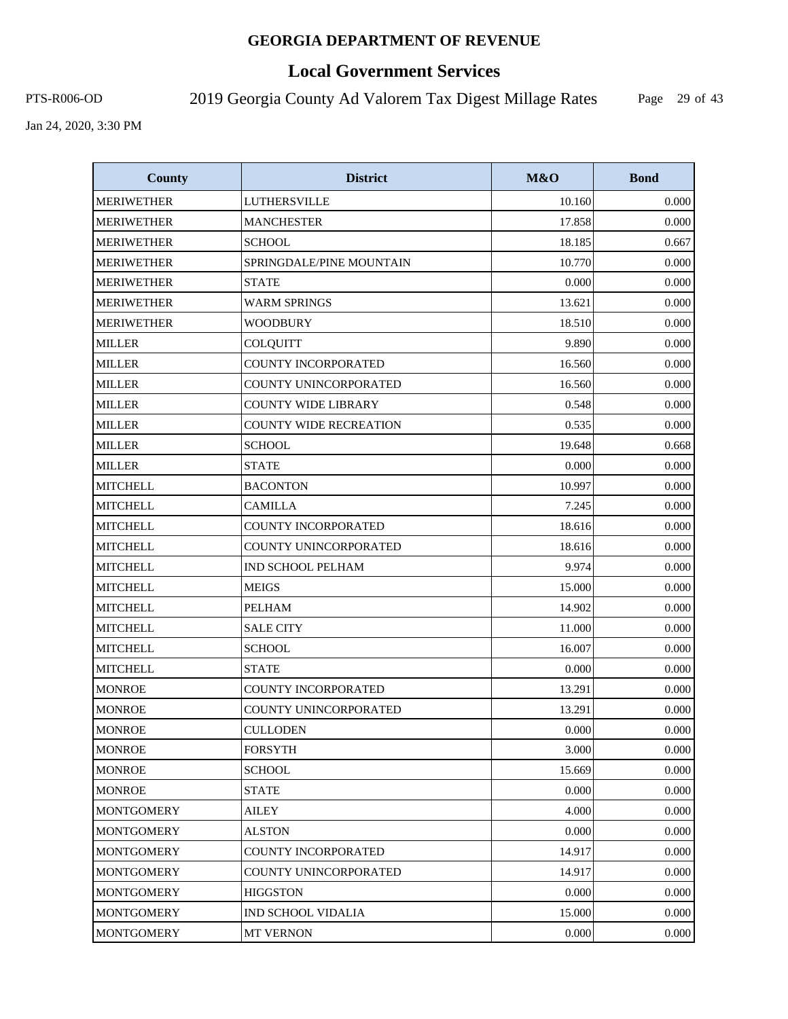# **Local Government Services**

PTS-R006-OD 2019 Georgia County Ad Valorem Tax Digest Millage Rates

Page 29 of 43

| <b>County</b>     | <b>District</b>               | M&O    | <b>Bond</b> |
|-------------------|-------------------------------|--------|-------------|
| <b>MERIWETHER</b> | <b>LUTHERSVILLE</b>           | 10.160 | 0.000       |
| <b>MERIWETHER</b> | <b>MANCHESTER</b>             | 17.858 | 0.000       |
| <b>MERIWETHER</b> | <b>SCHOOL</b>                 | 18.185 | 0.667       |
| <b>MERIWETHER</b> | SPRINGDALE/PINE MOUNTAIN      | 10.770 | 0.000       |
| <b>MERIWETHER</b> | <b>STATE</b>                  | 0.000  | 0.000       |
| <b>MERIWETHER</b> | <b>WARM SPRINGS</b>           | 13.621 | 0.000       |
| <b>MERIWETHER</b> | <b>WOODBURY</b>               | 18.510 | 0.000       |
| <b>MILLER</b>     | COLQUITT                      | 9.890  | 0.000       |
| <b>MILLER</b>     | COUNTY INCORPORATED           | 16.560 | 0.000       |
| <b>MILLER</b>     | COUNTY UNINCORPORATED         | 16.560 | 0.000       |
| <b>MILLER</b>     | <b>COUNTY WIDE LIBRARY</b>    | 0.548  | 0.000       |
| <b>MILLER</b>     | <b>COUNTY WIDE RECREATION</b> | 0.535  | 0.000       |
| <b>MILLER</b>     | <b>SCHOOL</b>                 | 19.648 | 0.668       |
| <b>MILLER</b>     | <b>STATE</b>                  | 0.000  | 0.000       |
| <b>MITCHELL</b>   | <b>BACONTON</b>               | 10.997 | 0.000       |
| <b>MITCHELL</b>   | <b>CAMILLA</b>                | 7.245  | 0.000       |
| <b>MITCHELL</b>   | <b>COUNTY INCORPORATED</b>    | 18.616 | 0.000       |
| <b>MITCHELL</b>   | COUNTY UNINCORPORATED         | 18.616 | 0.000       |
| <b>MITCHELL</b>   | <b>IND SCHOOL PELHAM</b>      | 9.974  | 0.000       |
| <b>MITCHELL</b>   | <b>MEIGS</b>                  | 15.000 | 0.000       |
| <b>MITCHELL</b>   | <b>PELHAM</b>                 | 14.902 | 0.000       |
| <b>MITCHELL</b>   | <b>SALE CITY</b>              | 11.000 | 0.000       |
| <b>MITCHELL</b>   | <b>SCHOOL</b>                 | 16.007 | 0.000       |
| <b>MITCHELL</b>   | <b>STATE</b>                  | 0.000  | 0.000       |
| <b>MONROE</b>     | COUNTY INCORPORATED           | 13.291 | 0.000       |
| <b>MONROE</b>     | COUNTY UNINCORPORATED         | 13.291 | 0.000       |
| <b>MONROE</b>     | <b>CULLODEN</b>               | 0.000  | 0.000       |
| <b>MONROE</b>     | <b>FORSYTH</b>                | 3.000  | 0.000       |
| <b>MONROE</b>     | <b>SCHOOL</b>                 | 15.669 | 0.000       |
| MONROE            | <b>STATE</b>                  | 0.000  | 0.000       |
| <b>MONTGOMERY</b> | AILEY                         | 4.000  | 0.000       |
| <b>MONTGOMERY</b> | <b>ALSTON</b>                 | 0.000  | 0.000       |
| <b>MONTGOMERY</b> | COUNTY INCORPORATED           | 14.917 | 0.000       |
| <b>MONTGOMERY</b> | COUNTY UNINCORPORATED         | 14.917 | 0.000       |
| <b>MONTGOMERY</b> | <b>HIGGSTON</b>               | 0.000  | 0.000       |
| <b>MONTGOMERY</b> | IND SCHOOL VIDALIA            | 15.000 | 0.000       |
| <b>MONTGOMERY</b> | <b>MT VERNON</b>              | 0.000  | 0.000       |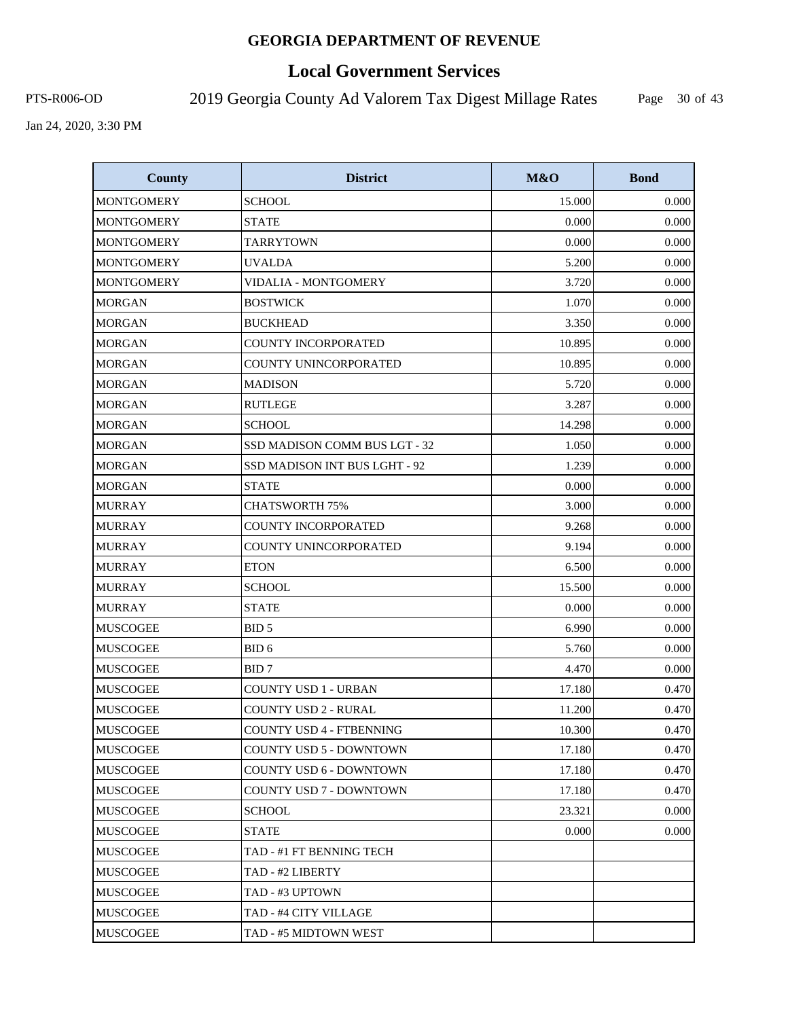# **Local Government Services**

PTS-R006-OD 2019 Georgia County Ad Valorem Tax Digest Millage Rates

Page 30 of 43

| <b>County</b>     | <b>District</b>                | M&O    | <b>Bond</b> |
|-------------------|--------------------------------|--------|-------------|
| <b>MONTGOMERY</b> | <b>SCHOOL</b>                  | 15.000 | 0.000       |
| <b>MONTGOMERY</b> | <b>STATE</b>                   | 0.000  | 0.000       |
| <b>MONTGOMERY</b> | <b>TARRYTOWN</b>               | 0.000  | 0.000       |
| <b>MONTGOMERY</b> | <b>UVALDA</b>                  | 5.200  | 0.000       |
| <b>MONTGOMERY</b> | VIDALIA - MONTGOMERY           | 3.720  | 0.000       |
| <b>MORGAN</b>     | <b>BOSTWICK</b>                | 1.070  | 0.000       |
| <b>MORGAN</b>     | <b>BUCKHEAD</b>                | 3.350  | 0.000       |
| <b>MORGAN</b>     | <b>COUNTY INCORPORATED</b>     | 10.895 | 0.000       |
| <b>MORGAN</b>     | COUNTY UNINCORPORATED          | 10.895 | 0.000       |
| <b>MORGAN</b>     | <b>MADISON</b>                 | 5.720  | 0.000       |
| <b>MORGAN</b>     | <b>RUTLEGE</b>                 | 3.287  | 0.000       |
| <b>MORGAN</b>     | <b>SCHOOL</b>                  | 14.298 | 0.000       |
| <b>MORGAN</b>     | SSD MADISON COMM BUS LGT - 32  | 1.050  | 0.000       |
| <b>MORGAN</b>     | SSD MADISON INT BUS LGHT - 92  | 1.239  | 0.000       |
| <b>MORGAN</b>     | <b>STATE</b>                   | 0.000  | 0.000       |
| <b>MURRAY</b>     | <b>CHATSWORTH 75%</b>          | 3.000  | 0.000       |
| <b>MURRAY</b>     | COUNTY INCORPORATED            | 9.268  | 0.000       |
| <b>MURRAY</b>     | COUNTY UNINCORPORATED          | 9.194  | 0.000       |
| <b>MURRAY</b>     | <b>ETON</b>                    | 6.500  | 0.000       |
| <b>MURRAY</b>     | <b>SCHOOL</b>                  | 15.500 | 0.000       |
| <b>MURRAY</b>     | <b>STATE</b>                   | 0.000  | 0.000       |
| MUSCOGEE          | BID <sub>5</sub>               | 6.990  | 0.000       |
| <b>MUSCOGEE</b>   | BID <sub>6</sub>               | 5.760  | 0.000       |
| <b>MUSCOGEE</b>   | BID <sub>7</sub>               | 4.470  | 0.000       |
| <b>MUSCOGEE</b>   | <b>COUNTY USD 1 - URBAN</b>    | 17.180 | 0.470       |
| <b>MUSCOGEE</b>   | <b>COUNTY USD 2 - RURAL</b>    | 11.200 | 0.470       |
| <b>MUSCOGEE</b>   | COUNTY USD 4 - FTBENNING       | 10.300 | 0.470       |
| <b>MUSCOGEE</b>   | <b>COUNTY USD 5 - DOWNTOWN</b> | 17.180 | 0.470       |
| MUSCOGEE          | COUNTY USD 6 - DOWNTOWN        | 17.180 | 0.470       |
| MUSCOGEE          | COUNTY USD 7 - DOWNTOWN        | 17.180 | 0.470       |
| <b>MUSCOGEE</b>   | <b>SCHOOL</b>                  | 23.321 | 0.000       |
| MUSCOGEE          | STATE                          | 0.000  | 0.000       |
| <b>MUSCOGEE</b>   | TAD - #1 FT BENNING TECH       |        |             |
| <b>MUSCOGEE</b>   | TAD - #2 LIBERTY               |        |             |
| MUSCOGEE          | TAD - #3 UPTOWN                |        |             |
| <b>MUSCOGEE</b>   | TAD - #4 CITY VILLAGE          |        |             |
| <b>MUSCOGEE</b>   | TAD - #5 MIDTOWN WEST          |        |             |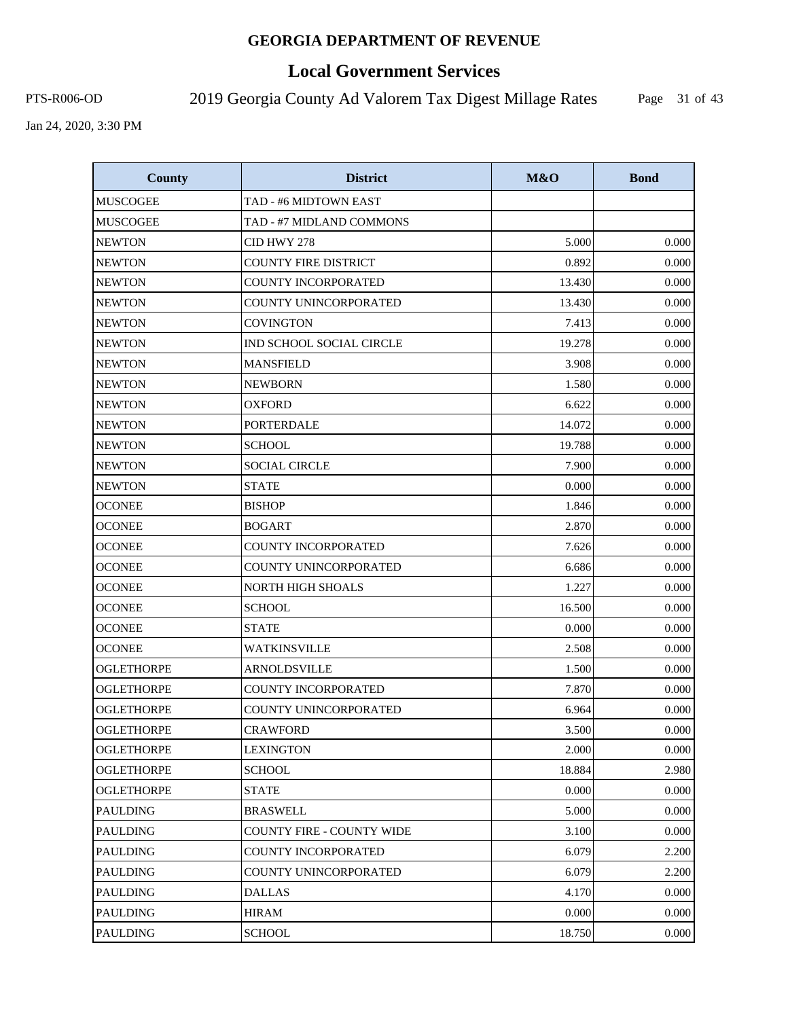# **Local Government Services**

PTS-R006-OD 2019 Georgia County Ad Valorem Tax Digest Millage Rates

Page 31 of 43

| <b>County</b>     | <b>District</b>                  | M&O    | <b>Bond</b> |
|-------------------|----------------------------------|--------|-------------|
| <b>MUSCOGEE</b>   | TAD - #6 MIDTOWN EAST            |        |             |
| <b>MUSCOGEE</b>   | TAD - #7 MIDLAND COMMONS         |        |             |
| <b>NEWTON</b>     | CID HWY 278                      | 5.000  | 0.000       |
| <b>NEWTON</b>     | <b>COUNTY FIRE DISTRICT</b>      | 0.892  | 0.000       |
| <b>NEWTON</b>     | COUNTY INCORPORATED              | 13.430 | 0.000       |
| <b>NEWTON</b>     | COUNTY UNINCORPORATED            | 13.430 | 0.000       |
| <b>NEWTON</b>     | <b>COVINGTON</b>                 | 7.413  | 0.000       |
| <b>NEWTON</b>     | IND SCHOOL SOCIAL CIRCLE         | 19.278 | 0.000       |
| <b>NEWTON</b>     | <b>MANSFIELD</b>                 | 3.908  | 0.000       |
| <b>NEWTON</b>     | <b>NEWBORN</b>                   | 1.580  | 0.000       |
| <b>NEWTON</b>     | <b>OXFORD</b>                    | 6.622  | 0.000       |
| <b>NEWTON</b>     | <b>PORTERDALE</b>                | 14.072 | 0.000       |
| <b>NEWTON</b>     | <b>SCHOOL</b>                    | 19.788 | 0.000       |
| <b>NEWTON</b>     | <b>SOCIAL CIRCLE</b>             | 7.900  | 0.000       |
| <b>NEWTON</b>     | <b>STATE</b>                     | 0.000  | 0.000       |
| <b>OCONEE</b>     | <b>BISHOP</b>                    | 1.846  | 0.000       |
| <b>OCONEE</b>     | <b>BOGART</b>                    | 2.870  | 0.000       |
| <b>OCONEE</b>     | <b>COUNTY INCORPORATED</b>       | 7.626  | 0.000       |
| <b>OCONEE</b>     | COUNTY UNINCORPORATED            | 6.686  | 0.000       |
| <b>OCONEE</b>     | <b>NORTH HIGH SHOALS</b>         | 1.227  | 0.000       |
| <b>OCONEE</b>     | <b>SCHOOL</b>                    | 16.500 | 0.000       |
| <b>OCONEE</b>     | <b>STATE</b>                     | 0.000  | 0.000       |
| <b>OCONEE</b>     | WATKINSVILLE                     | 2.508  | 0.000       |
| <b>OGLETHORPE</b> | <b>ARNOLDSVILLE</b>              | 1.500  | 0.000       |
| <b>OGLETHORPE</b> | <b>COUNTY INCORPORATED</b>       | 7.870  | 0.000       |
| <b>OGLETHORPE</b> | COUNTY UNINCORPORATED            | 6.964  | 0.000       |
| <b>OGLETHORPE</b> | <b>CRAWFORD</b>                  | 3.500  | 0.000       |
| <b>OGLETHORPE</b> | LEXINGTON                        | 2.000  | 0.000       |
| <b>OGLETHORPE</b> | <b>SCHOOL</b>                    | 18.884 | 2.980       |
| <b>OGLETHORPE</b> | <b>STATE</b>                     | 0.000  | 0.000       |
| <b>PAULDING</b>   | <b>BRASWELL</b>                  | 5.000  | 0.000       |
| <b>PAULDING</b>   | <b>COUNTY FIRE - COUNTY WIDE</b> | 3.100  | 0.000       |
| <b>PAULDING</b>   | COUNTY INCORPORATED              | 6.079  | 2.200       |
| PAULDING          | COUNTY UNINCORPORATED            | 6.079  | 2.200       |
| <b>PAULDING</b>   | <b>DALLAS</b>                    | 4.170  | 0.000       |
| <b>PAULDING</b>   | <b>HIRAM</b>                     | 0.000  | 0.000       |
| PAULDING          | <b>SCHOOL</b>                    | 18.750 | 0.000       |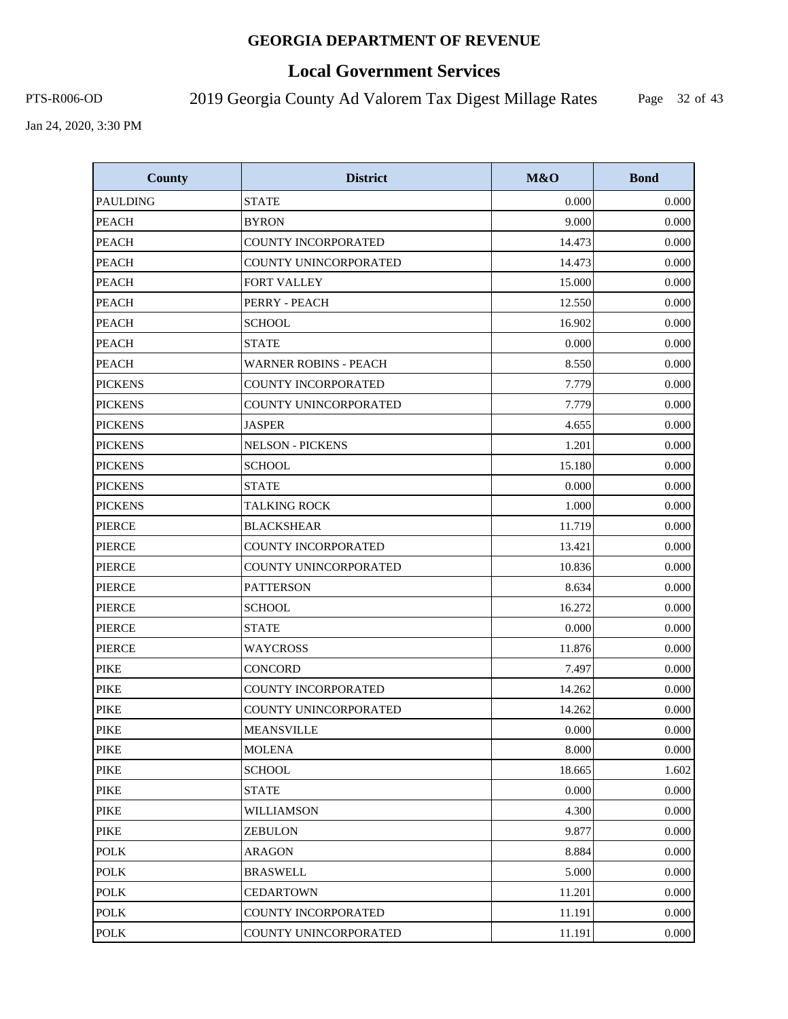# **Local Government Services**

PTS-R006-OD 2019 Georgia County Ad Valorem Tax Digest Millage Rates

Page 32 of 43

| <b>County</b>   | <b>District</b>              | M&O    | <b>Bond</b> |
|-----------------|------------------------------|--------|-------------|
| <b>PAULDING</b> | <b>STATE</b>                 | 0.000  | 0.000       |
| <b>PEACH</b>    | <b>BYRON</b>                 | 9.000  | 0.000       |
| <b>PEACH</b>    | <b>COUNTY INCORPORATED</b>   | 14.473 | 0.000       |
| <b>PEACH</b>    | COUNTY UNINCORPORATED        | 14.473 | 0.000       |
| <b>PEACH</b>    | <b>FORT VALLEY</b>           | 15.000 | 0.000       |
| <b>PEACH</b>    | PERRY - PEACH                | 12.550 | 0.000       |
| <b>PEACH</b>    | <b>SCHOOL</b>                | 16.902 | 0.000       |
| <b>PEACH</b>    | <b>STATE</b>                 | 0.000  | 0.000       |
| <b>PEACH</b>    | <b>WARNER ROBINS - PEACH</b> | 8.550  | 0.000       |
| <b>PICKENS</b>  | COUNTY INCORPORATED          | 7.779  | 0.000       |
| <b>PICKENS</b>  | COUNTY UNINCORPORATED        | 7.779  | 0.000       |
| <b>PICKENS</b>  | <b>JASPER</b>                | 4.655  | 0.000       |
| <b>PICKENS</b>  | <b>NELSON - PICKENS</b>      | 1.201  | 0.000       |
| <b>PICKENS</b>  | <b>SCHOOL</b>                | 15.180 | 0.000       |
| <b>PICKENS</b>  | <b>STATE</b>                 | 0.000  | 0.000       |
| <b>PICKENS</b>  | <b>TALKING ROCK</b>          | 1.000  | 0.000       |
| <b>PIERCE</b>   | <b>BLACKSHEAR</b>            | 11.719 | 0.000       |
| <b>PIERCE</b>   | COUNTY INCORPORATED          | 13.421 | 0.000       |
| <b>PIERCE</b>   | COUNTY UNINCORPORATED        | 10.836 | 0.000       |
| <b>PIERCE</b>   | <b>PATTERSON</b>             | 8.634  | 0.000       |
| <b>PIERCE</b>   | <b>SCHOOL</b>                | 16.272 | 0.000       |
| <b>PIERCE</b>   | <b>STATE</b>                 | 0.000  | 0.000       |
| <b>PIERCE</b>   | WAYCROSS                     | 11.876 | 0.000       |
| <b>PIKE</b>     | <b>CONCORD</b>               | 7.497  | 0.000       |
| <b>PIKE</b>     | COUNTY INCORPORATED          | 14.262 | 0.000       |
| <b>PIKE</b>     | COUNTY UNINCORPORATED        | 14.262 | 0.000       |
| <b>PIKE</b>     | <b>MEANSVILLE</b>            | 0.000  | 0.000       |
| <b>PIKE</b>     | <b>MOLENA</b>                | 8.000  | 0.000       |
| <b>PIKE</b>     | <b>SCHOOL</b>                | 18.665 | 1.602       |
| <b>PIKE</b>     | <b>STATE</b>                 | 0.000  | 0.000       |
| <b>PIKE</b>     | WILLIAMSON                   | 4.300  | 0.000       |
| PIKE            | <b>ZEBULON</b>               | 9.877  | 0.000       |
| <b>POLK</b>     | <b>ARAGON</b>                | 8.884  | 0.000       |
| <b>POLK</b>     | <b>BRASWELL</b>              | 5.000  | 0.000       |
| <b>POLK</b>     | <b>CEDARTOWN</b>             | 11.201 | 0.000       |
| <b>POLK</b>     | COUNTY INCORPORATED          | 11.191 | 0.000       |
| <b>POLK</b>     | COUNTY UNINCORPORATED        | 11.191 | 0.000       |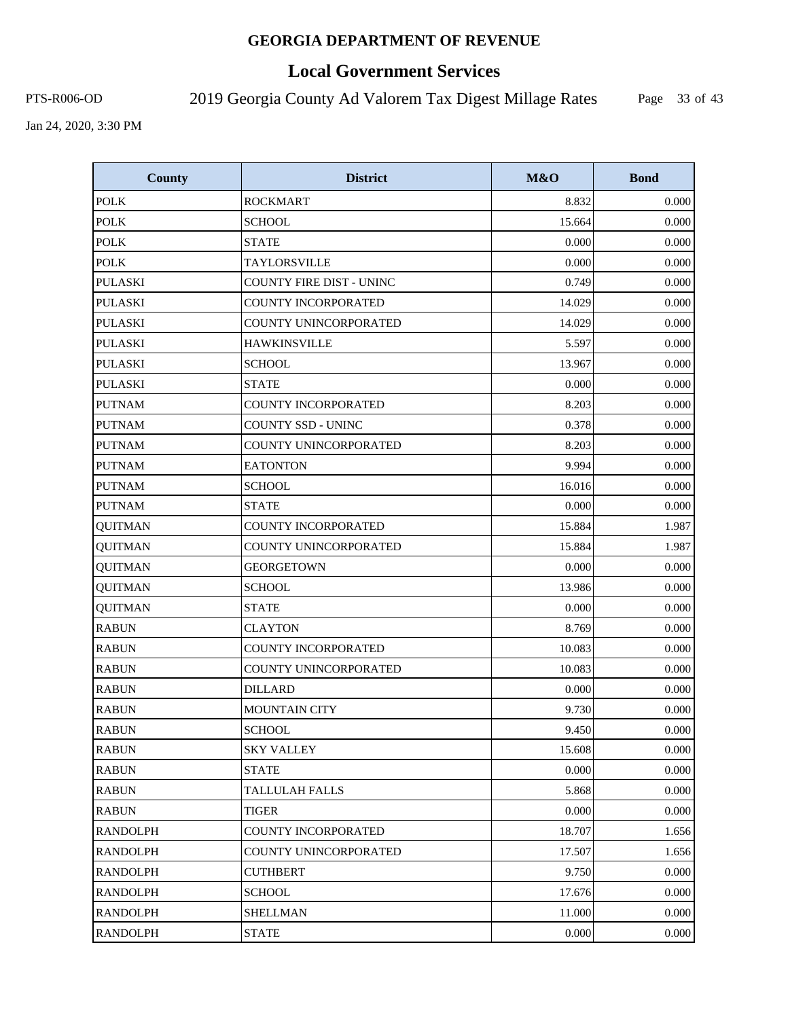# **Local Government Services**

PTS-R006-OD 2019 Georgia County Ad Valorem Tax Digest Millage Rates

Page 33 of 43

| <b>County</b>   | <b>District</b>            | M&O    | <b>Bond</b> |
|-----------------|----------------------------|--------|-------------|
| <b>POLK</b>     | <b>ROCKMART</b>            | 8.832  | 0.000       |
| <b>POLK</b>     | <b>SCHOOL</b>              | 15.664 | 0.000       |
| <b>POLK</b>     | <b>STATE</b>               | 0.000  | 0.000       |
| <b>POLK</b>     | TAYLORSVILLE               | 0.000  | 0.000       |
| <b>PULASKI</b>  | COUNTY FIRE DIST - UNINC   | 0.749  | 0.000       |
| <b>PULASKI</b>  | <b>COUNTY INCORPORATED</b> | 14.029 | 0.000       |
| <b>PULASKI</b>  | COUNTY UNINCORPORATED      | 14.029 | 0.000       |
| <b>PULASKI</b>  | <b>HAWKINSVILLE</b>        | 5.597  | 0.000       |
| <b>PULASKI</b>  | <b>SCHOOL</b>              | 13.967 | 0.000       |
| <b>PULASKI</b>  | <b>STATE</b>               | 0.000  | 0.000       |
| <b>PUTNAM</b>   | <b>COUNTY INCORPORATED</b> | 8.203  | 0.000       |
| <b>PUTNAM</b>   | COUNTY SSD - UNINC         | 0.378  | 0.000       |
| <b>PUTNAM</b>   | COUNTY UNINCORPORATED      | 8.203  | 0.000       |
| <b>PUTNAM</b>   | <b>EATONTON</b>            | 9.994  | 0.000       |
| <b>PUTNAM</b>   | <b>SCHOOL</b>              | 16.016 | 0.000       |
| <b>PUTNAM</b>   | <b>STATE</b>               | 0.000  | 0.000       |
| <b>QUITMAN</b>  | COUNTY INCORPORATED        | 15.884 | 1.987       |
| <b>QUITMAN</b>  | COUNTY UNINCORPORATED      | 15.884 | 1.987       |
| <b>QUITMAN</b>  | <b>GEORGETOWN</b>          | 0.000  | 0.000       |
| <b>QUITMAN</b>  | <b>SCHOOL</b>              | 13.986 | 0.000       |
| <b>QUITMAN</b>  | <b>STATE</b>               | 0.000  | 0.000       |
| <b>RABUN</b>    | <b>CLAYTON</b>             | 8.769  | 0.000       |
| <b>RABUN</b>    | COUNTY INCORPORATED        | 10.083 | 0.000       |
| <b>RABUN</b>    | COUNTY UNINCORPORATED      | 10.083 | 0.000       |
| <b>RABUN</b>    | <b>DILLARD</b>             | 0.000  | 0.000       |
| <b>RABUN</b>    | <b>MOUNTAIN CITY</b>       | 9.730  | 0.000       |
| <b>RABUN</b>    | <b>SCHOOL</b>              | 9.450  | 0.000       |
| <b>RABUN</b>    | <b>SKY VALLEY</b>          | 15.608 | 0.000       |
| <b>RABUN</b>    | <b>STATE</b>               | 0.000  | 0.000       |
| <b>RABUN</b>    | <b>TALLULAH FALLS</b>      | 5.868  | 0.000       |
| <b>RABUN</b>    | TIGER                      | 0.000  | 0.000       |
| <b>RANDOLPH</b> | <b>COUNTY INCORPORATED</b> | 18.707 | 1.656       |
| <b>RANDOLPH</b> | COUNTY UNINCORPORATED      | 17.507 | 1.656       |
| <b>RANDOLPH</b> | <b>CUTHBERT</b>            | 9.750  | 0.000       |
| <b>RANDOLPH</b> | SCHOOL                     | 17.676 | 0.000       |
| <b>RANDOLPH</b> | <b>SHELLMAN</b>            | 11.000 | 0.000       |
| <b>RANDOLPH</b> | <b>STATE</b>               | 0.000  | 0.000       |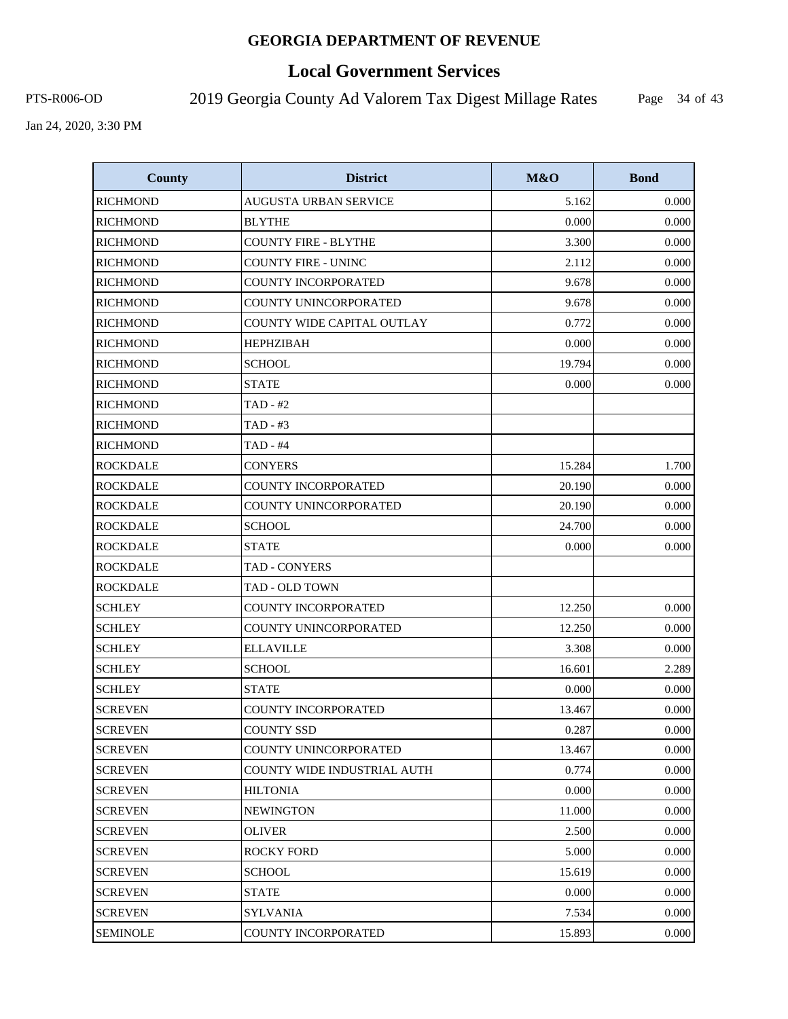# **Local Government Services**

PTS-R006-OD 2019 Georgia County Ad Valorem Tax Digest Millage Rates

Page 34 of 43

| <b>County</b>   | <b>District</b>                    | M&O    | <b>Bond</b> |
|-----------------|------------------------------------|--------|-------------|
| <b>RICHMOND</b> | <b>AUGUSTA URBAN SERVICE</b>       | 5.162  | 0.000       |
| <b>RICHMOND</b> | <b>BLYTHE</b>                      | 0.000  | 0.000       |
| <b>RICHMOND</b> | COUNTY FIRE - BLYTHE               | 3.300  | 0.000       |
| <b>RICHMOND</b> | <b>COUNTY FIRE - UNINC</b>         | 2.112  | 0.000       |
| <b>RICHMOND</b> | COUNTY INCORPORATED                | 9.678  | 0.000       |
| <b>RICHMOND</b> | COUNTY UNINCORPORATED              | 9.678  | 0.000       |
| <b>RICHMOND</b> | COUNTY WIDE CAPITAL OUTLAY         | 0.772  | 0.000       |
| <b>RICHMOND</b> | <b>HEPHZIBAH</b>                   | 0.000  | 0.000       |
| <b>RICHMOND</b> | <b>SCHOOL</b>                      | 19.794 | 0.000       |
| <b>RICHMOND</b> | <b>STATE</b>                       | 0.000  | 0.000       |
| <b>RICHMOND</b> | TAD - #2                           |        |             |
| <b>RICHMOND</b> | TAD - #3                           |        |             |
| <b>RICHMOND</b> | TAD - #4                           |        |             |
| <b>ROCKDALE</b> | <b>CONYERS</b>                     | 15.284 | 1.700       |
| <b>ROCKDALE</b> | COUNTY INCORPORATED                | 20.190 | 0.000       |
| <b>ROCKDALE</b> | COUNTY UNINCORPORATED              | 20.190 | 0.000       |
| <b>ROCKDALE</b> | <b>SCHOOL</b>                      | 24.700 | 0.000       |
| <b>ROCKDALE</b> | STATE                              | 0.000  | 0.000       |
| <b>ROCKDALE</b> | TAD - CONYERS                      |        |             |
| <b>ROCKDALE</b> | TAD - OLD TOWN                     |        |             |
| <b>SCHLEY</b>   | COUNTY INCORPORATED                | 12.250 | 0.000       |
| <b>SCHLEY</b>   | COUNTY UNINCORPORATED              | 12.250 | 0.000       |
| <b>SCHLEY</b>   | <b>ELLAVILLE</b>                   | 3.308  | 0.000       |
| <b>SCHLEY</b>   | <b>SCHOOL</b>                      | 16.601 | 2.289       |
| <b>SCHLEY</b>   | <b>STATE</b>                       | 0.000  | 0.000       |
| <b>SCREVEN</b>  | <b>COUNTY INCORPORATED</b>         | 13.467 | 0.000       |
| <b>SCREVEN</b>  | <b>COUNTY SSD</b>                  | 0.287  | 0.000       |
| <b>SCREVEN</b>  | COUNTY UNINCORPORATED              | 13.467 | 0.000       |
| <b>SCREVEN</b>  | <b>COUNTY WIDE INDUSTRIAL AUTH</b> | 0.774  | 0.000       |
| <b>SCREVEN</b>  | HILTONIA                           | 0.000  | 0.000       |
| <b>SCREVEN</b>  | <b>NEWINGTON</b>                   | 11.000 | 0.000       |
| <b>SCREVEN</b>  | <b>OLIVER</b>                      | 2.500  | 0.000       |
| <b>SCREVEN</b>  | <b>ROCKY FORD</b>                  | 5.000  | 0.000       |
| <b>SCREVEN</b>  | <b>SCHOOL</b>                      | 15.619 | 0.000       |
| <b>SCREVEN</b>  | <b>STATE</b>                       | 0.000  | 0.000       |
| <b>SCREVEN</b>  | <b>SYLVANIA</b>                    | 7.534  | 0.000       |
| <b>SEMINOLE</b> | COUNTY INCORPORATED                | 15.893 | 0.000       |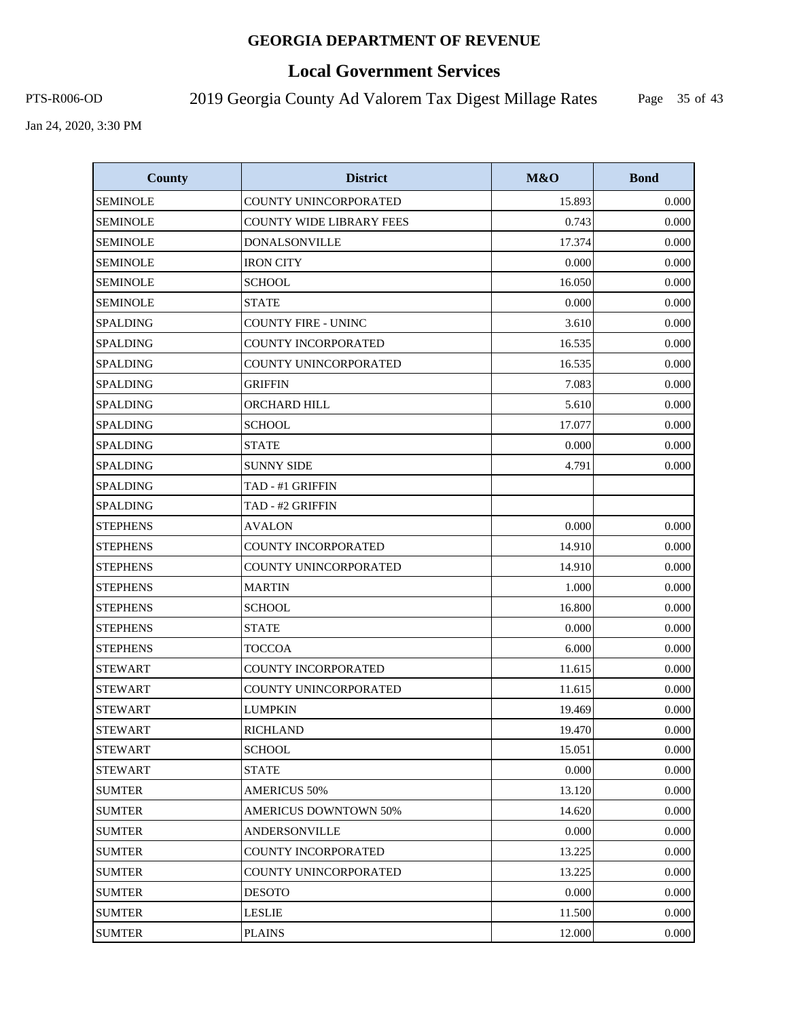# **Local Government Services**

PTS-R006-OD 2019 Georgia County Ad Valorem Tax Digest Millage Rates

Page 35 of 43

| <b>County</b>   | <b>District</b>                 | M&O    | <b>Bond</b> |
|-----------------|---------------------------------|--------|-------------|
| <b>SEMINOLE</b> | COUNTY UNINCORPORATED           | 15.893 | 0.000       |
| <b>SEMINOLE</b> | <b>COUNTY WIDE LIBRARY FEES</b> | 0.743  | 0.000       |
| <b>SEMINOLE</b> | <b>DONALSONVILLE</b>            | 17.374 | 0.000       |
| <b>SEMINOLE</b> | <b>IRON CITY</b>                | 0.000  | 0.000       |
| <b>SEMINOLE</b> | <b>SCHOOL</b>                   | 16.050 | 0.000       |
| <b>SEMINOLE</b> | <b>STATE</b>                    | 0.000  | 0.000       |
| <b>SPALDING</b> | <b>COUNTY FIRE - UNINC</b>      | 3.610  | 0.000       |
| <b>SPALDING</b> | COUNTY INCORPORATED             | 16.535 | 0.000       |
| <b>SPALDING</b> | COUNTY UNINCORPORATED           | 16.535 | 0.000       |
| <b>SPALDING</b> | <b>GRIFFIN</b>                  | 7.083  | 0.000       |
| <b>SPALDING</b> | ORCHARD HILL                    | 5.610  | 0.000       |
| <b>SPALDING</b> | <b>SCHOOL</b>                   | 17.077 | 0.000       |
| <b>SPALDING</b> | <b>STATE</b>                    | 0.000  | 0.000       |
| <b>SPALDING</b> | <b>SUNNY SIDE</b>               | 4.791  | 0.000       |
| <b>SPALDING</b> | TAD - #1 GRIFFIN                |        |             |
| <b>SPALDING</b> | TAD - #2 GRIFFIN                |        |             |
| <b>STEPHENS</b> | <b>AVALON</b>                   | 0.000  | 0.000       |
| <b>STEPHENS</b> | <b>COUNTY INCORPORATED</b>      | 14.910 | 0.000       |
| <b>STEPHENS</b> | COUNTY UNINCORPORATED           | 14.910 | 0.000       |
| <b>STEPHENS</b> | <b>MARTIN</b>                   | 1.000  | 0.000       |
| <b>STEPHENS</b> | <b>SCHOOL</b>                   | 16.800 | 0.000       |
| <b>STEPHENS</b> | <b>STATE</b>                    | 0.000  | 0.000       |
| <b>STEPHENS</b> | <b>TOCCOA</b>                   | 6.000  | 0.000       |
| <b>STEWART</b>  | COUNTY INCORPORATED             | 11.615 | 0.000       |
| <b>STEWART</b>  | COUNTY UNINCORPORATED           | 11.615 | 0.000       |
| <b>STEWART</b>  | <b>LUMPKIN</b>                  | 19.469 | 0.000       |
| <b>STEWART</b>  | <b>RICHLAND</b>                 | 19.470 | 0.000       |
| <b>STEWART</b>  | <b>SCHOOL</b>                   | 15.051 | 0.000       |
| <b>STEWART</b>  | <b>STATE</b>                    | 0.000  | 0.000       |
| <b>SUMTER</b>   | <b>AMERICUS 50%</b>             | 13.120 | 0.000       |
| <b>SUMTER</b>   | <b>AMERICUS DOWNTOWN 50%</b>    | 14.620 | 0.000       |
| <b>SUMTER</b>   | <b>ANDERSONVILLE</b>            | 0.000  | 0.000       |
| <b>SUMTER</b>   | COUNTY INCORPORATED             | 13.225 | 0.000       |
| <b>SUMTER</b>   | COUNTY UNINCORPORATED           | 13.225 | 0.000       |
| <b>SUMTER</b>   | <b>DESOTO</b>                   | 0.000  | 0.000       |
| <b>SUMTER</b>   | LESLIE                          | 11.500 | 0.000       |
| <b>SUMTER</b>   | <b>PLAINS</b>                   | 12.000 | 0.000       |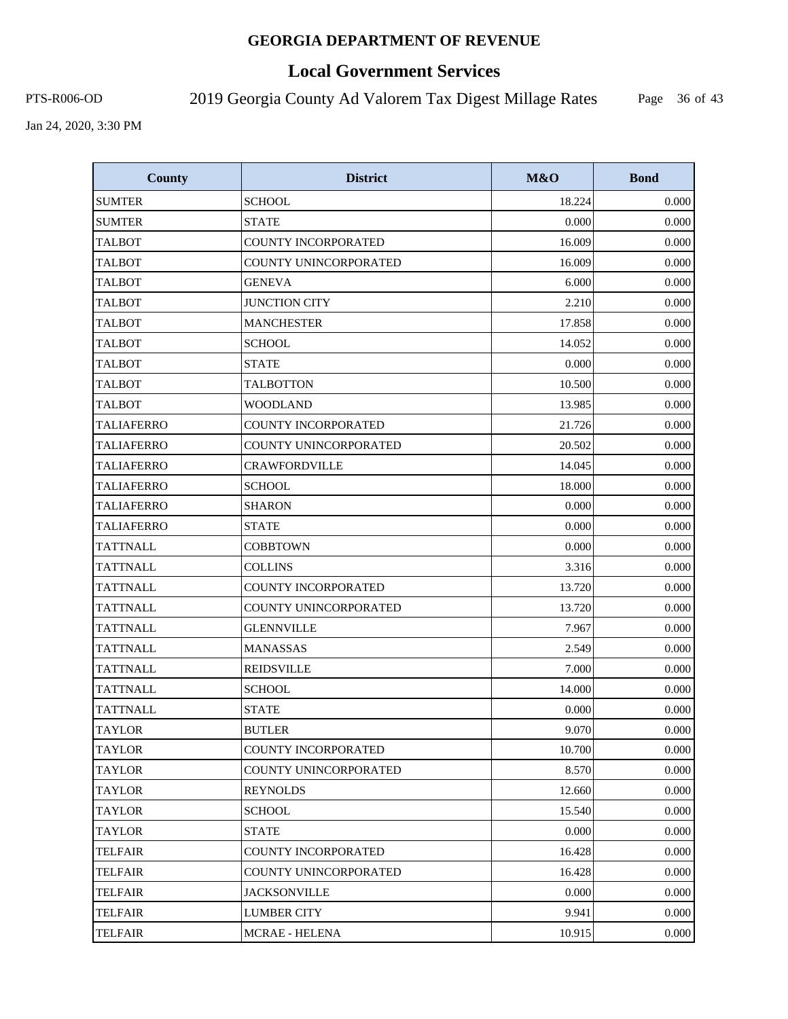# **Local Government Services**

PTS-R006-OD 2019 Georgia County Ad Valorem Tax Digest Millage Rates

Page 36 of 43

| <b>County</b>     | <b>District</b>            | M&O    | <b>Bond</b> |
|-------------------|----------------------------|--------|-------------|
| <b>SUMTER</b>     | <b>SCHOOL</b>              | 18.224 | 0.000       |
| <b>SUMTER</b>     | <b>STATE</b>               | 0.000  | 0.000       |
| <b>TALBOT</b>     | <b>COUNTY INCORPORATED</b> | 16.009 | 0.000       |
| <b>TALBOT</b>     | COUNTY UNINCORPORATED      | 16.009 | 0.000       |
| <b>TALBOT</b>     | <b>GENEVA</b>              | 6.000  | 0.000       |
| <b>TALBOT</b>     | <b>JUNCTION CITY</b>       | 2.210  | 0.000       |
| <b>TALBOT</b>     | <b>MANCHESTER</b>          | 17.858 | 0.000       |
| <b>TALBOT</b>     | <b>SCHOOL</b>              | 14.052 | 0.000       |
| <b>TALBOT</b>     | <b>STATE</b>               | 0.000  | 0.000       |
| <b>TALBOT</b>     | <b>TALBOTTON</b>           | 10.500 | 0.000       |
| <b>TALBOT</b>     | <b>WOODLAND</b>            | 13.985 | 0.000       |
| <b>TALIAFERRO</b> | COUNTY INCORPORATED        | 21.726 | 0.000       |
| <b>TALIAFERRO</b> | COUNTY UNINCORPORATED      | 20.502 | 0.000       |
| <b>TALIAFERRO</b> | <b>CRAWFORDVILLE</b>       | 14.045 | 0.000       |
| <b>TALIAFERRO</b> | <b>SCHOOL</b>              | 18.000 | 0.000       |
| <b>TALIAFERRO</b> | <b>SHARON</b>              | 0.000  | 0.000       |
| <b>TALIAFERRO</b> | <b>STATE</b>               | 0.000  | 0.000       |
| <b>TATTNALL</b>   | <b>COBBTOWN</b>            | 0.000  | 0.000       |
| <b>TATTNALL</b>   | <b>COLLINS</b>             | 3.316  | 0.000       |
| <b>TATTNALL</b>   | COUNTY INCORPORATED        | 13.720 | 0.000       |
| <b>TATTNALL</b>   | COUNTY UNINCORPORATED      | 13.720 | 0.000       |
| <b>TATTNALL</b>   | <b>GLENNVILLE</b>          | 7.967  | 0.000       |
| <b>TATTNALL</b>   | <b>MANASSAS</b>            | 2.549  | 0.000       |
| <b>TATTNALL</b>   | <b>REIDSVILLE</b>          | 7.000  | 0.000       |
| <b>TATTNALL</b>   | <b>SCHOOL</b>              | 14.000 | 0.000       |
| <b>TATTNALL</b>   | <b>STATE</b>               | 0.000  | 0.000       |
| <b>TAYLOR</b>     | <b>BUTLER</b>              | 9.070  | 0.000       |
| TAYLOR            | COUNTY INCORPORATED        | 10.700 | 0.000       |
| TAYLOR            | COUNTY UNINCORPORATED      | 8.570  | 0.000       |
| <b>TAYLOR</b>     | REYNOLDS                   | 12.660 | 0.000       |
| <b>TAYLOR</b>     | <b>SCHOOL</b>              | 15.540 | 0.000       |
| <b>TAYLOR</b>     | <b>STATE</b>               | 0.000  | 0.000       |
| TELFAIR           | COUNTY INCORPORATED        | 16.428 | 0.000       |
| TELFAIR           | COUNTY UNINCORPORATED      | 16.428 | 0.000       |
| <b>TELFAIR</b>    | <b>JACKSONVILLE</b>        | 0.000  | 0.000       |
| TELFAIR           | <b>LUMBER CITY</b>         | 9.941  | 0.000       |
| <b>TELFAIR</b>    | MCRAE - HELENA             | 10.915 | 0.000       |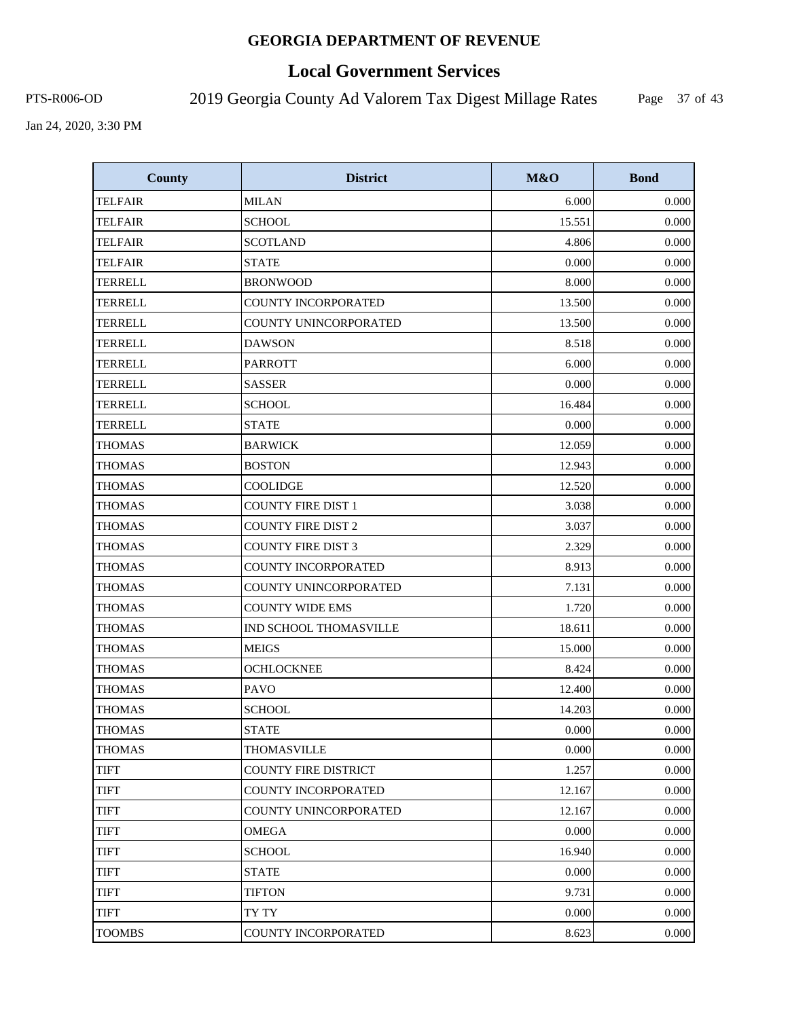# **Local Government Services**

PTS-R006-OD 2019 Georgia County Ad Valorem Tax Digest Millage Rates

Page 37 of 43

| <b>County</b>  | <b>District</b>             | M&O    | <b>Bond</b> |
|----------------|-----------------------------|--------|-------------|
| <b>TELFAIR</b> | <b>MILAN</b>                | 6.000  | 0.000       |
| <b>TELFAIR</b> | <b>SCHOOL</b>               | 15.551 | 0.000       |
| <b>TELFAIR</b> | <b>SCOTLAND</b>             | 4.806  | 0.000       |
| <b>TELFAIR</b> | <b>STATE</b>                | 0.000  | 0.000       |
| <b>TERRELL</b> | <b>BRONWOOD</b>             | 8.000  | 0.000       |
| <b>TERRELL</b> | <b>COUNTY INCORPORATED</b>  | 13.500 | 0.000       |
| TERRELL        | COUNTY UNINCORPORATED       | 13.500 | 0.000       |
| <b>TERRELL</b> | <b>DAWSON</b>               | 8.518  | 0.000       |
| <b>TERRELL</b> | <b>PARROTT</b>              | 6.000  | 0.000       |
| <b>TERRELL</b> | <b>SASSER</b>               | 0.000  | 0.000       |
| TERRELL        | <b>SCHOOL</b>               | 16.484 | 0.000       |
| <b>TERRELL</b> | <b>STATE</b>                | 0.000  | 0.000       |
| <b>THOMAS</b>  | <b>BARWICK</b>              | 12.059 | 0.000       |
| <b>THOMAS</b>  | <b>BOSTON</b>               | 12.943 | 0.000       |
| <b>THOMAS</b>  | <b>COOLIDGE</b>             | 12.520 | 0.000       |
| <b>THOMAS</b>  | <b>COUNTY FIRE DIST 1</b>   | 3.038  | 0.000       |
| <b>THOMAS</b>  | <b>COUNTY FIRE DIST 2</b>   | 3.037  | 0.000       |
| <b>THOMAS</b>  | <b>COUNTY FIRE DIST 3</b>   | 2.329  | 0.000       |
| <b>THOMAS</b>  | COUNTY INCORPORATED         | 8.913  | 0.000       |
| <b>THOMAS</b>  | COUNTY UNINCORPORATED       | 7.131  | 0.000       |
| <b>THOMAS</b>  | <b>COUNTY WIDE EMS</b>      | 1.720  | 0.000       |
| <b>THOMAS</b>  | IND SCHOOL THOMASVILLE      | 18.611 | 0.000       |
| <b>THOMAS</b>  | <b>MEIGS</b>                | 15.000 | 0.000       |
| <b>THOMAS</b>  | <b>OCHLOCKNEE</b>           | 8.424  | 0.000       |
| <b>THOMAS</b>  | <b>PAVO</b>                 | 12.400 | 0.000       |
| <b>THOMAS</b>  | <b>SCHOOL</b>               | 14.203 | 0.000       |
| <b>THOMAS</b>  | <b>STATE</b>                | 0.000  | 0.000       |
| <b>THOMAS</b>  | THOMASVILLE                 | 0.000  | 0.000       |
| <b>TIFT</b>    | <b>COUNTY FIRE DISTRICT</b> | 1.257  | 0.000       |
| TIFT           | COUNTY INCORPORATED         | 12.167 | 0.000       |
| <b>TIFT</b>    | COUNTY UNINCORPORATED       | 12.167 | 0.000       |
| <b>TIFT</b>    | <b>OMEGA</b>                | 0.000  | 0.000       |
| <b>TIFT</b>    | <b>SCHOOL</b>               | 16.940 | 0.000       |
| <b>TIFT</b>    | <b>STATE</b>                | 0.000  | 0.000       |
| <b>TIFT</b>    | <b>TIFTON</b>               | 9.731  | 0.000       |
| <b>TIFT</b>    | TY TY                       | 0.000  | 0.000       |
| <b>TOOMBS</b>  | COUNTY INCORPORATED         | 8.623  | 0.000       |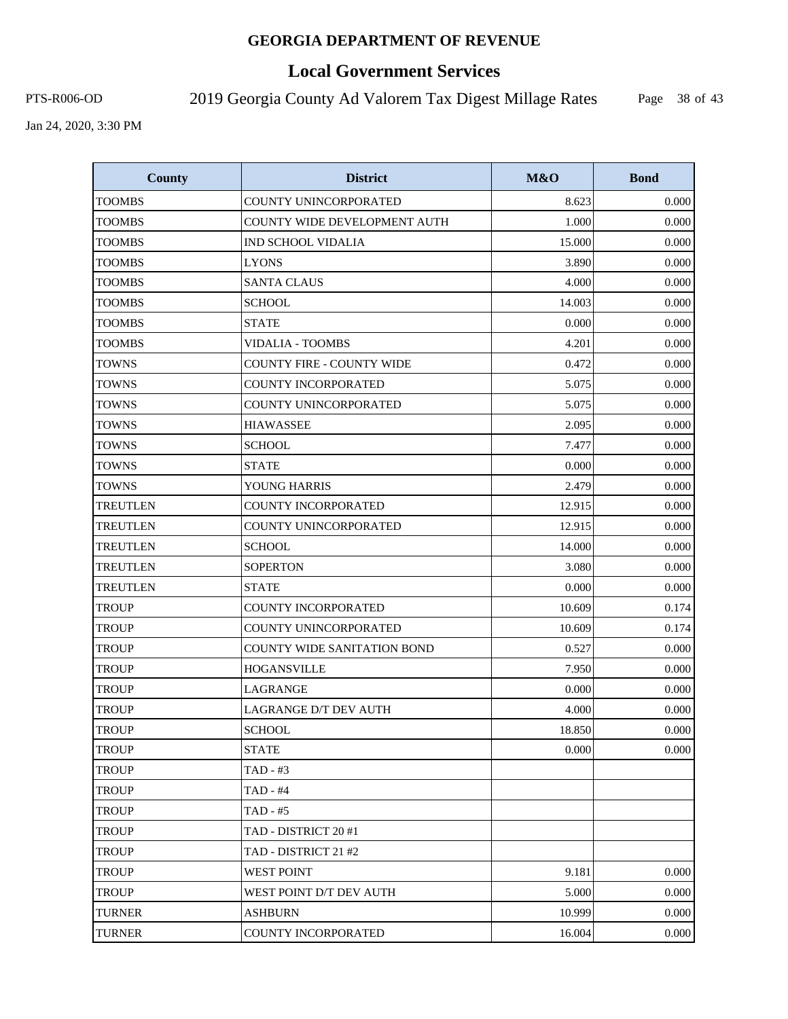# **Local Government Services**

PTS-R006-OD 2019 Georgia County Ad Valorem Tax Digest Millage Rates

Page 38 of 43

| <b>County</b>   | <b>District</b>                    | <b>M&amp;O</b> | <b>Bond</b> |
|-----------------|------------------------------------|----------------|-------------|
| <b>TOOMBS</b>   | COUNTY UNINCORPORATED              | 8.623          | 0.000       |
| TOOMBS          | COUNTY WIDE DEVELOPMENT AUTH       | 1.000          | 0.000       |
| <b>TOOMBS</b>   | <b>IND SCHOOL VIDALIA</b>          | 15.000         | 0.000       |
| <b>TOOMBS</b>   | <b>LYONS</b>                       | 3.890          | 0.000       |
| <b>TOOMBS</b>   | <b>SANTA CLAUS</b>                 | 4.000          | 0.000       |
| <b>TOOMBS</b>   | <b>SCHOOL</b>                      | 14.003         | 0.000       |
| <b>TOOMBS</b>   | <b>STATE</b>                       | 0.000          | 0.000       |
| <b>TOOMBS</b>   | <b>VIDALIA - TOOMBS</b>            | 4.201          | 0.000       |
| <b>TOWNS</b>    | <b>COUNTY FIRE - COUNTY WIDE</b>   | 0.472          | 0.000       |
| <b>TOWNS</b>    | COUNTY INCORPORATED                | 5.075          | 0.000       |
| <b>TOWNS</b>    | COUNTY UNINCORPORATED              | 5.075          | 0.000       |
| <b>TOWNS</b>    | <b>HIAWASSEE</b>                   | 2.095          | 0.000       |
| <b>TOWNS</b>    | <b>SCHOOL</b>                      | 7.477          | 0.000       |
| <b>TOWNS</b>    | <b>STATE</b>                       | 0.000          | 0.000       |
| <b>TOWNS</b>    | YOUNG HARRIS                       | 2.479          | 0.000       |
| <b>TREUTLEN</b> | <b>COUNTY INCORPORATED</b>         | 12.915         | 0.000       |
| <b>TREUTLEN</b> | COUNTY UNINCORPORATED              | 12.915         | 0.000       |
| <b>TREUTLEN</b> | <b>SCHOOL</b>                      | 14.000         | 0.000       |
| <b>TREUTLEN</b> | <b>SOPERTON</b>                    | 3.080          | 0.000       |
| <b>TREUTLEN</b> | <b>STATE</b>                       | 0.000          | 0.000       |
| <b>TROUP</b>    | COUNTY INCORPORATED                | 10.609         | 0.174       |
| <b>TROUP</b>    | COUNTY UNINCORPORATED              | 10.609         | 0.174       |
| <b>TROUP</b>    | <b>COUNTY WIDE SANITATION BOND</b> | 0.527          | 0.000       |
| <b>TROUP</b>    | <b>HOGANSVILLE</b>                 | 7.950          | 0.000       |
| <b>TROUP</b>    | <b>LAGRANGE</b>                    | 0.000          | 0.000       |
| <b>TROUP</b>    | LAGRANGE D/T DEV AUTH              | 4.000          | 0.000       |
| <b>TROUP</b>    | <b>SCHOOL</b>                      | 18.850         | $0.000\,$   |
| <b>TROUP</b>    | <b>STATE</b>                       | 0.000          | 0.000       |
| <b>TROUP</b>    | TAD - #3                           |                |             |
| <b>TROUP</b>    | TAD - #4                           |                |             |
| <b>TROUP</b>    | $TAD - #5$                         |                |             |
| TROUP           | TAD - DISTRICT 20 #1               |                |             |
| <b>TROUP</b>    | TAD - DISTRICT 21 #2               |                |             |
| <b>TROUP</b>    | <b>WEST POINT</b>                  | 9.181          | 0.000       |
| <b>TROUP</b>    | WEST POINT D/T DEV AUTH            | 5.000          | 0.000       |
| <b>TURNER</b>   | <b>ASHBURN</b>                     | 10.999         | 0.000       |
| <b>TURNER</b>   | COUNTY INCORPORATED                | 16.004         | 0.000       |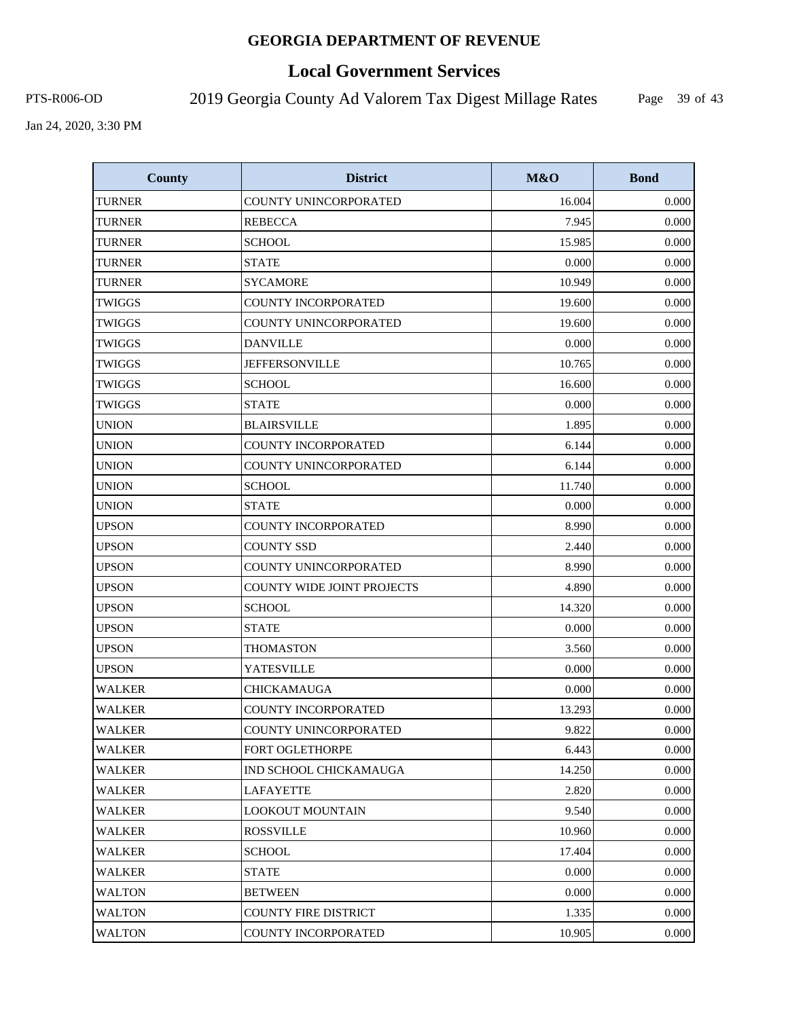# **Local Government Services**

PTS-R006-OD 2019 Georgia County Ad Valorem Tax Digest Millage Rates

Page 39 of 43

| <b>County</b> | <b>District</b>             | <b>M&amp;O</b> | <b>Bond</b> |
|---------------|-----------------------------|----------------|-------------|
| <b>TURNER</b> | COUNTY UNINCORPORATED       | 16.004         | 0.000       |
| TURNER        | <b>REBECCA</b>              | 7.945          | 0.000       |
| <b>TURNER</b> | <b>SCHOOL</b>               | 15.985         | 0.000       |
| <b>TURNER</b> | <b>STATE</b>                | 0.000          | 0.000       |
| <b>TURNER</b> | <b>SYCAMORE</b>             | 10.949         | 0.000       |
| TWIGGS        | <b>COUNTY INCORPORATED</b>  | 19.600         | 0.000       |
| <b>TWIGGS</b> | COUNTY UNINCORPORATED       | 19.600         | 0.000       |
| <b>TWIGGS</b> | <b>DANVILLE</b>             | 0.000          | 0.000       |
| <b>TWIGGS</b> | <b>JEFFERSONVILLE</b>       | 10.765         | 0.000       |
| TWIGGS        | <b>SCHOOL</b>               | 16.600         | 0.000       |
| TWIGGS        | <b>STATE</b>                | 0.000          | 0.000       |
| <b>UNION</b>  | <b>BLAIRSVILLE</b>          | 1.895          | 0.000       |
| <b>UNION</b>  | <b>COUNTY INCORPORATED</b>  | 6.144          | 0.000       |
| <b>UNION</b>  | COUNTY UNINCORPORATED       | 6.144          | 0.000       |
| <b>UNION</b>  | <b>SCHOOL</b>               | 11.740         | 0.000       |
| <b>UNION</b>  | <b>STATE</b>                | 0.000          | 0.000       |
| <b>UPSON</b>  | <b>COUNTY INCORPORATED</b>  | 8.990          | 0.000       |
| <b>UPSON</b>  | <b>COUNTY SSD</b>           | 2.440          | 0.000       |
| <b>UPSON</b>  | COUNTY UNINCORPORATED       | 8.990          | 0.000       |
| <b>UPSON</b>  | COUNTY WIDE JOINT PROJECTS  | 4.890          | 0.000       |
| <b>UPSON</b>  | <b>SCHOOL</b>               | 14.320         | 0.000       |
| <b>UPSON</b>  | <b>STATE</b>                | 0.000          | 0.000       |
| <b>UPSON</b>  | <b>THOMASTON</b>            | 3.560          | 0.000       |
| <b>UPSON</b>  | YATESVILLE                  | 0.000          | 0.000       |
| <b>WALKER</b> | <b>CHICKAMAUGA</b>          | 0.000          | 0.000       |
| <b>WALKER</b> | <b>COUNTY INCORPORATED</b>  | 13.293         | 0.000       |
| <b>WALKER</b> | COUNTY UNINCORPORATED       | 9.822          | 0.000       |
| <b>WALKER</b> | FORT OGLETHORPE             | 6.443          | 0.000       |
| <b>WALKER</b> | IND SCHOOL CHICKAMAUGA      | 14.250         | 0.000       |
| WALKER        | <b>LAFAYETTE</b>            | 2.820          | 0.000       |
| <b>WALKER</b> | <b>LOOKOUT MOUNTAIN</b>     | 9.540          | 0.000       |
| WALKER        | <b>ROSSVILLE</b>            | 10.960         | 0.000       |
| <b>WALKER</b> | <b>SCHOOL</b>               | 17.404         | 0.000       |
| <b>WALKER</b> | <b>STATE</b>                | 0.000          | 0.000       |
| <b>WALTON</b> | <b>BETWEEN</b>              | 0.000          | 0.000       |
| <b>WALTON</b> | <b>COUNTY FIRE DISTRICT</b> | 1.335          | 0.000       |
| <b>WALTON</b> | COUNTY INCORPORATED         | 10.905         | 0.000       |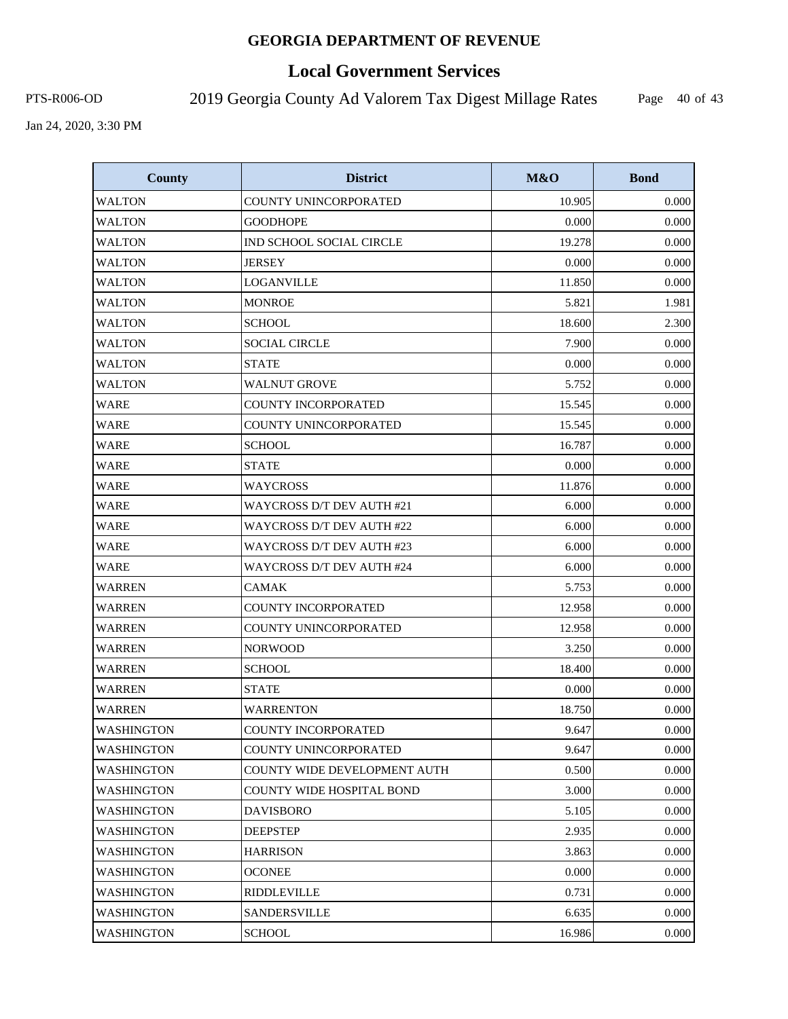# **Local Government Services**

PTS-R006-OD 2019 Georgia County Ad Valorem Tax Digest Millage Rates

Page 40 of 43

| <b>County</b>     | <b>District</b>                     | M&O    | <b>Bond</b> |
|-------------------|-------------------------------------|--------|-------------|
| <b>WALTON</b>     | COUNTY UNINCORPORATED               | 10.905 | 0.000       |
| WALTON            | <b>GOODHOPE</b>                     | 0.000  | 0.000       |
| WALTON            | IND SCHOOL SOCIAL CIRCLE            | 19.278 | 0.000       |
| <b>WALTON</b>     | <b>JERSEY</b>                       | 0.000  | 0.000       |
| <b>WALTON</b>     | <b>LOGANVILLE</b>                   | 11.850 | 0.000       |
| <b>WALTON</b>     | <b>MONROE</b>                       | 5.821  | 1.981       |
| WALTON            | <b>SCHOOL</b>                       | 18.600 | 2.300       |
| WALTON            | <b>SOCIAL CIRCLE</b>                | 7.900  | 0.000       |
| <b>WALTON</b>     | <b>STATE</b>                        | 0.000  | 0.000       |
| <b>WALTON</b>     | <b>WALNUT GROVE</b>                 | 5.752  | 0.000       |
| WARE              | <b>COUNTY INCORPORATED</b>          | 15.545 | 0.000       |
| <b>WARE</b>       | COUNTY UNINCORPORATED               | 15.545 | 0.000       |
| <b>WARE</b>       | <b>SCHOOL</b>                       | 16.787 | 0.000       |
| <b>WARE</b>       | <b>STATE</b>                        | 0.000  | 0.000       |
| <b>WARE</b>       | <b>WAYCROSS</b>                     | 11.876 | 0.000       |
| <b>WARE</b>       | WAYCROSS D/T DEV AUTH #21           | 6.000  | 0.000       |
| <b>WARE</b>       | <b>WAYCROSS D/T DEV AUTH #22</b>    | 6.000  | 0.000       |
| <b>WARE</b>       | WAYCROSS D/T DEV AUTH #23           | 6.000  | 0.000       |
| <b>WARE</b>       | <b>WAYCROSS D/T DEV AUTH #24</b>    | 6.000  | 0.000       |
| <b>WARREN</b>     | <b>CAMAK</b>                        | 5.753  | 0.000       |
| WARREN            | <b>COUNTY INCORPORATED</b>          | 12.958 | 0.000       |
| WARREN            | COUNTY UNINCORPORATED               | 12.958 | 0.000       |
| <b>WARREN</b>     | <b>NORWOOD</b>                      | 3.250  | 0.000       |
| <b>WARREN</b>     | <b>SCHOOL</b>                       | 18.400 | 0.000       |
| <b>WARREN</b>     | <b>STATE</b>                        | 0.000  | 0.000       |
| <b>WARREN</b>     | <b>WARRENTON</b>                    | 18.750 | 0.000       |
| <b>WASHINGTON</b> | <b>COUNTY INCORPORATED</b>          | 9.647  | 0.000       |
| WASHINGTON        | COUNTY UNINCORPORATED               | 9.647  | 0.000       |
| <b>WASHINGTON</b> | <b>COUNTY WIDE DEVELOPMENT AUTH</b> | 0.500  | 0.000       |
| WASHINGTON        | COUNTY WIDE HOSPITAL BOND           | 3.000  | 0.000       |
| WASHINGTON        | <b>DAVISBORO</b>                    | 5.105  | 0.000       |
| <b>WASHINGTON</b> | <b>DEEPSTEP</b>                     | 2.935  | 0.000       |
| WASHINGTON        | <b>HARRISON</b>                     | 3.863  | 0.000       |
| WASHINGTON        | <b>OCONEE</b>                       | 0.000  | 0.000       |
| <b>WASHINGTON</b> | <b>RIDDLEVILLE</b>                  | 0.731  | 0.000       |
| WASHINGTON        | SANDERSVILLE                        | 6.635  | 0.000       |
| <b>WASHINGTON</b> | <b>SCHOOL</b>                       | 16.986 | 0.000       |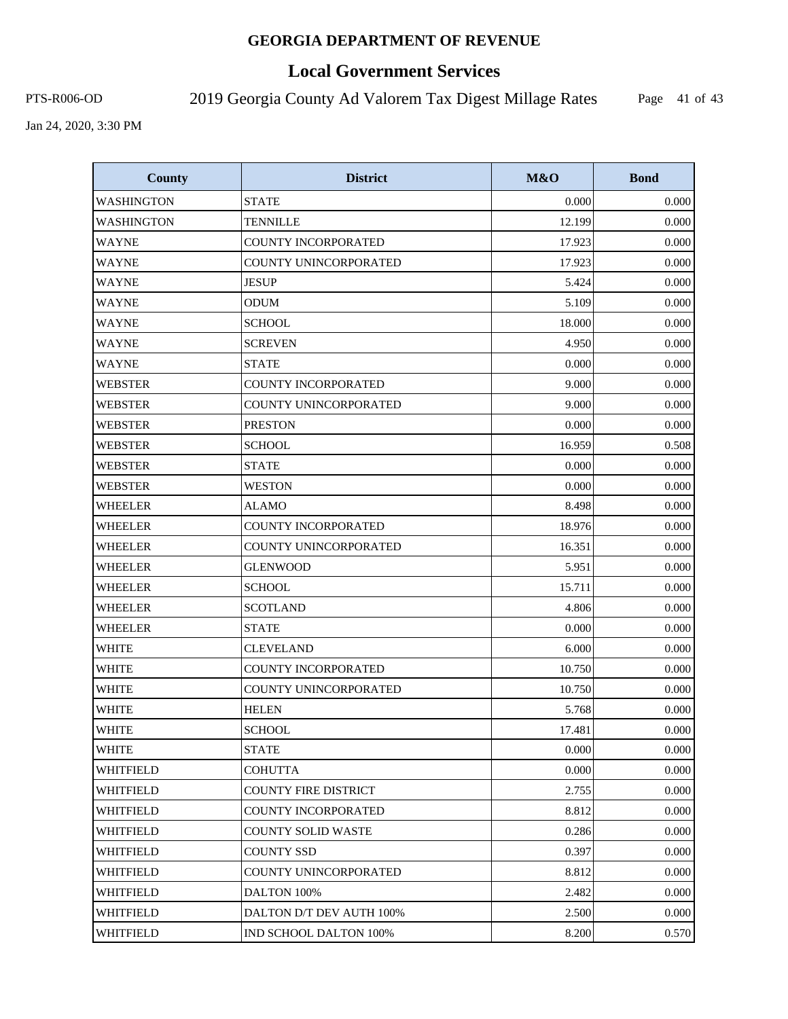# **Local Government Services**

PTS-R006-OD 2019 Georgia County Ad Valorem Tax Digest Millage Rates

Page 41 of 43

| <b>County</b>     | <b>District</b>             | M&O    | <b>Bond</b> |
|-------------------|-----------------------------|--------|-------------|
| WASHINGTON        | <b>STATE</b>                | 0.000  | 0.000       |
| <b>WASHINGTON</b> | <b>TENNILLE</b>             | 12.199 | 0.000       |
| <b>WAYNE</b>      | COUNTY INCORPORATED         | 17.923 | 0.000       |
| <b>WAYNE</b>      | COUNTY UNINCORPORATED       | 17.923 | 0.000       |
| <b>WAYNE</b>      | <b>JESUP</b>                | 5.424  | 0.000       |
| <b>WAYNE</b>      | <b>ODUM</b>                 | 5.109  | 0.000       |
| <b>WAYNE</b>      | <b>SCHOOL</b>               | 18.000 | 0.000       |
| <b>WAYNE</b>      | <b>SCREVEN</b>              | 4.950  | 0.000       |
| <b>WAYNE</b>      | <b>STATE</b>                | 0.000  | 0.000       |
| <b>WEBSTER</b>    | <b>COUNTY INCORPORATED</b>  | 9.000  | 0.000       |
| <b>WEBSTER</b>    | COUNTY UNINCORPORATED       | 9.000  | 0.000       |
| <b>WEBSTER</b>    | <b>PRESTON</b>              | 0.000  | 0.000       |
| <b>WEBSTER</b>    | <b>SCHOOL</b>               | 16.959 | 0.508       |
| <b>WEBSTER</b>    | <b>STATE</b>                | 0.000  | 0.000       |
| WEBSTER           | <b>WESTON</b>               | 0.000  | 0.000       |
| <b>WHEELER</b>    | <b>ALAMO</b>                | 8.498  | 0.000       |
| <b>WHEELER</b>    | <b>COUNTY INCORPORATED</b>  | 18.976 | 0.000       |
| WHEELER           | COUNTY UNINCORPORATED       | 16.351 | 0.000       |
| <b>WHEELER</b>    | <b>GLENWOOD</b>             | 5.951  | 0.000       |
| WHEELER           | <b>SCHOOL</b>               | 15.711 | 0.000       |
| <b>WHEELER</b>    | <b>SCOTLAND</b>             | 4.806  | 0.000       |
| <b>WHEELER</b>    | <b>STATE</b>                | 0.000  | 0.000       |
| <b>WHITE</b>      | <b>CLEVELAND</b>            | 6.000  | 0.000       |
| <b>WHITE</b>      | COUNTY INCORPORATED         | 10.750 | 0.000       |
| <b>WHITE</b>      | COUNTY UNINCORPORATED       | 10.750 | 0.000       |
| <b>WHITE</b>      | <b>HELEN</b>                | 5.768  | 0.000       |
| <b>WHITE</b>      | <b>SCHOOL</b>               | 17.481 | 0.000       |
| <b>WHITE</b>      | <b>STATE</b>                | 0.000  | 0.000       |
| <b>WHITFIELD</b>  | <b>COHUTTA</b>              | 0.000  | 0.000       |
| <b>WHITFIELD</b>  | <b>COUNTY FIRE DISTRICT</b> | 2.755  | 0.000       |
| WHITFIELD         | COUNTY INCORPORATED         | 8.812  | 0.000       |
| <b>WHITFIELD</b>  | <b>COUNTY SOLID WASTE</b>   | 0.286  | 0.000       |
| WHITFIELD         | <b>COUNTY SSD</b>           | 0.397  | 0.000       |
| WHITFIELD         | COUNTY UNINCORPORATED       | 8.812  | 0.000       |
| <b>WHITFIELD</b>  | DALTON 100%                 | 2.482  | 0.000       |
| WHITFIELD         | DALTON D/T DEV AUTH 100%    | 2.500  | 0.000       |
| WHITFIELD         | IND SCHOOL DALTON 100%      | 8.200  | 0.570       |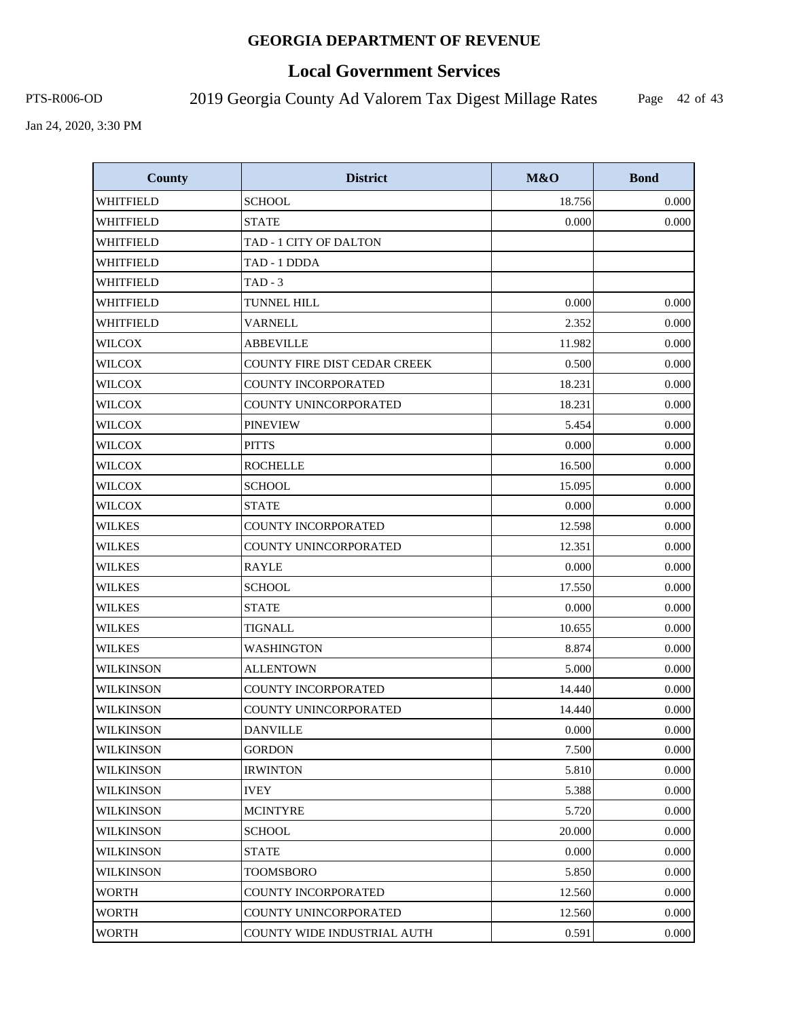# **Local Government Services**

PTS-R006-OD 2019 Georgia County Ad Valorem Tax Digest Millage Rates

Page 42 of 43

| <b>County</b>    | <b>District</b>                     | M&O    | <b>Bond</b> |
|------------------|-------------------------------------|--------|-------------|
| WHITFIELD        | <b>SCHOOL</b>                       | 18.756 | 0.000       |
| WHITFIELD        | <b>STATE</b>                        | 0.000  | 0.000       |
| WHITFIELD        | TAD - 1 CITY OF DALTON              |        |             |
| WHITFIELD        | TAD - 1 DDDA                        |        |             |
| WHITFIELD        | $TAD - 3$                           |        |             |
| WHITFIELD        | TUNNEL HILL                         | 0.000  | 0.000       |
| WHITFIELD        | <b>VARNELL</b>                      | 2.352  | 0.000       |
| <b>WILCOX</b>    | <b>ABBEVILLE</b>                    | 11.982 | 0.000       |
| <b>WILCOX</b>    | <b>COUNTY FIRE DIST CEDAR CREEK</b> | 0.500  | 0.000       |
| <b>WILCOX</b>    | <b>COUNTY INCORPORATED</b>          | 18.231 | 0.000       |
| <b>WILCOX</b>    | COUNTY UNINCORPORATED               | 18.231 | 0.000       |
| <b>WILCOX</b>    | <b>PINEVIEW</b>                     | 5.454  | 0.000       |
| <b>WILCOX</b>    | <b>PITTS</b>                        | 0.000  | 0.000       |
| <b>WILCOX</b>    | <b>ROCHELLE</b>                     | 16.500 | 0.000       |
| <b>WILCOX</b>    | <b>SCHOOL</b>                       | 15.095 | 0.000       |
| WILCOX           | <b>STATE</b>                        | 0.000  | 0.000       |
| <b>WILKES</b>    | COUNTY INCORPORATED                 | 12.598 | 0.000       |
| WILKES           | COUNTY UNINCORPORATED               | 12.351 | 0.000       |
| <b>WILKES</b>    | <b>RAYLE</b>                        | 0.000  | 0.000       |
| <b>WILKES</b>    | <b>SCHOOL</b>                       | 17.550 | 0.000       |
| <b>WILKES</b>    | <b>STATE</b>                        | 0.000  | 0.000       |
| <b>WILKES</b>    | TIGNALL                             | 10.655 | 0.000       |
| <b>WILKES</b>    | WASHINGTON                          | 8.874  | 0.000       |
| <b>WILKINSON</b> | <b>ALLENTOWN</b>                    | 5.000  | 0.000       |
| <b>WILKINSON</b> | <b>COUNTY INCORPORATED</b>          | 14.440 | 0.000       |
| <b>WILKINSON</b> | COUNTY UNINCORPORATED               | 14.440 | 0.000       |
| <b>WILKINSON</b> | <b>DANVILLE</b>                     | 0.000  | 0.000       |
| <b>WILKINSON</b> | <b>GORDON</b>                       | 7.500  | 0.000       |
| WILKINSON        | <b>IRWINTON</b>                     | 5.810  | 0.000       |
| WILKINSON        | <b>IVEY</b>                         | 5.388  | 0.000       |
| <b>WILKINSON</b> | <b>MCINTYRE</b>                     | 5.720  | 0.000       |
| <b>WILKINSON</b> | <b>SCHOOL</b>                       | 20.000 | 0.000       |
| WILKINSON        | <b>STATE</b>                        | 0.000  | 0.000       |
| <b>WILKINSON</b> | TOOMSBORO                           | 5.850  | 0.000       |
| <b>WORTH</b>     | <b>COUNTY INCORPORATED</b>          | 12.560 | 0.000       |
| WORTH            | COUNTY UNINCORPORATED               | 12.560 | 0.000       |
| <b>WORTH</b>     | COUNTY WIDE INDUSTRIAL AUTH         | 0.591  | 0.000       |